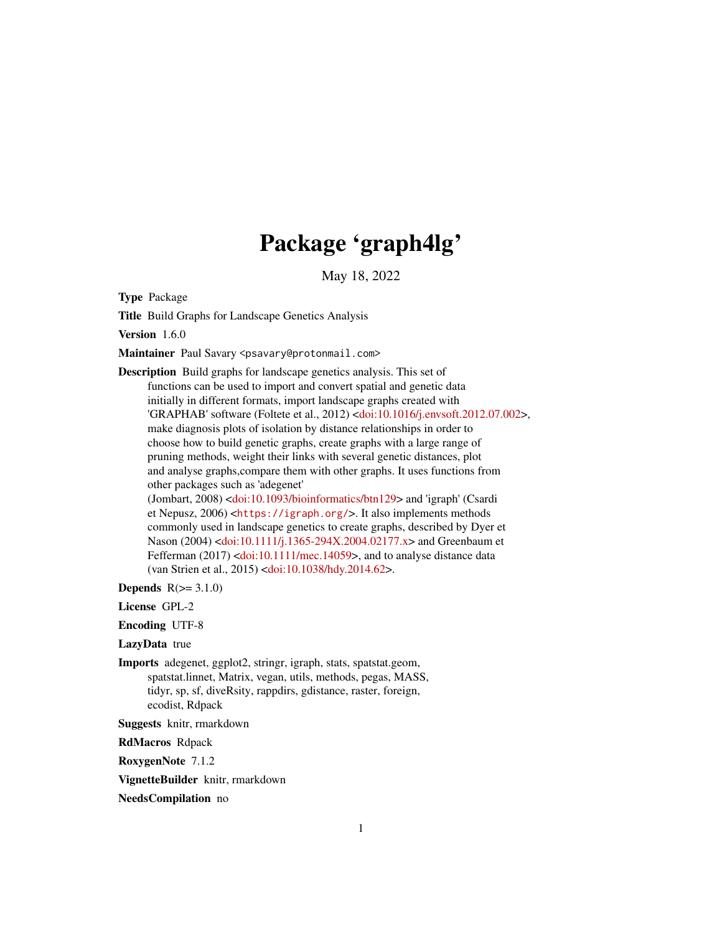# Package 'graph4lg'

May 18, 2022

<span id="page-0-0"></span>Type Package

Title Build Graphs for Landscape Genetics Analysis

Version 1.6.0

Maintainer Paul Savary <psavary@protonmail.com>

Description Build graphs for landscape genetics analysis. This set of functions can be used to import and convert spatial and genetic data initially in different formats, import landscape graphs created with 'GRAPHAB' software (Foltete et al., 2012) [<doi:10.1016/j.envsoft.2012.07.002>](https://doi.org/10.1016/j.envsoft.2012.07.002), make diagnosis plots of isolation by distance relationships in order to choose how to build genetic graphs, create graphs with a large range of pruning methods, weight their links with several genetic distances, plot and analyse graphs,compare them with other graphs. It uses functions from other packages such as 'adegenet'

(Jombart, 2008) [<doi:10.1093/bioinformatics/btn129>](https://doi.org/10.1093/bioinformatics/btn129) and 'igraph' (Csardi et Nepusz, 2006) <<https://igraph.org/>>. It also implements methods commonly used in landscape genetics to create graphs, described by Dyer et Nason (2004) [<doi:10.1111/j.1365-294X.2004.02177.x>](https://doi.org/10.1111/j.1365-294X.2004.02177.x) and Greenbaum et Fefferman (2017) [<doi:10.1111/mec.14059>](https://doi.org/10.1111/mec.14059), and to analyse distance data (van Strien et al., 2015) [<doi:10.1038/hdy.2014.62>](https://doi.org/10.1038/hdy.2014.62).

Depends  $R(>= 3.1.0)$ 

License GPL-2

Encoding UTF-8

LazyData true

Imports adegenet, ggplot2, stringr, igraph, stats, spatstat.geom, spatstat.linnet, Matrix, vegan, utils, methods, pegas, MASS, tidyr, sp, sf, diveRsity, rappdirs, gdistance, raster, foreign, ecodist, Rdpack

Suggests knitr, rmarkdown

RdMacros Rdpack

RoxygenNote 7.1.2

VignetteBuilder knitr, rmarkdown

NeedsCompilation no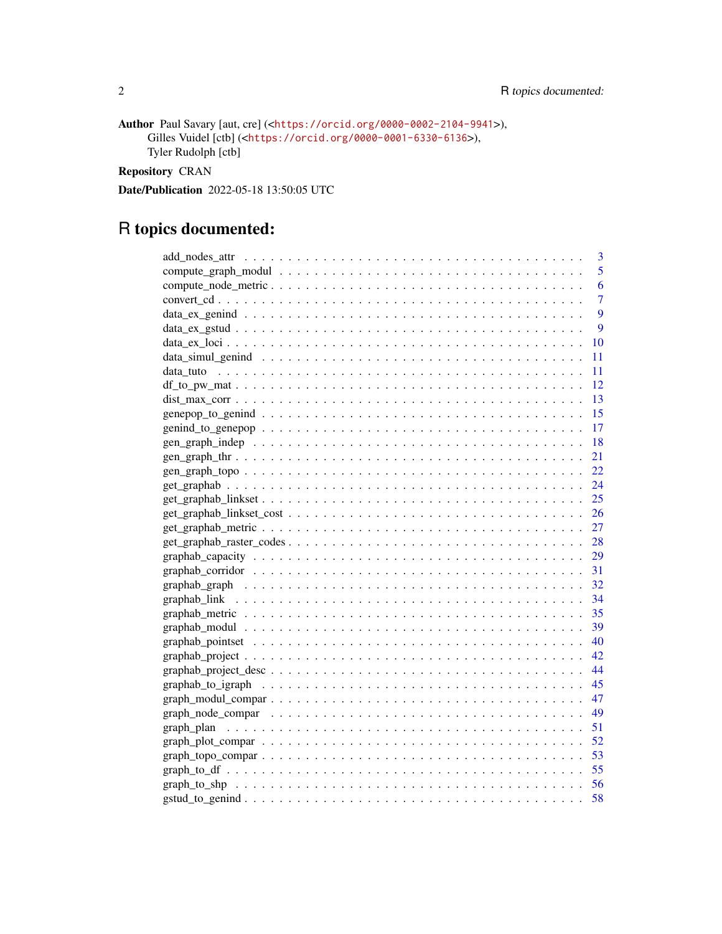```
Author Paul Savary [aut, cre] (<https://orcid.org/0000-0002-2104-9941>),
     Gilles Vuidel [ctb] (<https://orcid.org/0000-0001-6330-6136>),
     Tyler Rudolph [ctb]
```
Repository CRAN

Date/Publication 2022-05-18 13:50:05 UTC

# R topics documented:

| 3         |
|-----------|
| 5         |
| 6         |
| 7         |
| 9         |
| 9         |
| 10        |
| 11        |
| - 11      |
|           |
|           |
| -15       |
| 17        |
| <b>18</b> |
| 21        |
| 22        |
|           |
| 25        |
|           |
|           |
|           |
|           |
|           |
|           |
|           |
|           |
|           |
|           |
|           |
|           |
|           |
|           |
|           |
|           |
|           |
|           |
|           |
|           |
|           |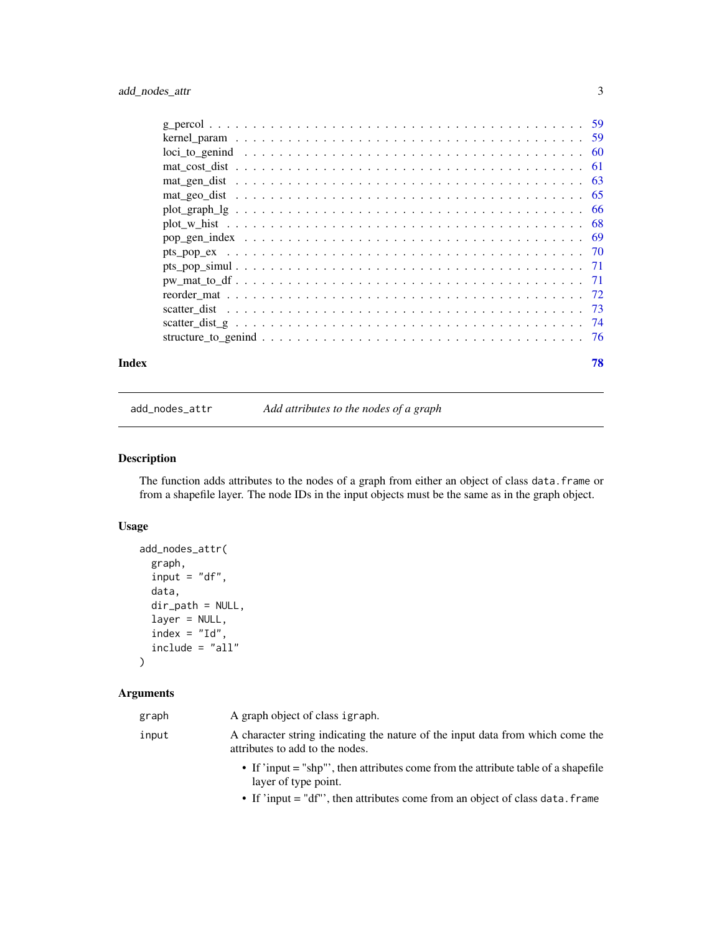<span id="page-2-0"></span>

add\_nodes\_attr *Add attributes to the nodes of a graph*

# Description

The function adds attributes to the nodes of a graph from either an object of class data.frame or from a shapefile layer. The node IDs in the input objects must be the same as in the graph object.

# Usage

```
add_nodes_attr(
  graph,
 input = "df",data,
 dir_path = NULL,
  layer = NULL,
  index = "Id",include = "all"
)
```
# Arguments

| graph | A graph object of class igraph.                                                                                   |
|-------|-------------------------------------------------------------------------------------------------------------------|
| input | A character string indicating the nature of the input data from which come the<br>attributes to add to the nodes. |
|       | • If 'input = "shp"', then attributes come from the attribute table of a shapefile<br>layer of type point.        |

• If 'input = "df"', then attributes come from an object of class data.frame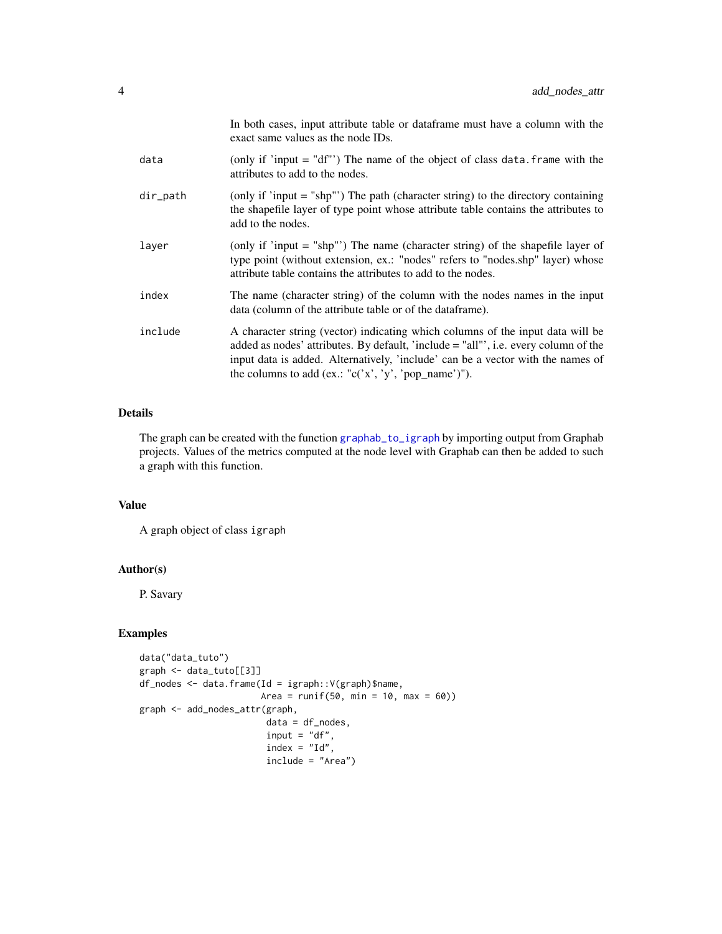|          | In both cases, input attribute table or data frame must have a column with the<br>exact same values as the node IDs.                                                                                                                                                                                             |
|----------|------------------------------------------------------------------------------------------------------------------------------------------------------------------------------------------------------------------------------------------------------------------------------------------------------------------|
| data     | (only if 'input $=$ "df"') The name of the object of class data. frame with the<br>attributes to add to the nodes.                                                                                                                                                                                               |
| dir_path | (only if 'input = "shp"') The path (character string) to the directory containing<br>the shapefile layer of type point whose attribute table contains the attributes to<br>add to the nodes.                                                                                                                     |
| layer    | (only if 'input = "shp"') The name (character string) of the shapefile layer of<br>type point (without extension, ex.: "nodes" refers to "nodes.shp" layer) whose<br>attribute table contains the attributes to add to the nodes.                                                                                |
| index    | The name (character string) of the column with the nodes names in the input<br>data (column of the attribute table or of the dataframe).                                                                                                                                                                         |
| include  | A character string (vector) indicating which columns of the input data will be<br>added as nodes' attributes. By default, 'include = "all"', i.e. every column of the<br>input data is added. Alternatively, 'include' can be a vector with the names of<br>the columns to add (ex.: "c('x', 'y', 'pop_name')"). |

# Details

The graph can be created with the function [graphab\\_to\\_igraph](#page-44-1) by importing output from Graphab projects. Values of the metrics computed at the node level with Graphab can then be added to such a graph with this function.

# Value

A graph object of class igraph

# Author(s)

P. Savary

# Examples

```
data("data_tuto")
graph <- data_tuto[[3]]
df_nodes <- data.frame(Id = igraph::V(graph)$name,
                      Area = runif(50, min = 10, max = 60))
graph <- add_nodes_attr(graph,
                       data = df\_nodes,
                        input = "df",index = "Id",include = "Area")
```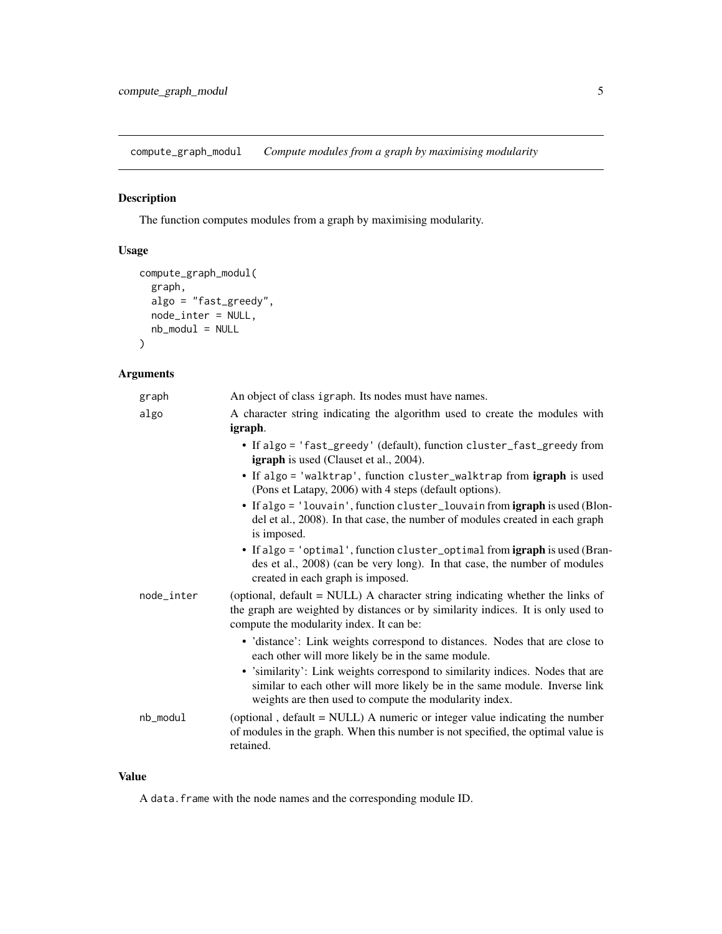<span id="page-4-0"></span>compute\_graph\_modul *Compute modules from a graph by maximising modularity*

# Description

The function computes modules from a graph by maximising modularity.

# Usage

```
compute_graph_modul(
 graph,
 algo = "fast_greedy",
 node_inter = NULL,
 nb_model = NULL)
```
# Arguments

| graph      | An object of class igraph. Its nodes must have names.                                                                                                                                                                 |
|------------|-----------------------------------------------------------------------------------------------------------------------------------------------------------------------------------------------------------------------|
| algo       | A character string indicating the algorithm used to create the modules with<br>igraph.                                                                                                                                |
|            | • If algo = 'fast_greedy' (default), function cluster_fast_greedy from<br><b>igraph</b> is used (Clauset et al., 2004).                                                                                               |
|            | • If algo = 'walktrap', function cluster_walktrap from igraph is used<br>(Pons et Latapy, 2006) with 4 steps (default options).                                                                                       |
|            | • If algo = 'louvain', function cluster_louvain from igraph is used (Blon-<br>del et al., 2008). In that case, the number of modules created in each graph<br>is imposed.                                             |
|            | • If algo = 'optimal', function cluster_optimal from igraph is used (Bran-<br>des et al., 2008) (can be very long). In that case, the number of modules<br>created in each graph is imposed.                          |
| node_inter | (optional, default = NULL) A character string indicating whether the links of<br>the graph are weighted by distances or by similarity indices. It is only used to<br>compute the modularity index. It can be:         |
|            | • 'distance': Link weights correspond to distances. Nodes that are close to<br>each other will more likely be in the same module.                                                                                     |
|            | • 'similarity': Link weights correspond to similarity indices. Nodes that are<br>similar to each other will more likely be in the same module. Inverse link<br>weights are then used to compute the modularity index. |
| nb_modul   | (optional, default = NULL) A numeric or integer value indicating the number<br>of modules in the graph. When this number is not specified, the optimal value is<br>retained.                                          |

### Value

A data.frame with the node names and the corresponding module ID.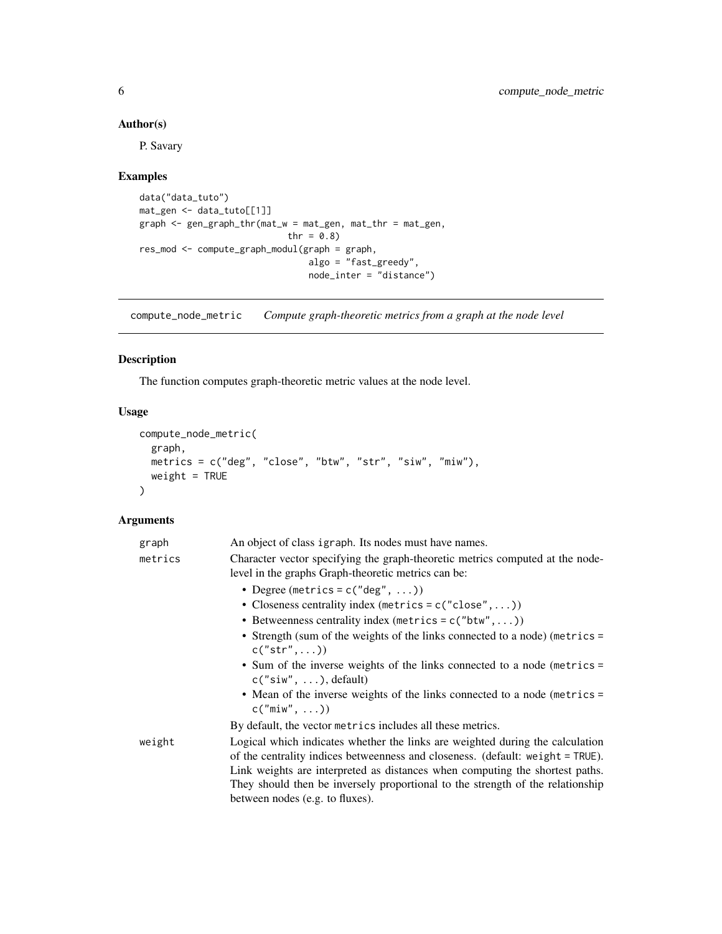# Author(s)

P. Savary

# Examples

```
data("data_tuto")
mat_gen <- data_tuto[[1]]
graph <- gen_graph_thr(mat_w = mat_gen, mat_thr = mat_gen,
                            thr = 0.8)
res_mod <- compute_graph_modul(graph = graph,
                                algo = "fast_greedy",
                                node_inter = "distance")
```
compute\_node\_metric *Compute graph-theoretic metrics from a graph at the node level*

# Description

The function computes graph-theoretic metric values at the node level.

# Usage

```
compute_node_metric(
  graph,
 metrics = c("deg", "close", "btw", "str", "siw", "miw"),
 weight = TRUE\mathcal{L}
```

| graph   | An object of class igraph. Its nodes must have names.                                                                                                           |
|---------|-----------------------------------------------------------------------------------------------------------------------------------------------------------------|
| metrics | Character vector specifying the graph-theoretic metrics computed at the node-<br>level in the graphs Graph-theoretic metrics can be:                            |
|         | • Degree (metrics = $c("deg", \ldots)$ )                                                                                                                        |
|         | • Closeness centrality index (metrics = $c("close",)$ )                                                                                                         |
|         | • Betweenness centrality index (metrics = $c("btw",)$ )                                                                                                         |
|         | • Strength (sum of the weights of the links connected to a node) (metrics =<br>$c("str", \dots)$                                                                |
|         | • Sum of the inverse weights of the links connected to a node (metrics =<br>$c("siw", \ldots),$ default)                                                        |
|         | • Mean of the inverse weights of the links connected to a node (metrics =<br>$c("min", \ldots))$                                                                |
|         | By default, the vector metrics includes all these metrics.                                                                                                      |
| weight  | Logical which indicates whether the links are weighted during the calculation<br>of the centrality indices betweenness and closeness. (default: weight = TRUE). |
|         | Link weights are interpreted as distances when computing the shortest paths.                                                                                    |
|         | They should then be inversely proportional to the strength of the relationship                                                                                  |
|         | between nodes (e.g. to fluxes).                                                                                                                                 |

<span id="page-5-0"></span>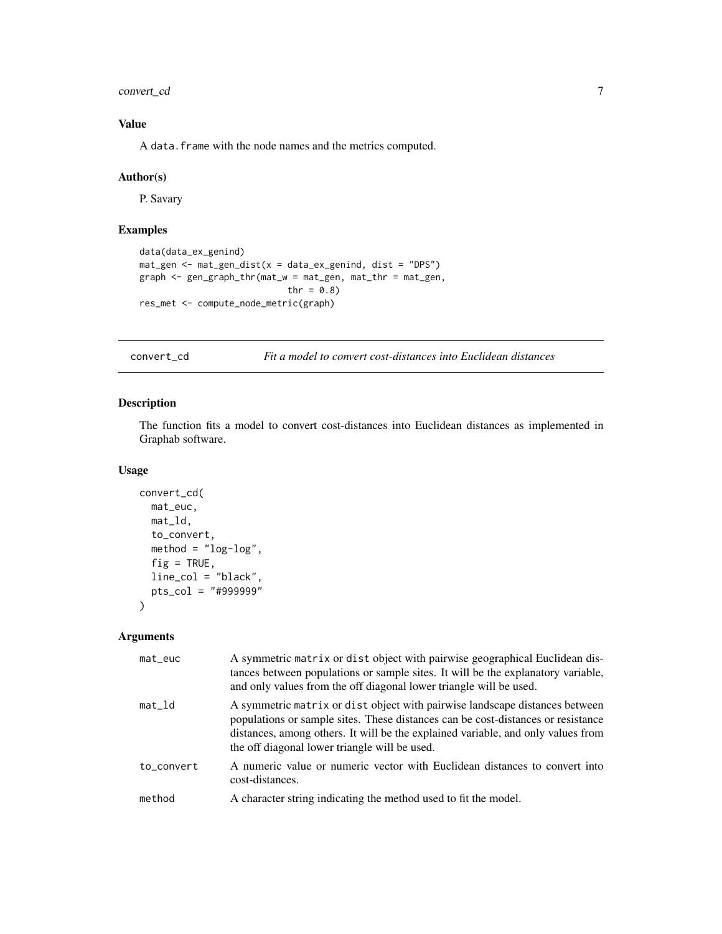<span id="page-6-0"></span>convert\_cd 7

# Value

A data.frame with the node names and the metrics computed.

#### Author(s)

P. Savary

# Examples

```
data(data_ex_genind)
mat_gen <- mat_gen_dist(x = data_ex_genind, dist = "DPS")
graph <- gen_graph_thr(mat_w = mat_gen, mat_thr = mat_gen,
                            thr = 0.8)
res_met <- compute_node_metric(graph)
```
<span id="page-6-1"></span>convert\_cd *Fit a model to convert cost-distances into Euclidean distances*

# Description

The function fits a model to convert cost-distances into Euclidean distances as implemented in Graphab software.

#### Usage

```
convert_cd(
 mat_euc,
 mat_ld,
  to_convert,
 method = "log-log",
  fig = TRUE,line_col = "black",
 pts_col = "#999999"
)
```

| $mat$ -euc | A symmetric matrix or dist object with pairwise geographical Euclidean dis-<br>tances between populations or sample sites. It will be the explanatory variable,<br>and only values from the off diagonal lower triangle will be used.                                                                |
|------------|------------------------------------------------------------------------------------------------------------------------------------------------------------------------------------------------------------------------------------------------------------------------------------------------------|
| $mat_l$    | A symmetric matrix or dist object with pairwise landscape distances between<br>populations or sample sites. These distances can be cost-distances or resistance<br>distances, among others. It will be the explained variable, and only values from<br>the off diagonal lower triangle will be used. |
| to_convert | A numeric value or numeric vector with Euclidean distances to convert into<br>cost-distances.                                                                                                                                                                                                        |
| method     | A character string indicating the method used to fit the model.                                                                                                                                                                                                                                      |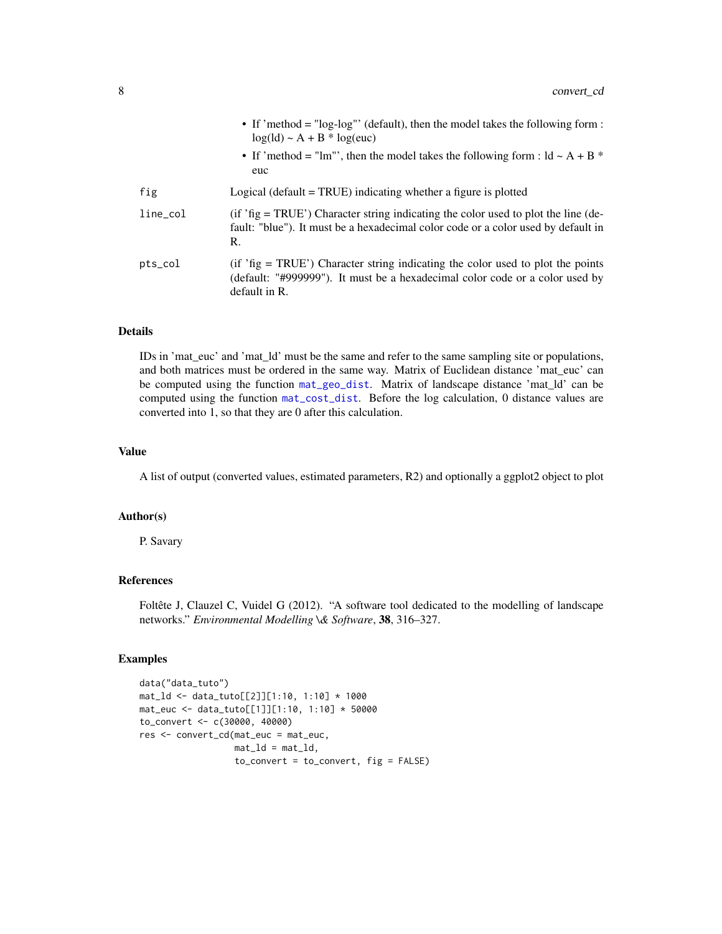|             | • If 'method = " $log-log$ "' (default), then the model takes the following form :<br>$log(id) \sim A + B * log(euc)$<br>• If 'method = "lm"', then the model takes the following form : $\mathrm{Id} \sim A + B$ *<br>euc |
|-------------|----------------------------------------------------------------------------------------------------------------------------------------------------------------------------------------------------------------------------|
| fig         | Logical (default $=$ TRUE) indicating whether a figure is plotted                                                                                                                                                          |
| $line\_col$ | (if 'fig = TRUE') Character string indicating the color used to plot the line (de-<br>fault: "blue"). It must be a hexadecimal color code or a color used by default in<br>R.                                              |
| $pts\_col$  | $(i f' fig = TRUE')$ Character string indicating the color used to plot the points<br>(default: "#999999"). It must be a hexadecimal color code or a color used by<br>default in R.                                        |

# Details

IDs in 'mat\_euc' and 'mat\_ld' must be the same and refer to the same sampling site or populations, and both matrices must be ordered in the same way. Matrix of Euclidean distance 'mat\_euc' can be computed using the function [mat\\_geo\\_dist](#page-64-1). Matrix of landscape distance 'mat\_ld' can be computed using the function [mat\\_cost\\_dist](#page-60-1). Before the log calculation, 0 distance values are converted into 1, so that they are 0 after this calculation.

#### Value

A list of output (converted values, estimated parameters, R2) and optionally a ggplot2 object to plot

#### Author(s)

P. Savary

# References

Foltête J, Clauzel C, Vuidel G (2012). "A software tool dedicated to the modelling of landscape networks." *Environmental Modelling \& Software*, 38, 316–327.

#### Examples

```
data("data_tuto")
mat_ld <- data_tuto[[2]][1:10, 1:10] * 1000
mat_euc <- data_tuto[[1]][1:10, 1:10] * 50000
to_convert <- c(30000, 40000)
res <- convert_cd(mat_euc = mat_euc,
                  mat\_ld = mat\_ld,
                  to_{convert} = to_{convert}, fig = FALSE)
```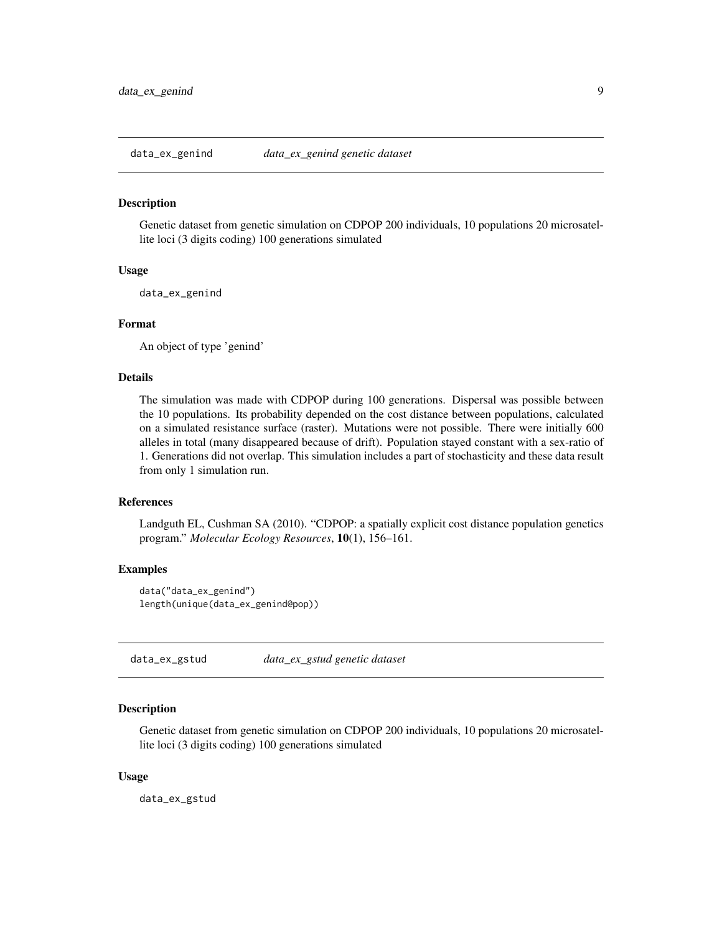<span id="page-8-0"></span>

#### Description

Genetic dataset from genetic simulation on CDPOP 200 individuals, 10 populations 20 microsatellite loci (3 digits coding) 100 generations simulated

#### Usage

data\_ex\_genind

# Format

An object of type 'genind'

# Details

The simulation was made with CDPOP during 100 generations. Dispersal was possible between the 10 populations. Its probability depended on the cost distance between populations, calculated on a simulated resistance surface (raster). Mutations were not possible. There were initially 600 alleles in total (many disappeared because of drift). Population stayed constant with a sex-ratio of 1. Generations did not overlap. This simulation includes a part of stochasticity and these data result from only 1 simulation run.

#### **References**

Landguth EL, Cushman SA (2010). "CDPOP: a spatially explicit cost distance population genetics program." *Molecular Ecology Resources*, 10(1), 156–161.

#### Examples

data("data\_ex\_genind") length(unique(data\_ex\_genind@pop))

data\_ex\_gstud *data\_ex\_gstud genetic dataset*

#### Description

Genetic dataset from genetic simulation on CDPOP 200 individuals, 10 populations 20 microsatellite loci (3 digits coding) 100 generations simulated

#### Usage

data\_ex\_gstud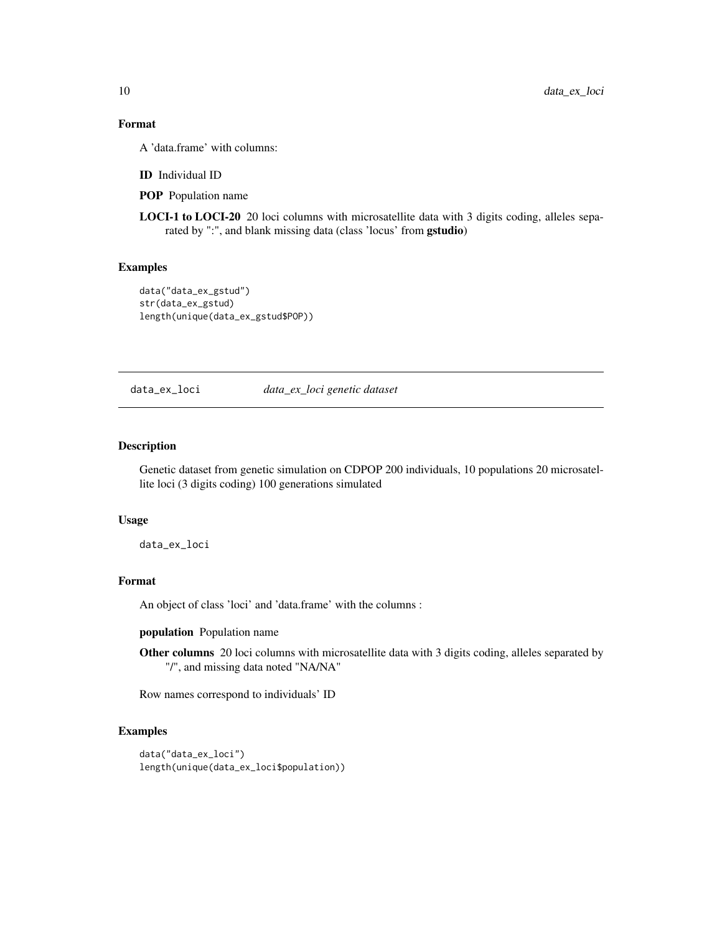# Format

A 'data.frame' with columns:

ID Individual ID

POP Population name

LOCI-1 to LOCI-20 20 loci columns with microsatellite data with 3 digits coding, alleles separated by ":", and blank missing data (class 'locus' from gstudio)

#### Examples

```
data("data_ex_gstud")
str(data_ex_gstud)
length(unique(data_ex_gstud$POP))
```
data\_ex\_loci *data\_ex\_loci genetic dataset*

#### Description

Genetic dataset from genetic simulation on CDPOP 200 individuals, 10 populations 20 microsatellite loci (3 digits coding) 100 generations simulated

# Usage

data\_ex\_loci

# Format

An object of class 'loci' and 'data.frame' with the columns :

population Population name

Other columns 20 loci columns with microsatellite data with 3 digits coding, alleles separated by "/", and missing data noted "NA/NA"

Row names correspond to individuals' ID

#### Examples

```
data("data_ex_loci")
length(unique(data_ex_loci$population))
```
<span id="page-9-0"></span>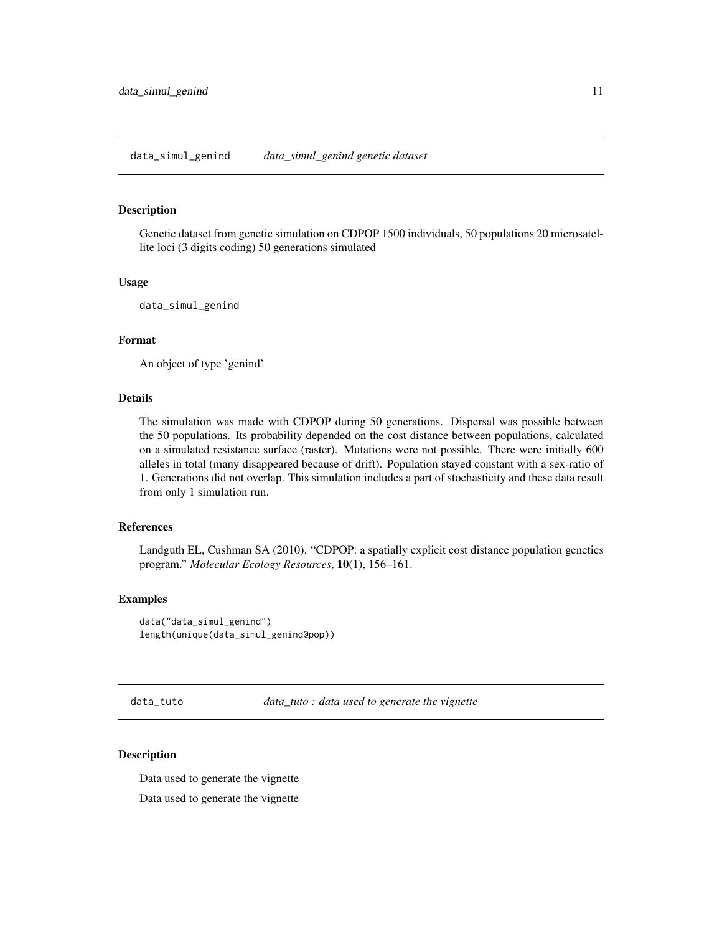#### <span id="page-10-0"></span>Description

Genetic dataset from genetic simulation on CDPOP 1500 individuals, 50 populations 20 microsatellite loci (3 digits coding) 50 generations simulated

#### Usage

data\_simul\_genind

#### Format

An object of type 'genind'

#### Details

The simulation was made with CDPOP during 50 generations. Dispersal was possible between the 50 populations. Its probability depended on the cost distance between populations, calculated on a simulated resistance surface (raster). Mutations were not possible. There were initially 600 alleles in total (many disappeared because of drift). Population stayed constant with a sex-ratio of 1. Generations did not overlap. This simulation includes a part of stochasticity and these data result from only 1 simulation run.

# References

Landguth EL, Cushman SA (2010). "CDPOP: a spatially explicit cost distance population genetics program." *Molecular Ecology Resources*, 10(1), 156–161.

#### Examples

data("data\_simul\_genind") length(unique(data\_simul\_genind@pop))

data\_tuto *data\_tuto : data used to generate the vignette*

#### **Description**

Data used to generate the vignette

Data used to generate the vignette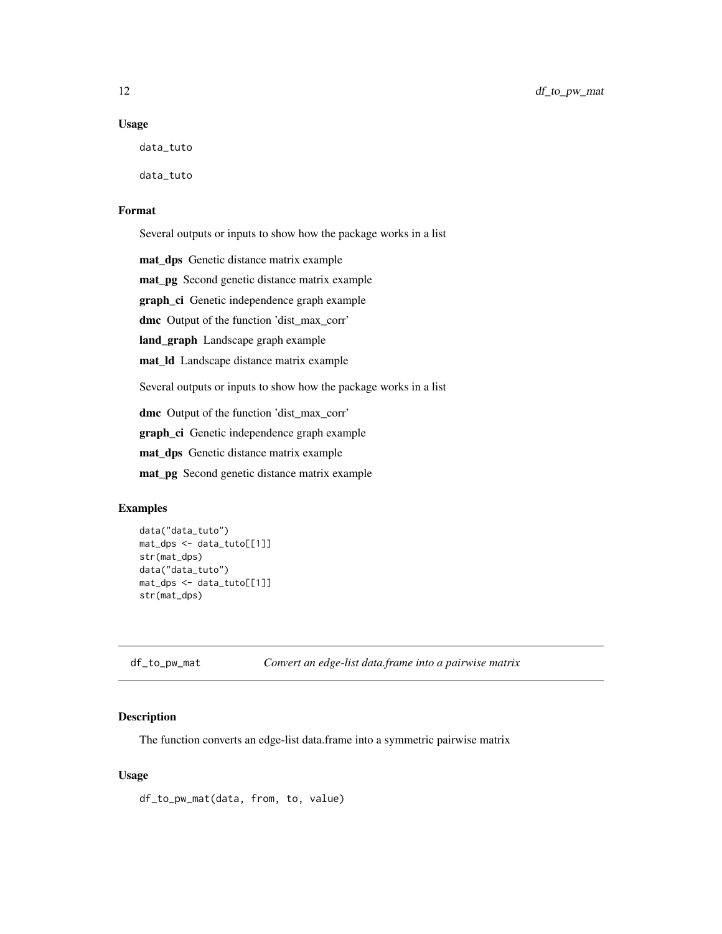#### <span id="page-11-0"></span>Usage

data\_tuto

data\_tuto

# Format

Several outputs or inputs to show how the package works in a list

mat\_dps Genetic distance matrix example

mat\_pg Second genetic distance matrix example

graph\_ci Genetic independence graph example

dmc Output of the function 'dist\_max\_corr'

land\_graph Landscape graph example

mat\_ld Landscape distance matrix example

Several outputs or inputs to show how the package works in a list

dmc Output of the function 'dist\_max\_corr'

graph\_ci Genetic independence graph example

mat\_dps Genetic distance matrix example

mat\_pg Second genetic distance matrix example

# Examples

```
data("data_tuto")
mat_dps <- data_tuto[[1]]
str(mat_dps)
data("data_tuto")
mat_dps <- data_tuto[[1]]
str(mat_dps)
```
df\_to\_pw\_mat *Convert an edge-list data.frame into a pairwise matrix*

### Description

The function converts an edge-list data.frame into a symmetric pairwise matrix

#### Usage

df\_to\_pw\_mat(data, from, to, value)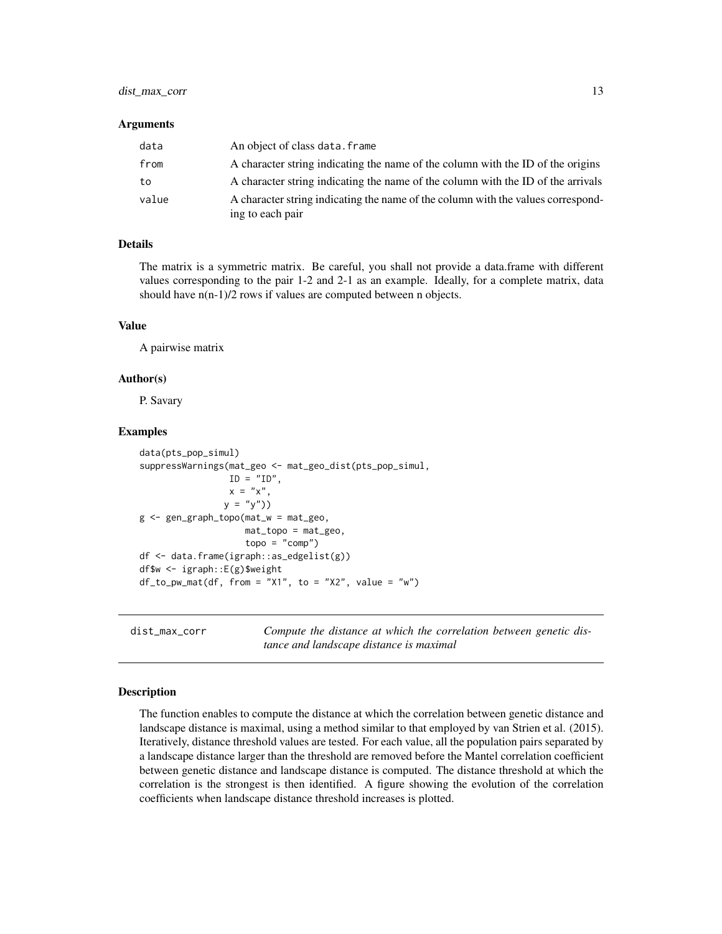# <span id="page-12-0"></span>dist\_max\_corr 13

#### **Arguments**

| data  | An object of class data. frame                                                                       |
|-------|------------------------------------------------------------------------------------------------------|
| from  | A character string indicating the name of the column with the ID of the origins                      |
| to    | A character string indicating the name of the column with the ID of the arrivals                     |
| value | A character string indicating the name of the column with the values correspond-<br>ing to each pair |

#### Details

The matrix is a symmetric matrix. Be careful, you shall not provide a data.frame with different values corresponding to the pair 1-2 and 2-1 as an example. Ideally, for a complete matrix, data should have n(n-1)/2 rows if values are computed between n objects.

## Value

A pairwise matrix

#### Author(s)

P. Savary

#### Examples

```
data(pts_pop_simul)
suppressWarnings(mat_geo <- mat_geo_dist(pts_pop_simul,
                ID = "ID",x = "x",y = "y")g <- gen_graph_topo(mat_w = mat_geo,
                   mat_topo = mat_geo,
                    topo = "comp")df <- data.frame(igraph::as_edgelist(g))
df$w <- igraph::E(g)$weight
df_to_pw_mat(df, from = "X1", to = "X2", value = "w")
```
dist\_max\_corr *Compute the distance at which the correlation between genetic distance and landscape distance is maximal*

#### Description

The function enables to compute the distance at which the correlation between genetic distance and landscape distance is maximal, using a method similar to that employed by van Strien et al. (2015). Iteratively, distance threshold values are tested. For each value, all the population pairs separated by a landscape distance larger than the threshold are removed before the Mantel correlation coefficient between genetic distance and landscape distance is computed. The distance threshold at which the correlation is the strongest is then identified. A figure showing the evolution of the correlation coefficients when landscape distance threshold increases is plotted.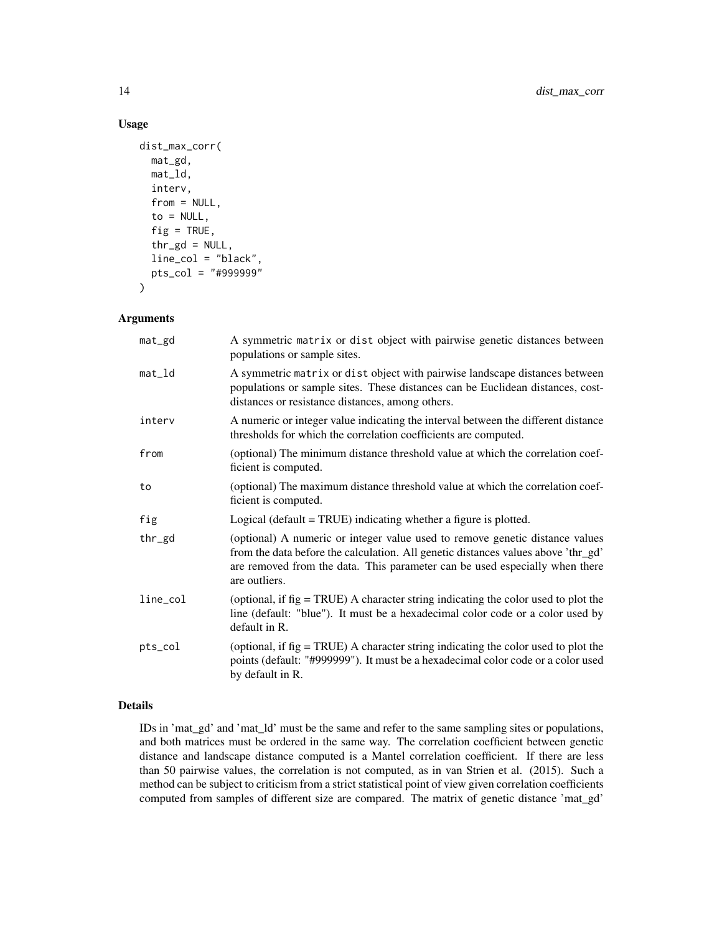# Usage

```
dist_max_corr(
 mat_gd,
  mat_ld,
  interv,
  from = NULL,to = NULL,
  fig = TRUE,thr\_gd = NULL,line_col = "black",
  pts_col = "#999999"
)
```
# Arguments

| mat_gd   | A symmetric matrix or dist object with pairwise genetic distances between<br>populations or sample sites.                                                                                                                                                         |
|----------|-------------------------------------------------------------------------------------------------------------------------------------------------------------------------------------------------------------------------------------------------------------------|
| $mat_l$  | A symmetric matrix or dist object with pairwise landscape distances between<br>populations or sample sites. These distances can be Euclidean distances, cost-<br>distances or resistance distances, among others.                                                 |
| interv   | A numeric or integer value indicating the interval between the different distance<br>thresholds for which the correlation coefficients are computed.                                                                                                              |
| from     | (optional) The minimum distance threshold value at which the correlation coef-<br>ficient is computed.                                                                                                                                                            |
| to       | (optional) The maximum distance threshold value at which the correlation coef-<br>ficient is computed.                                                                                                                                                            |
| fig      | Logical (default = $TRUE$ ) indicating whether a figure is plotted.                                                                                                                                                                                               |
| thr_gd   | (optional) A numeric or integer value used to remove genetic distance values<br>from the data before the calculation. All genetic distances values above 'thr_gd'<br>are removed from the data. This parameter can be used especially when there<br>are outliers. |
| line_col | (optional, if $fig = TRUE$ ) A character string indicating the color used to plot the<br>line (default: "blue"). It must be a hexadecimal color code or a color used by<br>default in R.                                                                          |
| pts_col  | (optional, if $fig = TRUE$ ) A character string indicating the color used to plot the<br>points (default: "#999999"). It must be a hexadecimal color code or a color used<br>by default in R.                                                                     |

# Details

IDs in 'mat\_gd' and 'mat\_ld' must be the same and refer to the same sampling sites or populations, and both matrices must be ordered in the same way. The correlation coefficient between genetic distance and landscape distance computed is a Mantel correlation coefficient. If there are less than 50 pairwise values, the correlation is not computed, as in van Strien et al. (2015). Such a method can be subject to criticism from a strict statistical point of view given correlation coefficients computed from samples of different size are compared. The matrix of genetic distance 'mat\_gd'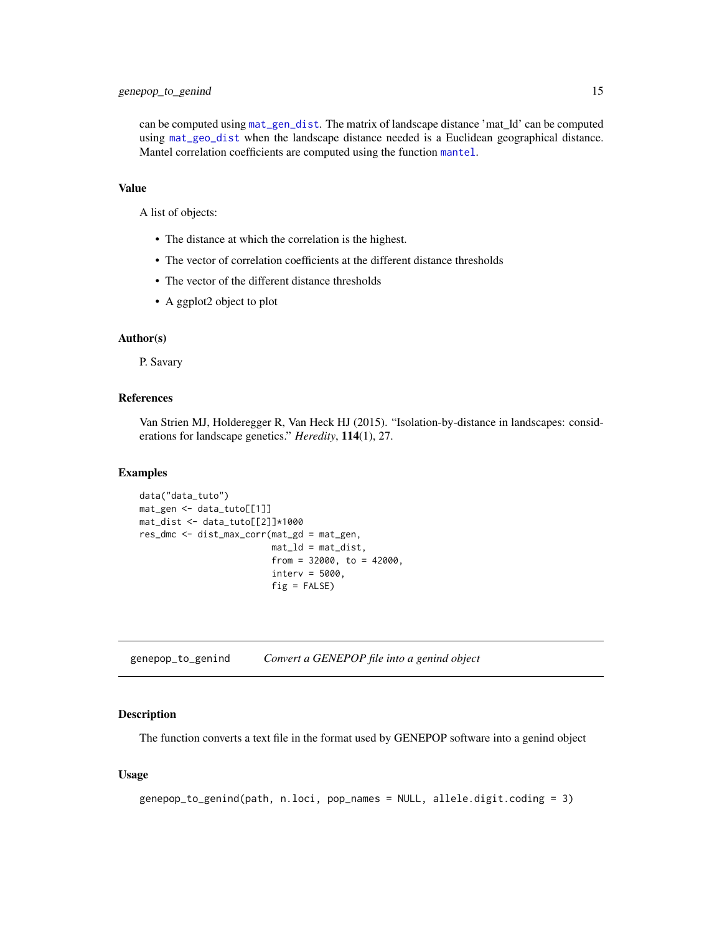<span id="page-14-0"></span>can be computed using [mat\\_gen\\_dist](#page-62-1). The matrix of landscape distance 'mat\_ld' can be computed using [mat\\_geo\\_dist](#page-64-1) when the landscape distance needed is a Euclidean geographical distance. Mantel correlation coefficients are computed using the function [mantel](#page-0-0).

#### Value

A list of objects:

- The distance at which the correlation is the highest.
- The vector of correlation coefficients at the different distance thresholds
- The vector of the different distance thresholds
- A ggplot2 object to plot

## Author(s)

P. Savary

#### References

Van Strien MJ, Holderegger R, Van Heck HJ (2015). "Isolation-by-distance in landscapes: considerations for landscape genetics." *Heredity*, 114(1), 27.

#### Examples

```
data("data_tuto")
mat_gen <- data_tuto[[1]]
mat_dist <- data_tuto[[2]]*1000
res_dmc <- dist_max_corr(mat_gd = mat_gen,
                         mat\_ld = mat\_dist,
                         from = 32000, to = 42000,
                         interv = 5000.
                         fig = FALSE)
```
<span id="page-14-1"></span>genepop\_to\_genind *Convert a GENEPOP file into a genind object*

#### Description

The function converts a text file in the format used by GENEPOP software into a genind object

#### Usage

```
genepop_to_genind(path, n.loci, pop_names = NULL, allele.digit.coding = 3)
```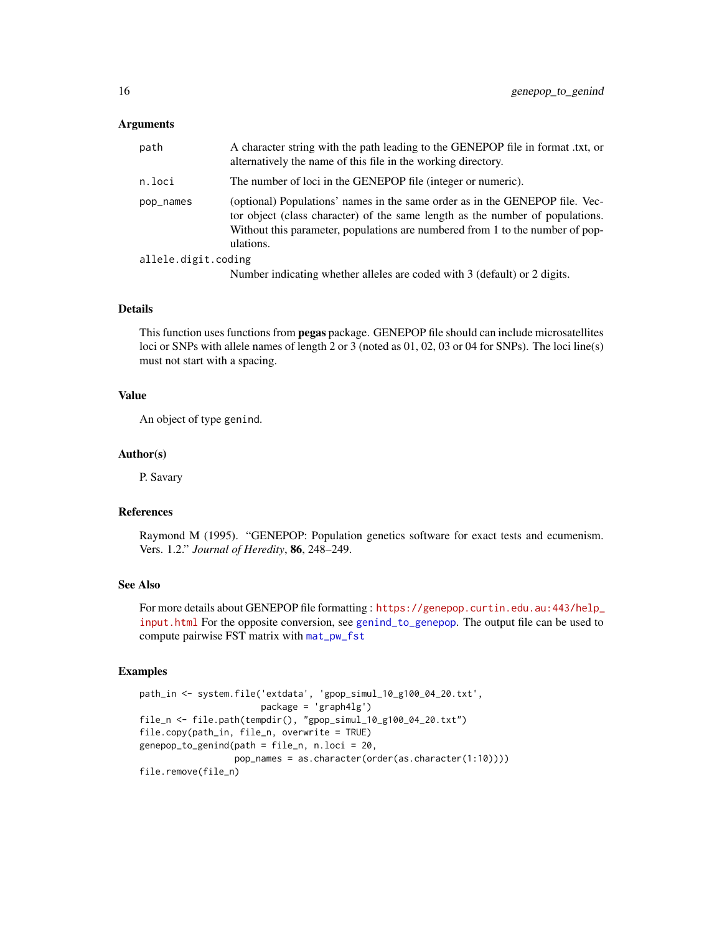#### **Arguments**

| path                | A character string with the path leading to the GENEPOP file in format .txt, or<br>alternatively the name of this file in the working directory.                                                                                                            |
|---------------------|-------------------------------------------------------------------------------------------------------------------------------------------------------------------------------------------------------------------------------------------------------------|
| n.loci              | The number of loci in the GENEPOP file (integer or numeric).                                                                                                                                                                                                |
| pop_names           | (optional) Populations' names in the same order as in the GENEPOP file. Vec-<br>tor object (class character) of the same length as the number of populations.<br>Without this parameter, populations are numbered from 1 to the number of pop-<br>ulations. |
| allele.digit.coding |                                                                                                                                                                                                                                                             |
|                     | Number indicating whether alleles are coded with 3 (default) or 2 digits.                                                                                                                                                                                   |
|                     |                                                                                                                                                                                                                                                             |

# Details

This function uses functions from **pegas** package. GENEPOP file should can include microsatellites loci or SNPs with allele names of length 2 or 3 (noted as 01, 02, 03 or 04 for SNPs). The loci line(s) must not start with a spacing.

# Value

An object of type genind.

#### Author(s)

P. Savary

# References

Raymond M (1995). "GENEPOP: Population genetics software for exact tests and ecumenism. Vers. 1.2." *Journal of Heredity*, 86, 248–249.

# See Also

For more details about GENEPOP file formatting : [https://genepop.curtin.edu.au:443/help\\_](https://genepop.curtin.edu.au:443/help_input.html) [input.html](https://genepop.curtin.edu.au:443/help_input.html) For the opposite conversion, see [genind\\_to\\_genepop](#page-16-1). The output file can be used to compute pairwise FST matrix with [mat\\_pw\\_fst](#page-0-0)

#### Examples

```
path_in <- system.file('extdata', 'gpop_simul_10_g100_04_20.txt',
                      package = 'graph4lg')
file_n <- file.path(tempdir(), "gpop_simul_10_g100_04_20.txt")
file.copy(path_in, file_n, overwrite = TRUE)
genepop_to_genind(path = file_n, n.loci = 20,
                  pop_names = as.character(order(as.character(1:10))))
file.remove(file_n)
```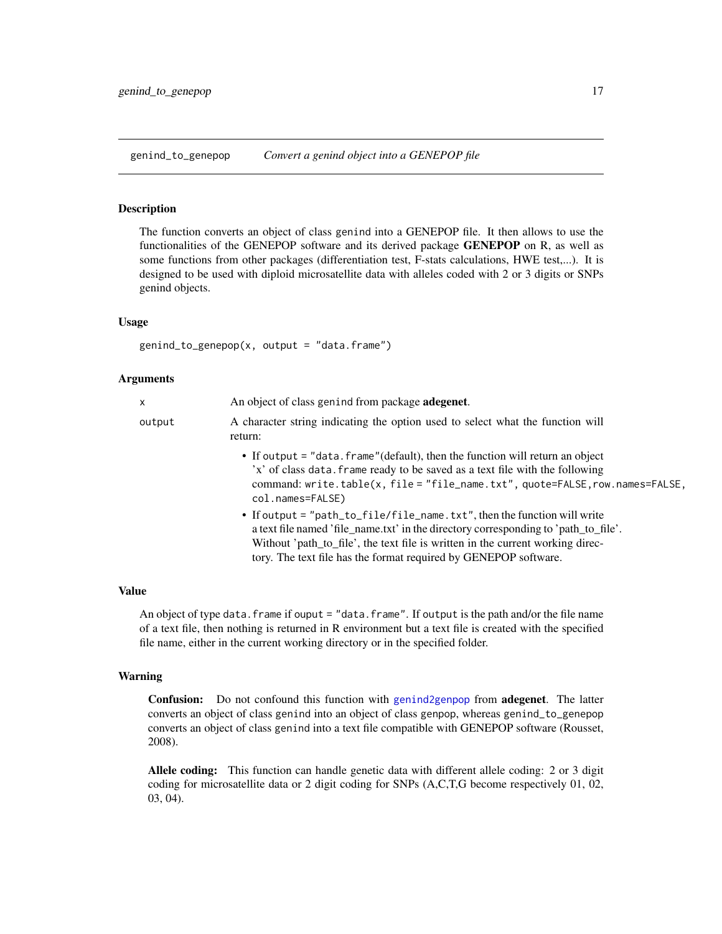<span id="page-16-1"></span><span id="page-16-0"></span>genind\_to\_genepop *Convert a genind object into a GENEPOP file*

#### Description

The function converts an object of class genind into a GENEPOP file. It then allows to use the functionalities of the GENEPOP software and its derived package **GENEPOP** on R, as well as some functions from other packages (differentiation test, F-stats calculations, HWE test,...). It is designed to be used with diploid microsatellite data with alleles coded with 2 or 3 digits or SNPs genind objects.

#### Usage

 $genind_to_genepop(x, output = "data-frame")$ 

#### Arguments

| x      | An object of class genind from package <b>adegenet</b> .                                                                                                                                                                                                                                                              |
|--------|-----------------------------------------------------------------------------------------------------------------------------------------------------------------------------------------------------------------------------------------------------------------------------------------------------------------------|
| output | A character string indicating the option used to select what the function will<br>return:                                                                                                                                                                                                                             |
|        | • If output = "data. frame" (default), then the function will return an object<br>'x' of class data. frame ready to be saved as a text file with the following<br>command: write.table(x, file = "file_name.txt", quote=FALSE, row.names=FALSE,<br>col.names=FALSE)                                                   |
|        | • If output = "path_to_file/file_name.txt", then the function will write<br>a text file named 'file_name.txt' in the directory corresponding to 'path_to_file'.<br>Without 'path_to_file', the text file is written in the current working direc-<br>tory. The text file has the format required by GENEPOP software. |

#### Value

An object of type data. frame if ouput = "data. frame". If output is the path and/or the file name of a text file, then nothing is returned in R environment but a text file is created with the specified file name, either in the current working directory or in the specified folder.

#### Warning

Confusion: Do not confound this function with [genind2genpop](#page-0-0) from adegenet. The latter converts an object of class genind into an object of class genpop, whereas genind\_to\_genepop converts an object of class genind into a text file compatible with GENEPOP software (Rousset, 2008).

Allele coding: This function can handle genetic data with different allele coding: 2 or 3 digit coding for microsatellite data or 2 digit coding for SNPs (A,C,T,G become respectively 01, 02, 03, 04).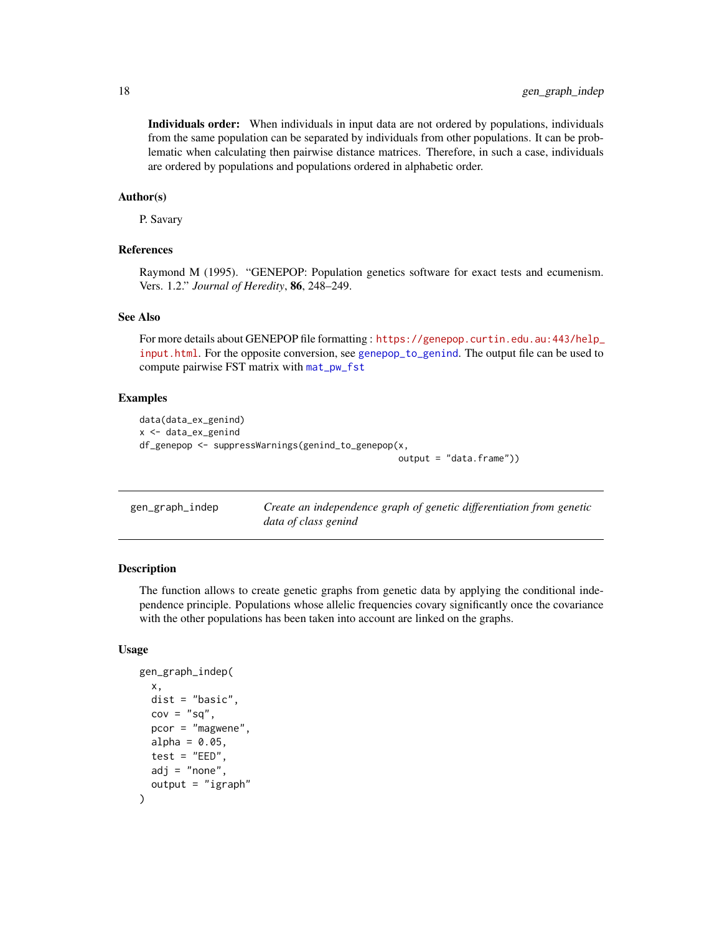<span id="page-17-0"></span>Individuals order: When individuals in input data are not ordered by populations, individuals from the same population can be separated by individuals from other populations. It can be problematic when calculating then pairwise distance matrices. Therefore, in such a case, individuals are ordered by populations and populations ordered in alphabetic order.

#### Author(s)

P. Savary

#### References

Raymond M (1995). "GENEPOP: Population genetics software for exact tests and ecumenism. Vers. 1.2." *Journal of Heredity*, 86, 248–249.

#### See Also

For more details about GENEPOP file formatting : [https://genepop.curtin.edu.au:443/help\\_](https://genepop.curtin.edu.au:443/help_input.html) [input.html](https://genepop.curtin.edu.au:443/help_input.html). For the opposite conversion, see [genepop\\_to\\_genind](#page-14-1). The output file can be used to compute pairwise FST matrix with [mat\\_pw\\_fst](#page-0-0)

#### Examples

```
data(data_ex_genind)
x <- data_ex_genind
df_genepop <- suppressWarnings(genind_to_genepop(x,
                                                 output = "data.frame"))
```

| gen_graph_indep | Create an independence graph of genetic differentiation from genetic |
|-----------------|----------------------------------------------------------------------|
|                 | data of class genind                                                 |

#### Description

The function allows to create genetic graphs from genetic data by applying the conditional independence principle. Populations whose allelic frequencies covary significantly once the covariance with the other populations has been taken into account are linked on the graphs.

#### Usage

```
gen_graph_indep(
  x,
  dist = "basic",
  cov = "sq",pcor = "magwene",alpha = 0.05,
  test = "EED",
  adj = "none",output = "igraph")
```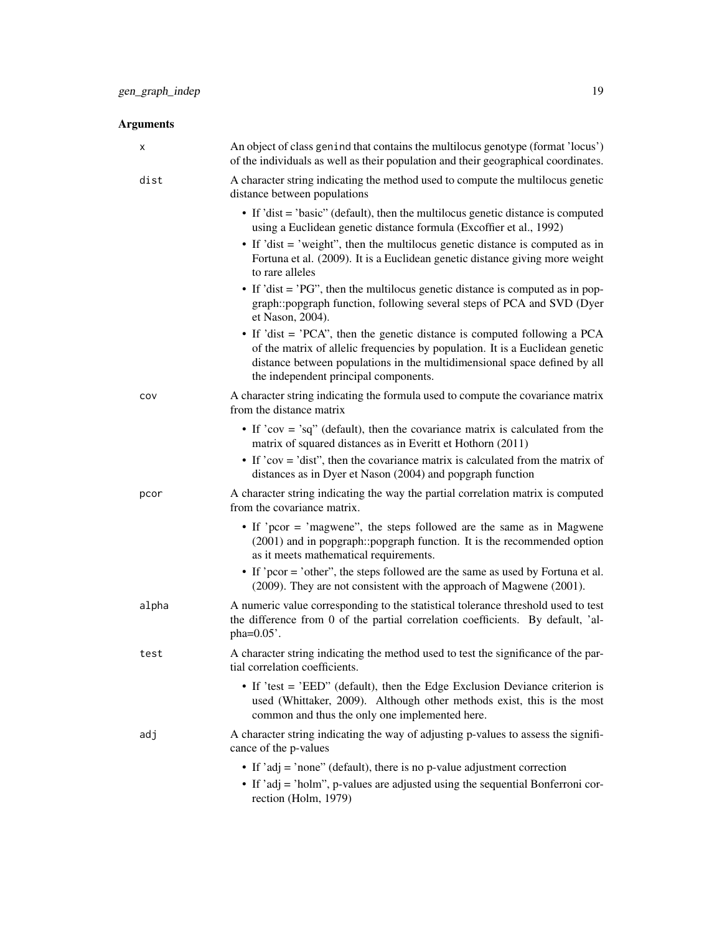| х     | An object of class genind that contains the multilocus genotype (format 'locus')<br>of the individuals as well as their population and their geographical coordinates.                                                                                                            |
|-------|-----------------------------------------------------------------------------------------------------------------------------------------------------------------------------------------------------------------------------------------------------------------------------------|
| dist  | A character string indicating the method used to compute the multilocus genetic<br>distance between populations                                                                                                                                                                   |
|       | • If 'dist = 'basic'' (default), then the multilocus genetic distance is computed<br>using a Euclidean genetic distance formula (Excoffier et al., 1992)                                                                                                                          |
|       | • If 'dist $=$ 'weight'', then the multilocus genetic distance is computed as in<br>Fortuna et al. (2009). It is a Euclidean genetic distance giving more weight<br>to rare alleles                                                                                               |
|       | • If 'dist = 'PG'', then the multilocus genetic distance is computed as in pop-<br>graph::popgraph function, following several steps of PCA and SVD (Dyer<br>et Nason, 2004).                                                                                                     |
|       | • If 'dist = 'PCA'', then the genetic distance is computed following a PCA<br>of the matrix of allelic frequencies by population. It is a Euclidean genetic<br>distance between populations in the multidimensional space defined by all<br>the independent principal components. |
| cov   | A character string indicating the formula used to compute the covariance matrix<br>from the distance matrix                                                                                                                                                                       |
|       | • If 'cov = 'sq'' (default), then the covariance matrix is calculated from the<br>matrix of squared distances as in Everitt et Hothorn (2011)                                                                                                                                     |
|       | • If 'cov = 'dist'', then the covariance matrix is calculated from the matrix of<br>distances as in Dyer et Nason (2004) and popgraph function                                                                                                                                    |
| pcor  | A character string indicating the way the partial correlation matrix is computed<br>from the covariance matrix.                                                                                                                                                                   |
|       | • If 'pcor = 'magwene'', the steps followed are the same as in Magwene<br>(2001) and in popgraph:: popgraph function. It is the recommended option<br>as it meets mathematical requirements.                                                                                      |
|       | • If 'pcor = 'other'', the steps followed are the same as used by Fortuna et al.<br>(2009). They are not consistent with the approach of Magwene (2001).                                                                                                                          |
| alpha | A numeric value corresponding to the statistical tolerance threshold used to test<br>the difference from 0 of the partial correlation coefficients. By default, 'al-<br>pha=0.05'.                                                                                                |
| test  | A character string indicating the method used to test the significance of the par-<br>tial correlation coefficients.                                                                                                                                                              |
|       | • If 'test = 'EED'' (default), then the Edge Exclusion Deviance criterion is<br>used (Whittaker, 2009). Although other methods exist, this is the most<br>common and thus the only one implemented here.                                                                          |
| adj   | A character string indicating the way of adjusting p-values to assess the signifi-<br>cance of the p-values                                                                                                                                                                       |
|       | • If 'adj = 'none'' (default), there is no p-value adjustment correction                                                                                                                                                                                                          |
|       | • If 'adj = 'holm'', p-values are adjusted using the sequential Bonferroni cor-<br>rection (Holm, 1979)                                                                                                                                                                           |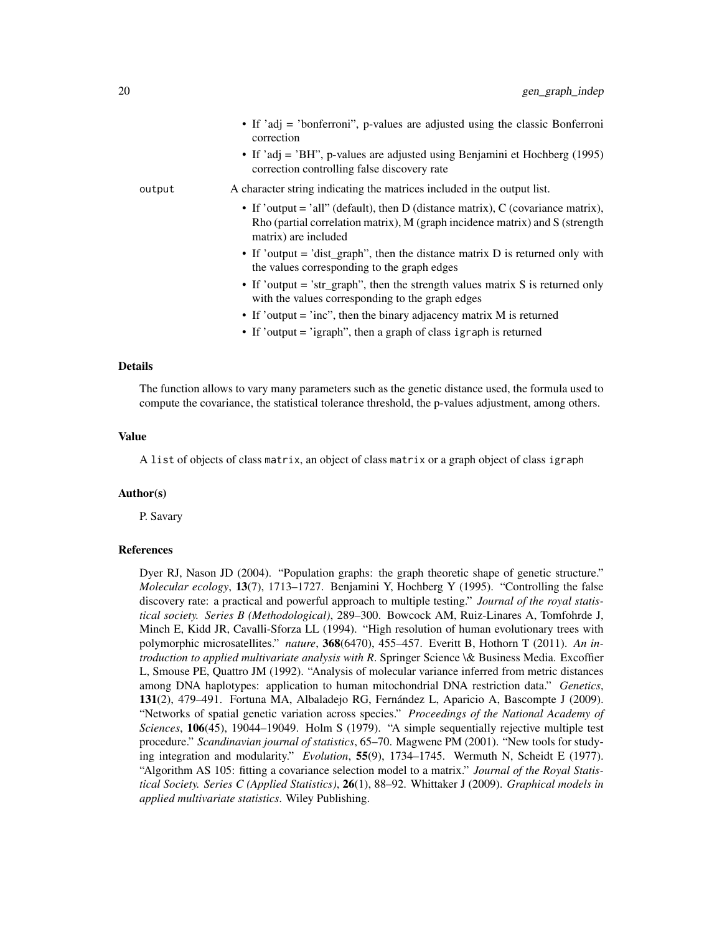|        | • If 'adj = 'bonferroni'', p-values are adjusted using the classic Bonferroni<br>correction<br>• If 'adj = 'BH", p-values are adjusted using Benjamini et Hochberg $(1995)$<br>correction controlling false discovery rate |
|--------|----------------------------------------------------------------------------------------------------------------------------------------------------------------------------------------------------------------------------|
| output | A character string indicating the matrices included in the output list.                                                                                                                                                    |
|        | • If 'output = 'all'' (default), then D (distance matrix), C (covariance matrix),<br>Rho (partial correlation matrix), M (graph incidence matrix) and S (strength<br>matrix) are included                                  |
|        | • If 'output = 'dist_graph'', then the distance matrix $D$ is returned only with<br>the values corresponding to the graph edges                                                                                            |
|        | • If 'output = 'str_graph'', then the strength values matrix S is returned only<br>with the values corresponding to the graph edges                                                                                        |
|        | • If 'output = 'inc'', then the binary adjacency matrix $M$ is returned                                                                                                                                                    |
|        | • If 'output = 'igraph'', then a graph of class igraph is returned                                                                                                                                                         |

#### Details

The function allows to vary many parameters such as the genetic distance used, the formula used to compute the covariance, the statistical tolerance threshold, the p-values adjustment, among others.

#### Value

A list of objects of class matrix, an object of class matrix or a graph object of class igraph

#### Author(s)

P. Savary

#### References

Dyer RJ, Nason JD (2004). "Population graphs: the graph theoretic shape of genetic structure." *Molecular ecology*, 13(7), 1713–1727. Benjamini Y, Hochberg Y (1995). "Controlling the false discovery rate: a practical and powerful approach to multiple testing." *Journal of the royal statistical society. Series B (Methodological)*, 289–300. Bowcock AM, Ruiz-Linares A, Tomfohrde J, Minch E, Kidd JR, Cavalli-Sforza LL (1994). "High resolution of human evolutionary trees with polymorphic microsatellites." *nature*, 368(6470), 455–457. Everitt B, Hothorn T (2011). *An introduction to applied multivariate analysis with R*. Springer Science \& Business Media. Excoffier L, Smouse PE, Quattro JM (1992). "Analysis of molecular variance inferred from metric distances among DNA haplotypes: application to human mitochondrial DNA restriction data." *Genetics*, 131(2), 479–491. Fortuna MA, Albaladejo RG, Fernández L, Aparicio A, Bascompte J (2009). "Networks of spatial genetic variation across species." *Proceedings of the National Academy of Sciences*, 106(45), 19044–19049. Holm S (1979). "A simple sequentially rejective multiple test procedure." *Scandinavian journal of statistics*, 65–70. Magwene PM (2001). "New tools for studying integration and modularity." *Evolution*, 55(9), 1734–1745. Wermuth N, Scheidt E (1977). "Algorithm AS 105: fitting a covariance selection model to a matrix." *Journal of the Royal Statistical Society. Series C (Applied Statistics)*, 26(1), 88–92. Whittaker J (2009). *Graphical models in applied multivariate statistics*. Wiley Publishing.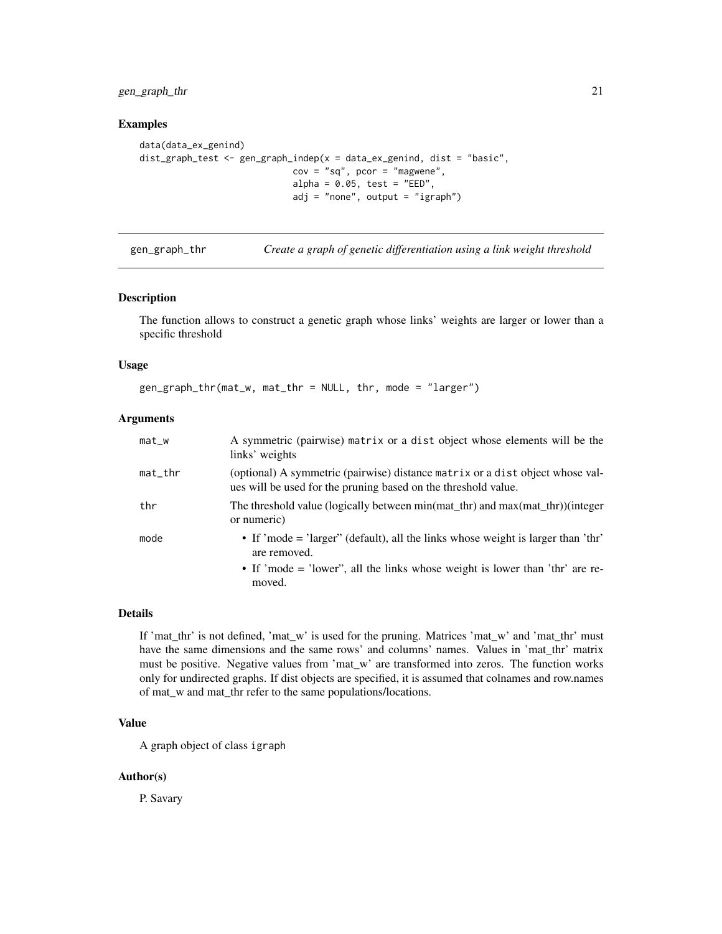<span id="page-20-0"></span>gen\_graph\_thr 21

#### Examples

```
data(data_ex_genind)
dist_graph_test <- gen_graph_indep(x = data_ex_genind, dist = "basic",
                            cov = "sq", por = "magwene",alpha = 0.05, test = "EED",
                            adj = "none", output = "igraph")
```
gen\_graph\_thr *Create a graph of genetic differentiation using a link weight threshold*

#### Description

The function allows to construct a genetic graph whose links' weights are larger or lower than a specific threshold

#### Usage

gen\_graph\_thr(mat\_w, mat\_thr = NULL, thr, mode = "larger")

#### Arguments

| $mat_w$    | A symmetric (pairwise) matrix or a dist object whose elements will be the<br>links' weights                                                     |
|------------|-------------------------------------------------------------------------------------------------------------------------------------------------|
| $mat\_thr$ | (optional) A symmetric (pairwise) distance matrix or a dist object whose val-<br>ues will be used for the pruning based on the threshold value. |
| thr        | The threshold value (logically between min(mat_thr) and max(mat_thr))(integer<br>or numeric)                                                    |
| mode       | • If 'mode = 'larger'' (default), all the links whose weight is larger than 'thr'<br>are removed.                                               |
|            | • If 'mode = 'lower'', all the links whose weight is lower than 'thr' are re-<br>moved.                                                         |

#### Details

If 'mat\_thr' is not defined, 'mat\_w' is used for the pruning. Matrices 'mat\_w' and 'mat\_thr' must have the same dimensions and the same rows' and columns' names. Values in 'mat thr' matrix must be positive. Negative values from 'mat\_w' are transformed into zeros. The function works only for undirected graphs. If dist objects are specified, it is assumed that colnames and row.names of mat\_w and mat\_thr refer to the same populations/locations.

# Value

A graph object of class igraph

#### Author(s)

P. Savary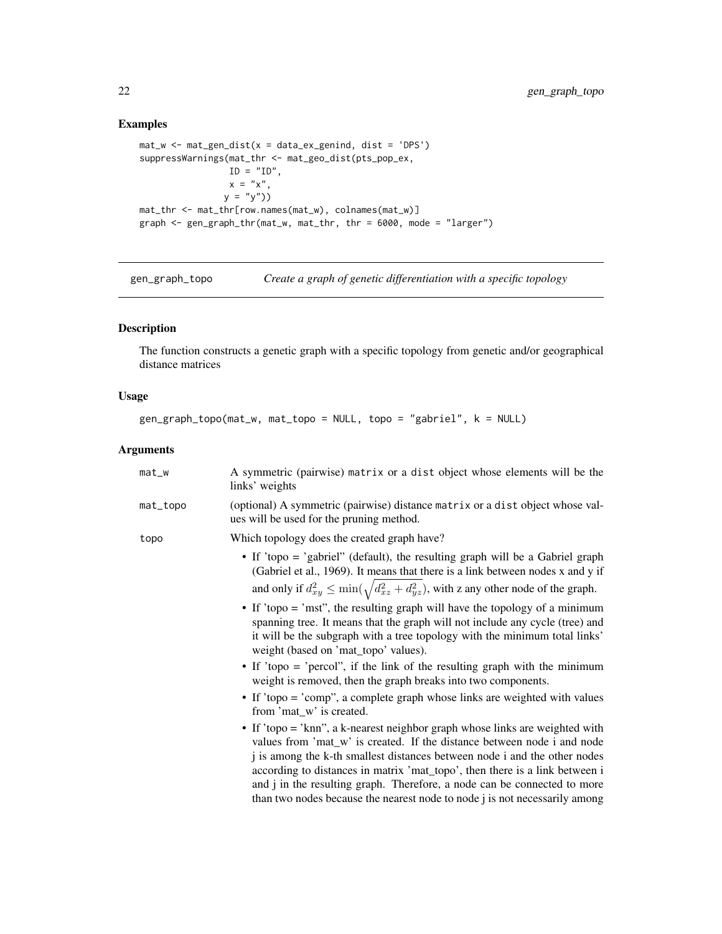# Examples

```
mat_w \leftarrow mat\_gen\_dist(x = data\_ex\_genind, dist = 'DPS')suppressWarnings(mat_thr <- mat_geo_dist(pts_pop_ex,
                 ID = "ID".x = "x",y = "y")mat_thr <- mat_thr[row.names(mat_w), colnames(mat_w)]
graph <- gen_graph_thr(mat_w, mat_thr, thr = 6000, mode = "larger")
```
gen\_graph\_topo *Create a graph of genetic differentiation with a specific topology*

# Description

The function constructs a genetic graph with a specific topology from genetic and/or geographical distance matrices

# Usage

```
gen_graph_topo(mat_w, mat_topo = NULL, topo = "gabriel", k = NULL)
```

| $mat_w$  | A symmetric (pairwise) matrix or a dist object whose elements will be the<br>links' weights                                                                                                                                                                                                                                                                                                                                                                                    |
|----------|--------------------------------------------------------------------------------------------------------------------------------------------------------------------------------------------------------------------------------------------------------------------------------------------------------------------------------------------------------------------------------------------------------------------------------------------------------------------------------|
| mat_topo | (optional) A symmetric (pairwise) distance matrix or a dist object whose val-<br>ues will be used for the pruning method.                                                                                                                                                                                                                                                                                                                                                      |
| topo     | Which topology does the created graph have?                                                                                                                                                                                                                                                                                                                                                                                                                                    |
|          | • If 'topo = 'gabriel'' (default), the resulting graph will be a Gabriel graph<br>(Gabriel et al., 1969). It means that there is a link between nodes x and y if<br>and only if $d_{xy}^2 \le \min(\sqrt{d_{xz}^2 + d_{yz}^2})$ , with z any other node of the graph.                                                                                                                                                                                                          |
|          | • If 'topo = 'mst'', the resulting graph will have the topology of a minimum<br>spanning tree. It means that the graph will not include any cycle (tree) and<br>it will be the subgraph with a tree topology with the minimum total links'<br>weight (based on 'mat_topo' values).                                                                                                                                                                                             |
|          | • If 'topo = 'percol'', if the link of the resulting graph with the minimum<br>weight is removed, then the graph breaks into two components.                                                                                                                                                                                                                                                                                                                                   |
|          | • If 'topo = 'comp'', a complete graph whose links are weighted with values<br>from 'mat_w' is created.                                                                                                                                                                                                                                                                                                                                                                        |
|          | • If 'topo = 'knn'', a k-nearest neighbor graph whose links are weighted with<br>values from 'mat_w' is created. If the distance between node i and node<br>j is among the k-th smallest distances between node i and the other nodes<br>according to distances in matrix 'mat_topo', then there is a link between i<br>and j in the resulting graph. Therefore, a node can be connected to more<br>than two nodes because the nearest node to node j is not necessarily among |

<span id="page-21-0"></span>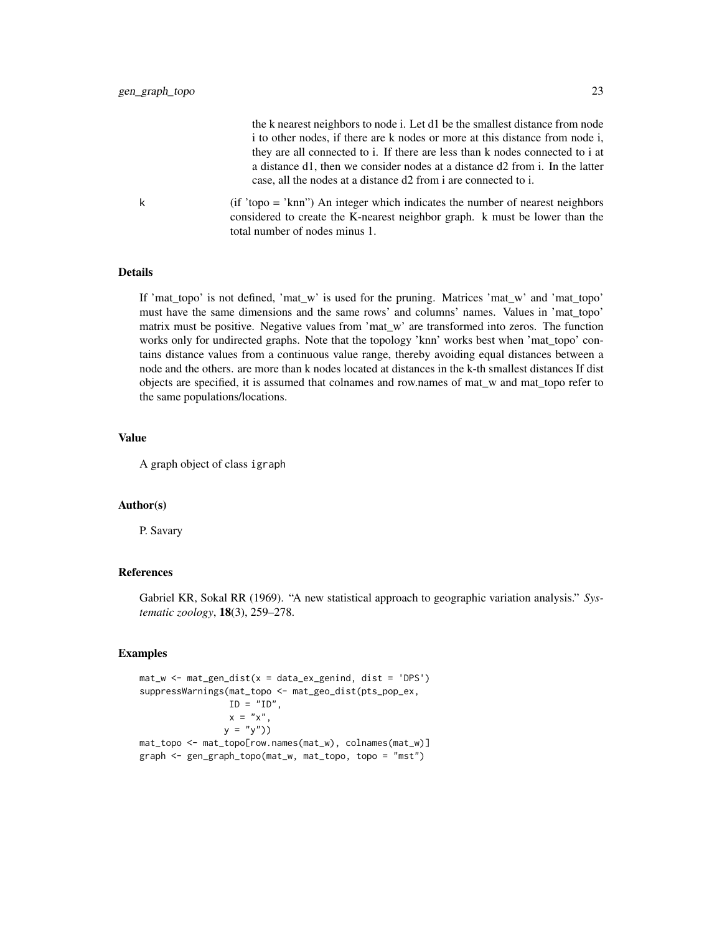the k nearest neighbors to node i. Let d1 be the smallest distance from node i to other nodes, if there are k nodes or more at this distance from node i, they are all connected to i. If there are less than k nodes connected to i at a distance d1, then we consider nodes at a distance d2 from i. In the latter case, all the nodes at a distance d2 from i are connected to i.

k (if 'topo = 'knn") An integer which indicates the number of nearest neighbors considered to create the K-nearest neighbor graph. k must be lower than the total number of nodes minus 1.

# Details

If 'mat\_topo' is not defined, 'mat\_w' is used for the pruning. Matrices 'mat\_w' and 'mat\_topo' must have the same dimensions and the same rows' and columns' names. Values in 'mat\_topo' matrix must be positive. Negative values from 'mat w' are transformed into zeros. The function works only for undirected graphs. Note that the topology 'knn' works best when 'mat\_topo' contains distance values from a continuous value range, thereby avoiding equal distances between a node and the others. are more than k nodes located at distances in the k-th smallest distances If dist objects are specified, it is assumed that colnames and row.names of mat\_w and mat\_topo refer to the same populations/locations.

#### Value

A graph object of class igraph

# Author(s)

P. Savary

## References

Gabriel KR, Sokal RR (1969). "A new statistical approach to geographic variation analysis." *Systematic zoology*, 18(3), 259–278.

#### Examples

```
mat_w <- mat_gen_dist(x = data_ex_genind, dist = 'DPS')
suppressWarnings(mat_topo <- mat_geo_dist(pts_pop_ex,
                ID = "ID",x = "x",y = "y")mat_topo <- mat_topo[row.names(mat_w), colnames(mat_w)]
graph <- gen_graph_topo(mat_w, mat_topo, topo = "mst")
```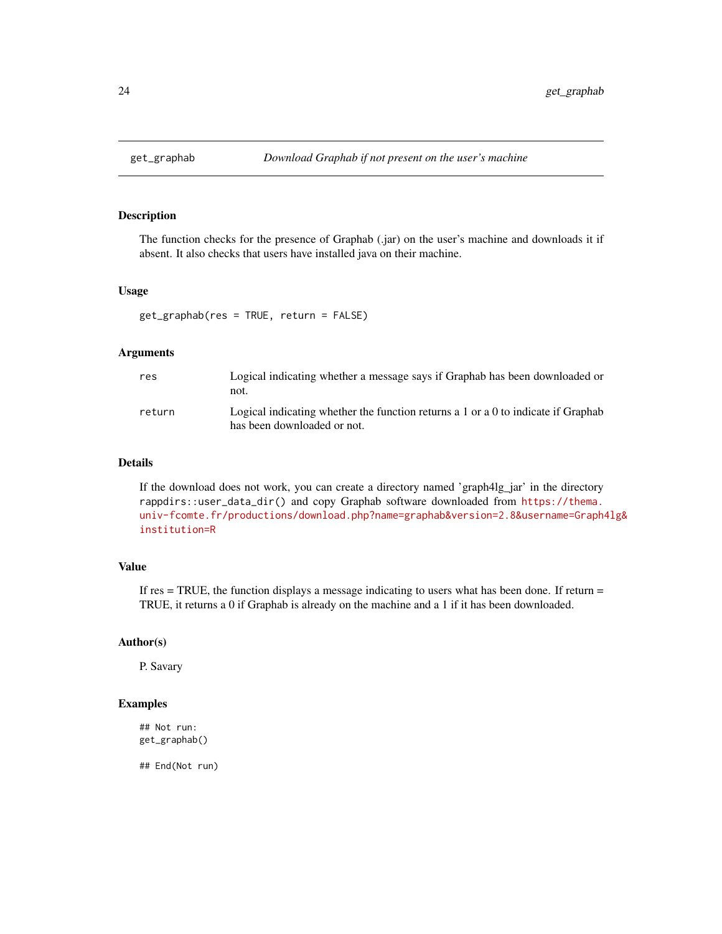<span id="page-23-0"></span>

# Description

The function checks for the presence of Graphab (.jar) on the user's machine and downloads it if absent. It also checks that users have installed java on their machine.

#### Usage

get\_graphab(res = TRUE, return = FALSE)

### Arguments

| res    | Logical indicating whether a message says if Graphab has been downloaded or<br>not.                                  |
|--------|----------------------------------------------------------------------------------------------------------------------|
| return | Logical indicating whether the function returns a $1$ or a $0$ to indicate if Graphab<br>has been downloaded or not. |

#### Details

If the download does not work, you can create a directory named 'graph4lg\_jar' in the directory rappdirs::user\_data\_dir() and copy Graphab software downloaded from [https://thema.](https://thema.univ-fcomte.fr/productions/download.php?name=graphab&version=2.8&username=Graph4lg&institution=R) [univ-fcomte.fr/productions/download.php?name=graphab&version=2.8&username=Graph4](https://thema.univ-fcomte.fr/productions/download.php?name=graphab&version=2.8&username=Graph4lg&institution=R)lg& [institution=R](https://thema.univ-fcomte.fr/productions/download.php?name=graphab&version=2.8&username=Graph4lg&institution=R)

#### Value

If  $res = TRUE$ , the function displays a message indicating to users what has been done. If return  $=$ TRUE, it returns a 0 if Graphab is already on the machine and a 1 if it has been downloaded.

# Author(s)

P. Savary

## Examples

## Not run: get\_graphab()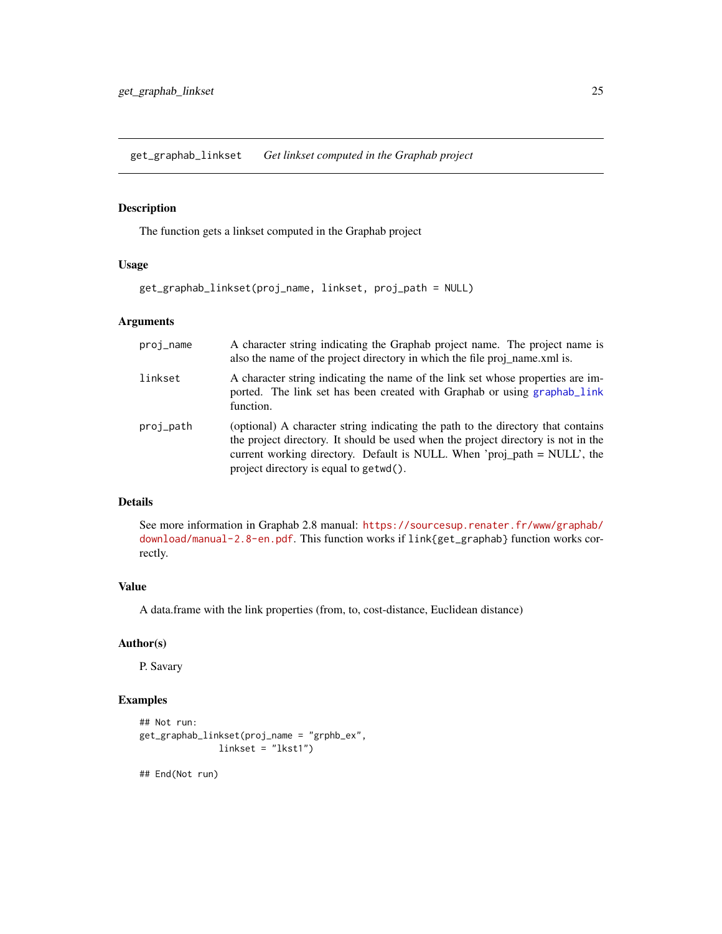<span id="page-24-0"></span>get\_graphab\_linkset *Get linkset computed in the Graphab project*

# Description

The function gets a linkset computed in the Graphab project

# Usage

```
get_graphab_linkset(proj_name, linkset, proj_path = NULL)
```
# Arguments

| proj_name | A character string indicating the Graphab project name. The project name is<br>also the name of the project directory in which the file proj name xml is.                                                                                                                                   |
|-----------|---------------------------------------------------------------------------------------------------------------------------------------------------------------------------------------------------------------------------------------------------------------------------------------------|
| linkset   | A character string indicating the name of the link set whose properties are im-<br>ported. The link set has been created with Graphab or using graphab_link<br>function.                                                                                                                    |
| proj_path | (optional) A character string indicating the path to the directory that contains<br>the project directory. It should be used when the project directory is not in the<br>current working directory. Default is NULL. When 'proj_path = NULL', the<br>project directory is equal to getwd(). |

# Details

See more information in Graphab 2.8 manual: [https://sourcesup.renater.fr/www/graphab/](https://sourcesup.renater.fr/www/graphab/download/manual-2.8-en.pdf) [download/manual-2.8-en.pdf](https://sourcesup.renater.fr/www/graphab/download/manual-2.8-en.pdf). This function works if link{get\_graphab} function works correctly.

# Value

A data.frame with the link properties (from, to, cost-distance, Euclidean distance)

# Author(s)

P. Savary

# Examples

```
## Not run:
get_graphab_linkset(proj_name = "grphb_ex",
               linkset = "lkst1")
```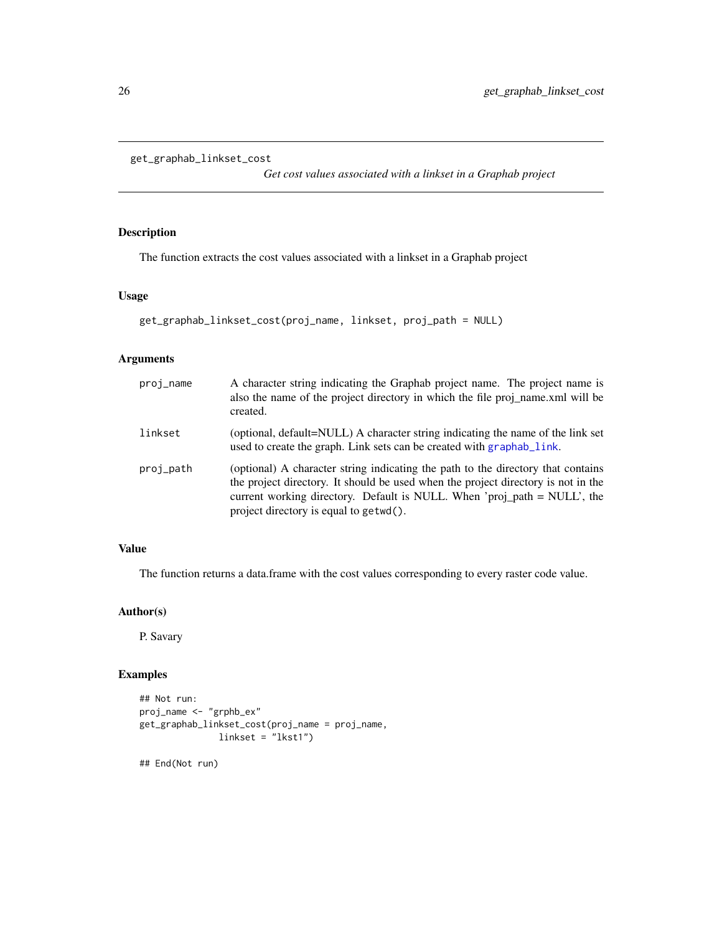```
get_graphab_linkset_cost
```
*Get cost values associated with a linkset in a Graphab project*

# Description

The function extracts the cost values associated with a linkset in a Graphab project

#### Usage

```
get_graphab_linkset_cost(proj_name, linkset, proj_path = NULL)
```
### Arguments

| proj_name | A character string indicating the Graphab project name. The project name is<br>also the name of the project directory in which the file proj_name.xml will be<br>created.                                                                                                                   |
|-----------|---------------------------------------------------------------------------------------------------------------------------------------------------------------------------------------------------------------------------------------------------------------------------------------------|
| linkset   | (optional, default=NULL) A character string indicating the name of the link set<br>used to create the graph. Link sets can be created with graphab_link.                                                                                                                                    |
| proj_path | (optional) A character string indicating the path to the directory that contains<br>the project directory. It should be used when the project directory is not in the<br>current working directory. Default is NULL. When 'proj_path = NULL', the<br>project directory is equal to getwd(). |

# Value

The function returns a data.frame with the cost values corresponding to every raster code value.

# Author(s)

P. Savary

# Examples

```
## Not run:
proj_name <- "grphb_ex"
get_graphab_linkset_cost(proj_name = proj_name,
              linkset = "lkst1")
```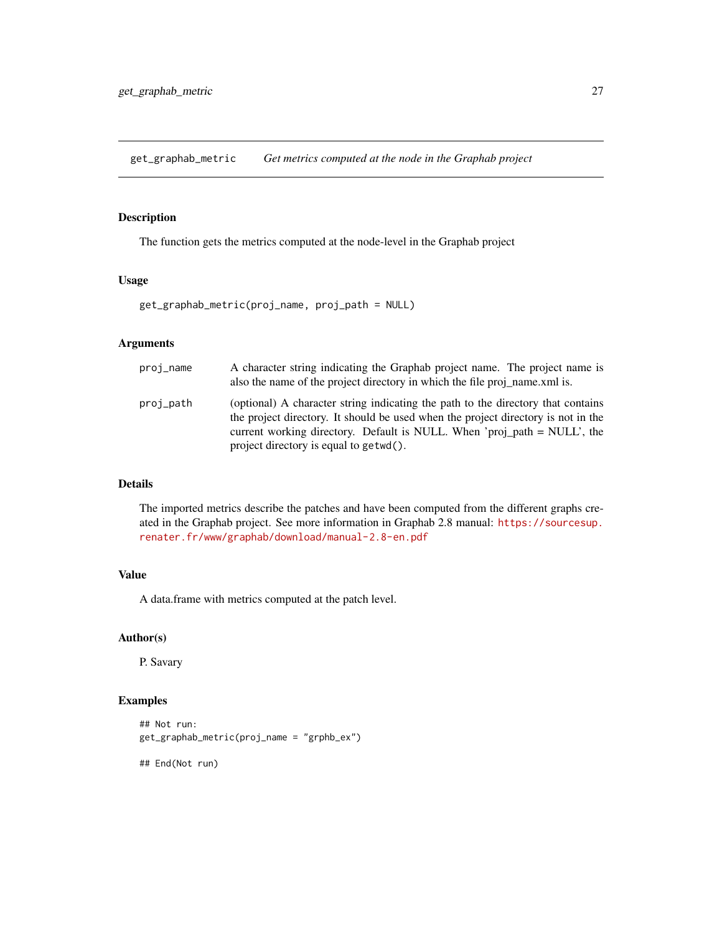<span id="page-26-1"></span><span id="page-26-0"></span>get\_graphab\_metric *Get metrics computed at the node in the Graphab project*

# Description

The function gets the metrics computed at the node-level in the Graphab project

# Usage

get\_graphab\_metric(proj\_name, proj\_path = NULL)

# Arguments

| proj_name | A character string indicating the Graphab project name. The project name is<br>also the name of the project directory in which the file proj name xml is.                                                                                                                                   |
|-----------|---------------------------------------------------------------------------------------------------------------------------------------------------------------------------------------------------------------------------------------------------------------------------------------------|
| proj_path | (optional) A character string indicating the path to the directory that contains<br>the project directory. It should be used when the project directory is not in the<br>current working directory. Default is NULL. When 'proj_path = NULL', the<br>project directory is equal to getwd(). |

# Details

The imported metrics describe the patches and have been computed from the different graphs created in the Graphab project. See more information in Graphab 2.8 manual: [https://sourcesup.](https://sourcesup.renater.fr/www/graphab/download/manual-2.8-en.pdf) [renater.fr/www/graphab/download/manual-2.8-en.pdf](https://sourcesup.renater.fr/www/graphab/download/manual-2.8-en.pdf)

# Value

A data.frame with metrics computed at the patch level.

# Author(s)

P. Savary

# Examples

```
## Not run:
get_graphab_metric(proj_name = "grphb_ex")
```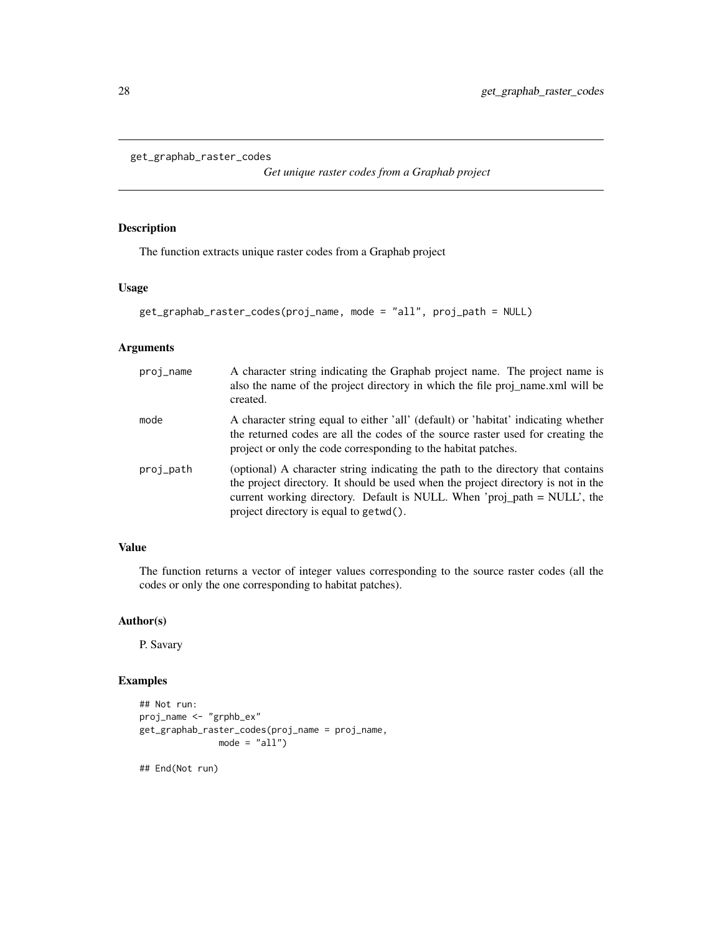```
get_graphab_raster_codes
```
*Get unique raster codes from a Graphab project*

### Description

The function extracts unique raster codes from a Graphab project

# Usage

```
get_graphab_raster_codes(proj_name, mode = "all", proj_path = NULL)
```
# Arguments

| proj_name | A character string indicating the Graphab project name. The project name is<br>also the name of the project directory in which the file proj_name.xml will be<br>created.                                                                                                                   |
|-----------|---------------------------------------------------------------------------------------------------------------------------------------------------------------------------------------------------------------------------------------------------------------------------------------------|
| mode      | A character string equal to either 'all' (default) or 'habitat' indicating whether<br>the returned codes are all the codes of the source raster used for creating the<br>project or only the code corresponding to the habitat patches.                                                     |
| proj_path | (optional) A character string indicating the path to the directory that contains<br>the project directory. It should be used when the project directory is not in the<br>current working directory. Default is NULL. When 'proj_path = NULL', the<br>project directory is equal to getwd(). |

# Value

The function returns a vector of integer values corresponding to the source raster codes (all the codes or only the one corresponding to habitat patches).

# Author(s)

P. Savary

# Examples

```
## Not run:
proj_name <- "grphb_ex"
get_graphab_raster_codes(proj_name = proj_name,
              mode = "all")## End(Not run)
```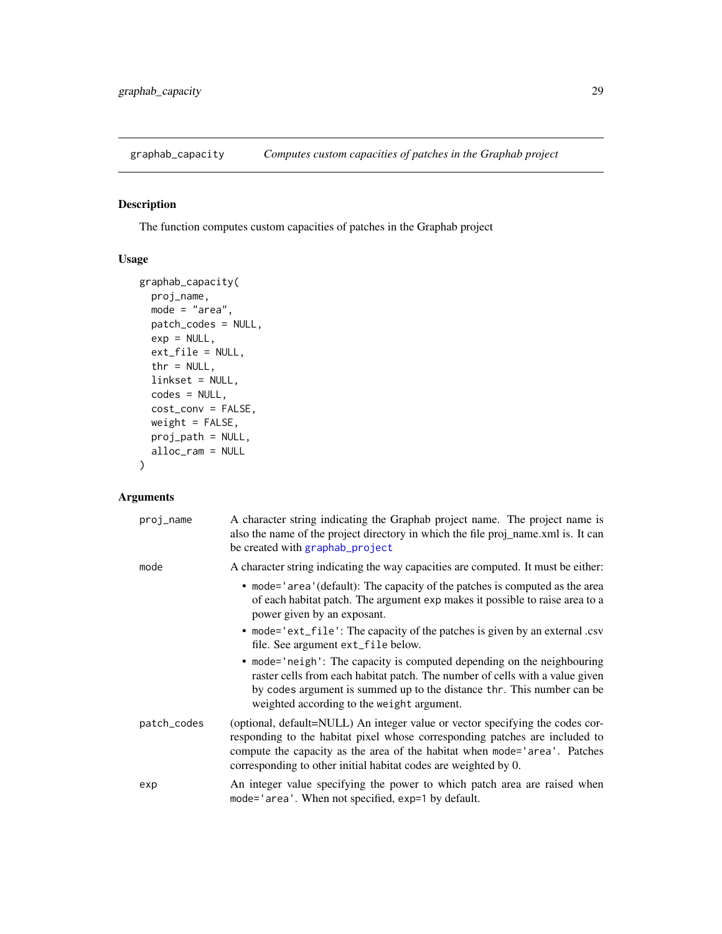<span id="page-28-0"></span>

# Description

The function computes custom capacities of patches in the Graphab project

# Usage

```
graphab_capacity(
 proj_name,
 mode = "area",
 patch_codes = NULL,
 exp = NULL,ext_file = NULL,
 thr = NULL,
 linkset = NULL,
 codes = NULL,
 cost_conv = FALSE,
 weight = FALSE,proj_path = NULL,
 alloc_ram = NULL
)
```

| proj_name   | A character string indicating the Graphab project name. The project name is<br>also the name of the project directory in which the file proj_name.xml is. It can<br>be created with graphab_project                                                                                                          |
|-------------|--------------------------------------------------------------------------------------------------------------------------------------------------------------------------------------------------------------------------------------------------------------------------------------------------------------|
| mode        | A character string indicating the way capacities are computed. It must be either:                                                                                                                                                                                                                            |
|             | • mode='area'(default): The capacity of the patches is computed as the area<br>of each habitat patch. The argument exp makes it possible to raise area to a<br>power given by an exposant.                                                                                                                   |
|             | • mode='ext_file': The capacity of the patches is given by an external .csv<br>file. See argument ext_file below.                                                                                                                                                                                            |
|             | • mode='neigh': The capacity is computed depending on the neighbouring<br>raster cells from each habitat patch. The number of cells with a value given<br>by codes argument is summed up to the distance thr. This number can be<br>weighted according to the weight argument.                               |
| patch_codes | (optional, default=NULL) An integer value or vector specifying the codes cor-<br>responding to the habitat pixel whose corresponding patches are included to<br>compute the capacity as the area of the habitat when mode='area'. Patches<br>corresponding to other initial habitat codes are weighted by 0. |
| exp         | An integer value specifying the power to which patch area are raised when<br>mode='area'. When not specified, exp=1 by default.                                                                                                                                                                              |
|             |                                                                                                                                                                                                                                                                                                              |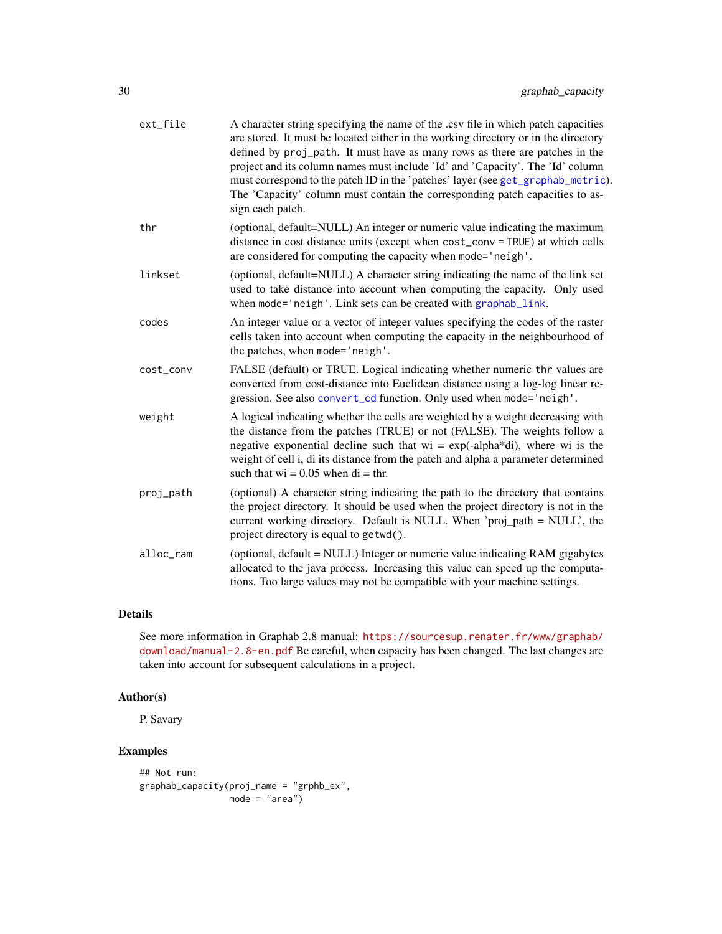| ext_file  | A character string specifying the name of the .csv file in which patch capacities<br>are stored. It must be located either in the working directory or in the directory<br>defined by proj_path. It must have as many rows as there are patches in the<br>project and its column names must include 'Id' and 'Capacity'. The 'Id' column<br>must correspond to the patch ID in the 'patches' layer (see get_graphab_metric).<br>The 'Capacity' column must contain the corresponding patch capacities to as-<br>sign each patch. |
|-----------|----------------------------------------------------------------------------------------------------------------------------------------------------------------------------------------------------------------------------------------------------------------------------------------------------------------------------------------------------------------------------------------------------------------------------------------------------------------------------------------------------------------------------------|
| thr       | (optional, default=NULL) An integer or numeric value indicating the maximum<br>distance in cost distance units (except when cost_conv = TRUE) at which cells<br>are considered for computing the capacity when mode='neigh'.                                                                                                                                                                                                                                                                                                     |
| linkset   | (optional, default=NULL) A character string indicating the name of the link set<br>used to take distance into account when computing the capacity. Only used<br>when mode='neigh'. Link sets can be created with graphab_link.                                                                                                                                                                                                                                                                                                   |
| codes     | An integer value or a vector of integer values specifying the codes of the raster<br>cells taken into account when computing the capacity in the neighbourhood of<br>the patches, when mode='neigh'.                                                                                                                                                                                                                                                                                                                             |
| cost_conv | FALSE (default) or TRUE. Logical indicating whether numeric thr values are<br>converted from cost-distance into Euclidean distance using a log-log linear re-<br>gression. See also convert_cd function. Only used when mode='neigh'.                                                                                                                                                                                                                                                                                            |
| weight    | A logical indicating whether the cells are weighted by a weight decreasing with<br>the distance from the patches (TRUE) or not (FALSE). The weights follow a<br>negative exponential decline such that $wi = exp(-\alpha t)$ , where wi is the<br>weight of cell i, di its distance from the patch and alpha a parameter determined<br>such that $wi = 0.05$ when $di = thr$ .                                                                                                                                                   |
| proj_path | (optional) A character string indicating the path to the directory that contains<br>the project directory. It should be used when the project directory is not in the<br>current working directory. Default is NULL. When 'proj_path = NULL', the<br>project directory is equal to getwd().                                                                                                                                                                                                                                      |
| alloc_ram | (optional, default = NULL) Integer or numeric value indicating RAM gigabytes<br>allocated to the java process. Increasing this value can speed up the computa-<br>tions. Too large values may not be compatible with your machine settings.                                                                                                                                                                                                                                                                                      |
|           |                                                                                                                                                                                                                                                                                                                                                                                                                                                                                                                                  |

# Details

See more information in Graphab 2.8 manual: [https://sourcesup.renater.fr/www/graphab/](https://sourcesup.renater.fr/www/graphab/download/manual-2.8-en.pdf) [download/manual-2.8-en.pdf](https://sourcesup.renater.fr/www/graphab/download/manual-2.8-en.pdf) Be careful, when capacity has been changed. The last changes are taken into account for subsequent calculations in a project.

# Author(s)

P. Savary

# Examples

```
## Not run:
graphab_capacity(proj_name = "grphb_ex",
                mode = "area")
```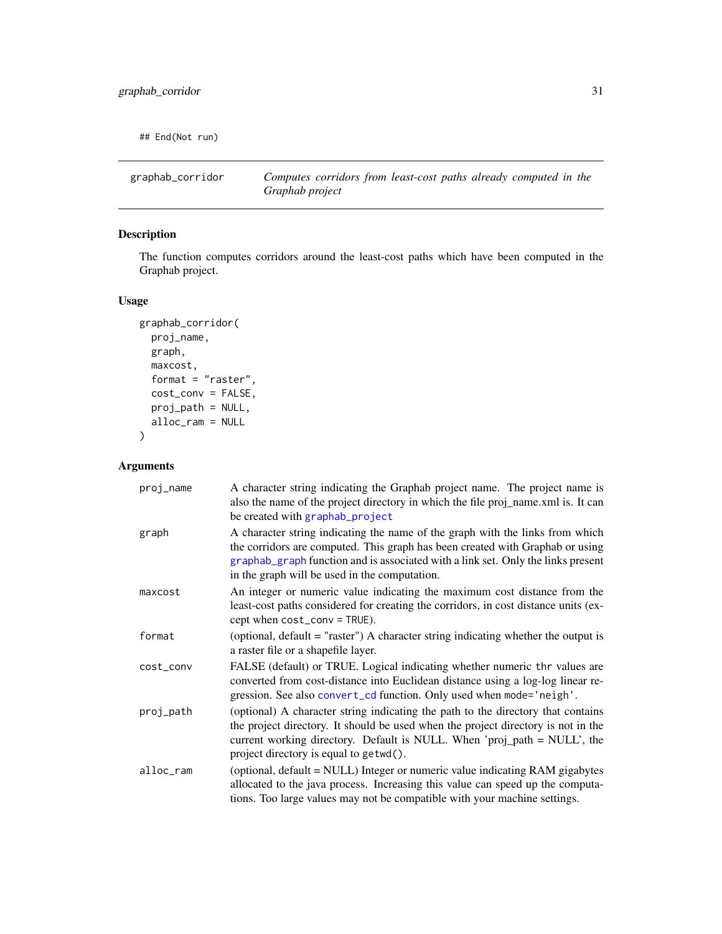<span id="page-30-0"></span>## End(Not run)

graphab\_corridor *Computes corridors from least-cost paths already computed in the Graphab project*

# Description

The function computes corridors around the least-cost paths which have been computed in the Graphab project.

# Usage

```
graphab_corridor(
 proj_name,
 graph,
 maxcost,
 format = "raster",
 cost_conv = FALSE,
 proj_path = NULL,
 alloc_ram = NULL
\lambda
```

| proj_name | A character string indicating the Graphab project name. The project name is<br>also the name of the project directory in which the file proj_name.xml is. It can<br>be created with graphab_project                                                                                                 |
|-----------|-----------------------------------------------------------------------------------------------------------------------------------------------------------------------------------------------------------------------------------------------------------------------------------------------------|
| graph     | A character string indicating the name of the graph with the links from which<br>the corridors are computed. This graph has been created with Graphab or using<br>graphab_graph function and is associated with a link set. Only the links present<br>in the graph will be used in the computation. |
| maxcost   | An integer or numeric value indicating the maximum cost distance from the<br>least-cost paths considered for creating the corridors, in cost distance units (ex-<br>cept when cost_conv = TRUE).                                                                                                    |
| format    | (optional, default = "raster") A character string indicating whether the output is<br>a raster file or a shapefile layer.                                                                                                                                                                           |
| cost_conv | FALSE (default) or TRUE. Logical indicating whether numeric thr values are<br>converted from cost-distance into Euclidean distance using a log-log linear re-<br>gression. See also convert_cd function. Only used when mode='neigh'.                                                               |
| proj_path | (optional) A character string indicating the path to the directory that contains<br>the project directory. It should be used when the project directory is not in the<br>current working directory. Default is NULL. When 'proj_path = NULL', the<br>project directory is equal to getwd().         |
| alloc_ram | (optional, default = NULL) Integer or numeric value indicating RAM gigabytes<br>allocated to the java process. Increasing this value can speed up the computa-<br>tions. Too large values may not be compatible with your machine settings.                                                         |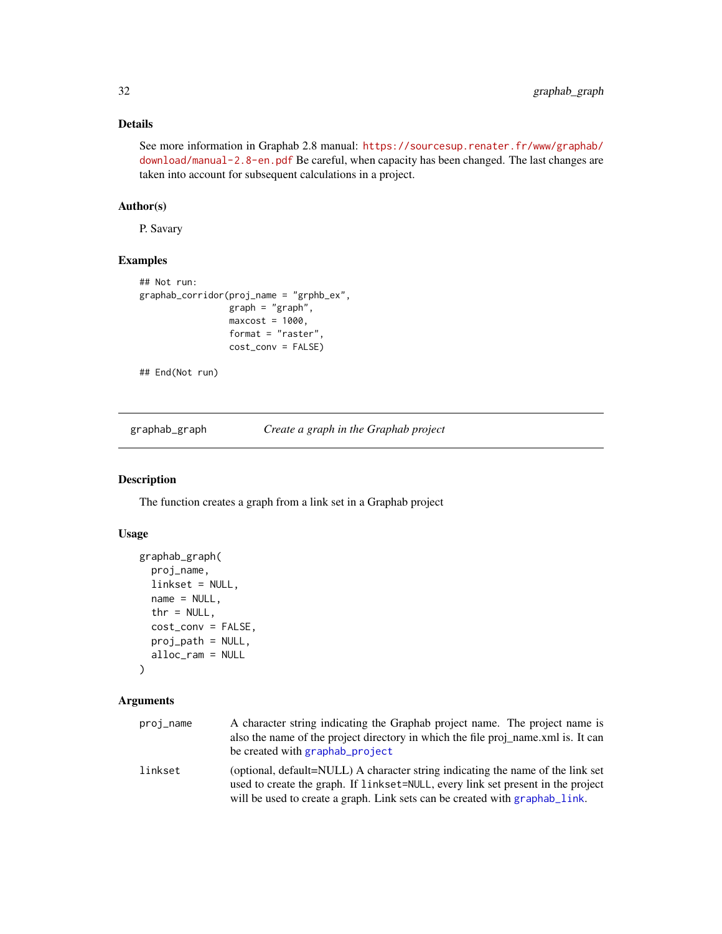# <span id="page-31-0"></span>Details

See more information in Graphab 2.8 manual: [https://sourcesup.renater.fr/www/graphab/](https://sourcesup.renater.fr/www/graphab/download/manual-2.8-en.pdf) [download/manual-2.8-en.pdf](https://sourcesup.renater.fr/www/graphab/download/manual-2.8-en.pdf) Be careful, when capacity has been changed. The last changes are taken into account for subsequent calculations in a project.

# Author(s)

P. Savary

# Examples

```
## Not run:
graphab_corridor(proj_name = "grphb_ex",
                graph = "graph",maxcost = 1000,
                 format = "raster",
                 cost_conv = FALSE)
```
## End(Not run)

<span id="page-31-1"></span>graphab\_graph *Create a graph in the Graphab project*

# Description

The function creates a graph from a link set in a Graphab project

# Usage

```
graphab_graph(
  proj_name,
  linkset = NULL,
 name = NULL,thr = NULL,cost_conv = FALSE,
  proj_path = NULL,
  alloc_ram = NULL
)
```

| proj_name | A character string indicating the Graphab project name. The project name is<br>also the name of the project directory in which the file proj name xml is. It can<br>be created with graphab project                                                |
|-----------|----------------------------------------------------------------------------------------------------------------------------------------------------------------------------------------------------------------------------------------------------|
| linkset   | (optional, default=NULL) A character string indicating the name of the link set<br>used to create the graph. If linkset=NULL, every link set present in the project<br>will be used to create a graph. Link sets can be created with graphab_link. |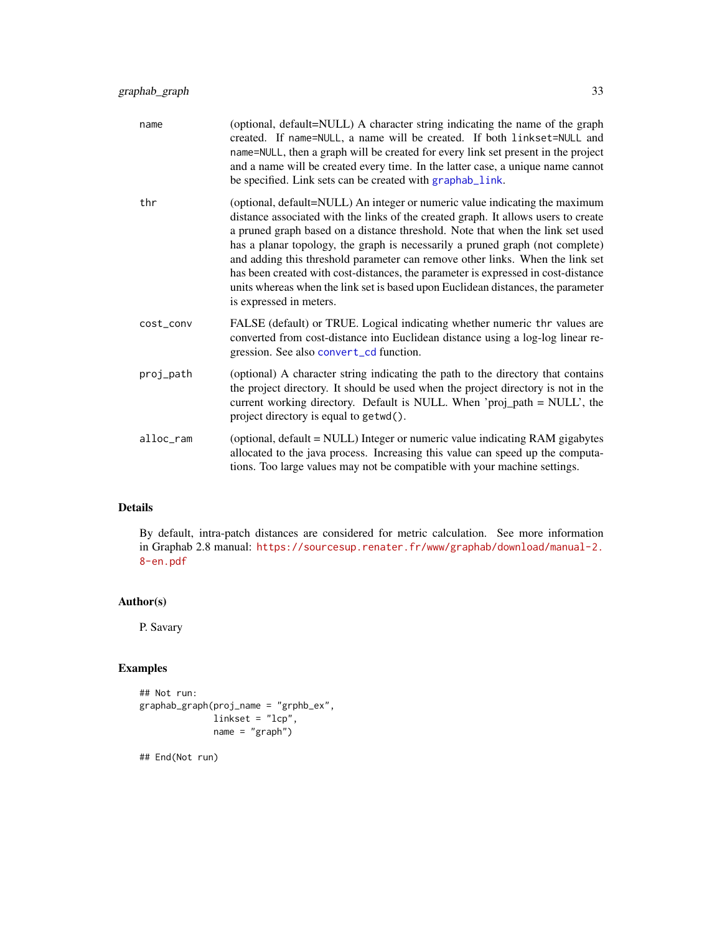| name      | (optional, default=NULL) A character string indicating the name of the graph<br>created. If name=NULL, a name will be created. If both linkset=NULL and<br>name=NULL, then a graph will be created for every link set present in the project<br>and a name will be created every time. In the latter case, a unique name cannot<br>be specified. Link sets can be created with graphab_link.                                                                                                                                                                                                                              |
|-----------|---------------------------------------------------------------------------------------------------------------------------------------------------------------------------------------------------------------------------------------------------------------------------------------------------------------------------------------------------------------------------------------------------------------------------------------------------------------------------------------------------------------------------------------------------------------------------------------------------------------------------|
| thr       | (optional, default=NULL) An integer or numeric value indicating the maximum<br>distance associated with the links of the created graph. It allows users to create<br>a pruned graph based on a distance threshold. Note that when the link set used<br>has a planar topology, the graph is necessarily a pruned graph (not complete)<br>and adding this threshold parameter can remove other links. When the link set<br>has been created with cost-distances, the parameter is expressed in cost-distance<br>units whereas when the link set is based upon Euclidean distances, the parameter<br>is expressed in meters. |
| cost_conv | FALSE (default) or TRUE. Logical indicating whether numeric thr values are<br>converted from cost-distance into Euclidean distance using a log-log linear re-<br>gression. See also convert_cd function.                                                                                                                                                                                                                                                                                                                                                                                                                  |
| proj_path | (optional) A character string indicating the path to the directory that contains<br>the project directory. It should be used when the project directory is not in the<br>current working directory. Default is NULL. When 'proj_path = NULL', the<br>project directory is equal to getwd().                                                                                                                                                                                                                                                                                                                               |
| alloc ram | (optional, default = NULL) Integer or numeric value indicating RAM gigabytes<br>allocated to the java process. Increasing this value can speed up the computa-<br>tions. Too large values may not be compatible with your machine settings.                                                                                                                                                                                                                                                                                                                                                                               |

# Details

By default, intra-patch distances are considered for metric calculation. See more information in Graphab 2.8 manual: [https://sourcesup.renater.fr/www/graphab/download/manual-2.](https://sourcesup.renater.fr/www/graphab/download/manual-2.8-en.pdf) [8-en.pdf](https://sourcesup.renater.fr/www/graphab/download/manual-2.8-en.pdf)

# Author(s)

P. Savary

# Examples

```
## Not run:
graphab_graph(proj_name = "grphb_ex",
             linkset = "lcp",
             name = "graph")
```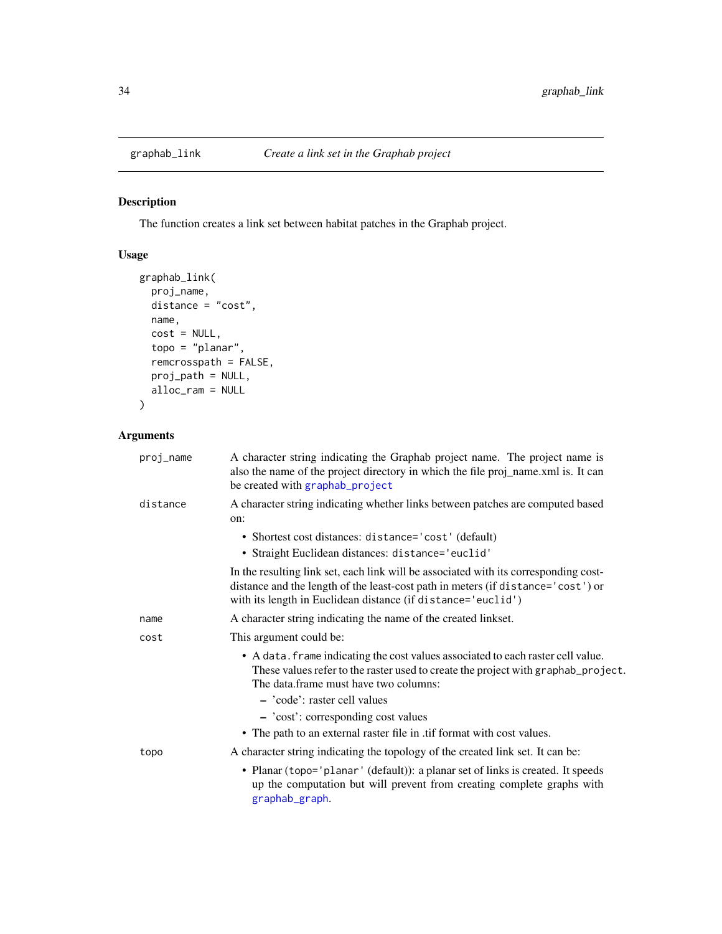<span id="page-33-1"></span><span id="page-33-0"></span>

# Description

The function creates a link set between habitat patches in the Graphab project.

# Usage

```
graphab_link(
  proj_name,
  distance = "cost",
  name,
  cost = NULL,topo = "planar",
  remcrosspath = FALSE,
  proj_path = NULL,
  alloc_ram = NULL
\overline{\phantom{a}}
```

| proj_name | A character string indicating the Graphab project name. The project name is<br>also the name of the project directory in which the file proj_name.xml is. It can<br>be created with graphab_project                                            |
|-----------|------------------------------------------------------------------------------------------------------------------------------------------------------------------------------------------------------------------------------------------------|
| distance  | A character string indicating whether links between patches are computed based<br>on:                                                                                                                                                          |
|           | • Shortest cost distances: distance='cost' (default)<br>· Straight Euclidean distances: distance='euclid'                                                                                                                                      |
|           | In the resulting link set, each link will be associated with its corresponding cost-<br>distance and the length of the least-cost path in meters (if distance='cost') or<br>with its length in Euclidean distance (if distance='euclid')       |
| name      | A character string indicating the name of the created linkset.                                                                                                                                                                                 |
| cost      | This argument could be:                                                                                                                                                                                                                        |
|           | • A data. frame indicating the cost values associated to each raster cell value.<br>These values refer to the raster used to create the project with graphab_project.<br>The data frame must have two columns:<br>- 'code': raster cell values |
|           | - 'cost': corresponding cost values                                                                                                                                                                                                            |
|           | • The path to an external raster file in .tif format with cost values.                                                                                                                                                                         |
| topo      | A character string indicating the topology of the created link set. It can be:                                                                                                                                                                 |
|           | • Planar (topo='planar' (default)): a planar set of links is created. It speeds<br>up the computation but will prevent from creating complete graphs with<br>graphab_graph.                                                                    |
|           |                                                                                                                                                                                                                                                |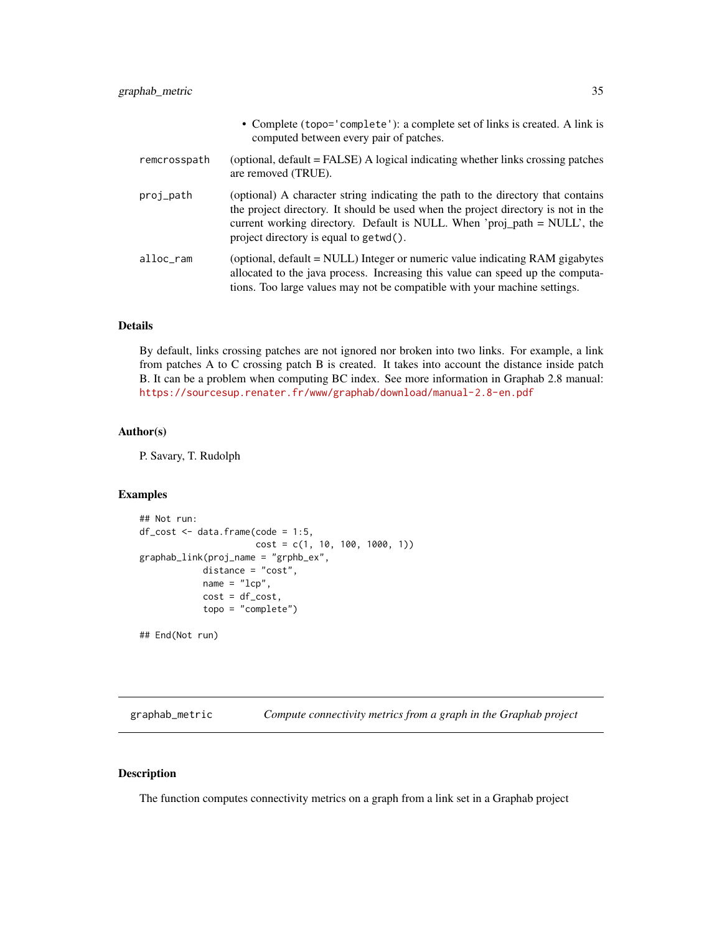<span id="page-34-0"></span>

|              | • Complete (topo='complete'): a complete set of links is created. A link is<br>computed between every pair of patches.                                                                                                                                                                      |
|--------------|---------------------------------------------------------------------------------------------------------------------------------------------------------------------------------------------------------------------------------------------------------------------------------------------|
| remcrosspath | (optional, default = FALSE) A logical indicating whether links crossing patches<br>are removed (TRUE).                                                                                                                                                                                      |
| proj_path    | (optional) A character string indicating the path to the directory that contains<br>the project directory. It should be used when the project directory is not in the<br>current working directory. Default is NULL. When 'proj_path = NULL', the<br>project directory is equal to getwd(). |
| alloc_ram    | (optional, default = NULL) Integer or numeric value indicating RAM gigabytes<br>allocated to the java process. Increasing this value can speed up the computa-<br>tions. Too large values may not be compatible with your machine settings.                                                 |

# Details

By default, links crossing patches are not ignored nor broken into two links. For example, a link from patches A to C crossing patch B is created. It takes into account the distance inside patch B. It can be a problem when computing BC index. See more information in Graphab 2.8 manual: <https://sourcesup.renater.fr/www/graphab/download/manual-2.8-en.pdf>

# Author(s)

P. Savary, T. Rudolph

# Examples

```
## Not run:
df\_cost \leftarrow data frame(code = 1:5,cost = c(1, 10, 100, 1000, 1))
graphab_link(proj_name = "grphb_ex",
            distance = "cost",
            name = "lcp",cost = df\_cost,topo = "complete")
## End(Not run)
```
graphab\_metric *Compute connectivity metrics from a graph in the Graphab project*

#### Description

The function computes connectivity metrics on a graph from a link set in a Graphab project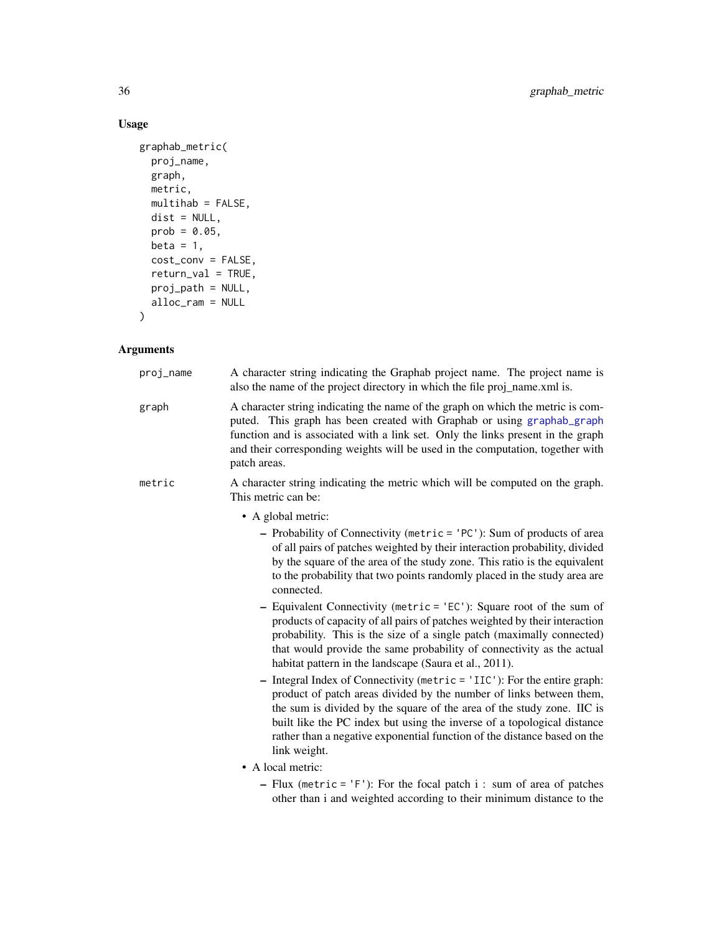# Usage

```
graphab_metric(
  proj_name,
  graph,
  metric,
  multihab = FALSE,
  dist = NULL,prob = 0.05,
  beta = 1,
  cost_conv = FALSE,
  return_val = TRUE,
  proj_path = NULL,
  alloc_ram = NULL
\mathcal{L}
```

| proj_name | A character string indicating the Graphab project name. The project name is<br>also the name of the project directory in which the file proj_name.xml is.                                                                                                                                                                                                                                        |
|-----------|--------------------------------------------------------------------------------------------------------------------------------------------------------------------------------------------------------------------------------------------------------------------------------------------------------------------------------------------------------------------------------------------------|
| graph     | A character string indicating the name of the graph on which the metric is com-<br>puted. This graph has been created with Graphab or using graphab_graph<br>function and is associated with a link set. Only the links present in the graph<br>and their corresponding weights will be used in the computation, together with<br>patch areas.                                                   |
| metric    | A character string indicating the metric which will be computed on the graph.<br>This metric can be:                                                                                                                                                                                                                                                                                             |
|           | • A global metric:                                                                                                                                                                                                                                                                                                                                                                               |
|           | - Probability of Connectivity (metric = 'PC'): Sum of products of area<br>of all pairs of patches weighted by their interaction probability, divided<br>by the square of the area of the study zone. This ratio is the equivalent<br>to the probability that two points randomly placed in the study area are<br>connected.                                                                      |
|           | - Equivalent Connectivity (metric = 'EC'): Square root of the sum of<br>products of capacity of all pairs of patches weighted by their interaction<br>probability. This is the size of a single patch (maximally connected)<br>that would provide the same probability of connectivity as the actual<br>habitat pattern in the landscape (Saura et al., 2011).                                   |
|           | - Integral Index of Connectivity (metric = 'IIC'): For the entire graph:<br>product of patch areas divided by the number of links between them,<br>the sum is divided by the square of the area of the study zone. IIC is<br>built like the PC index but using the inverse of a topological distance<br>rather than a negative exponential function of the distance based on the<br>link weight. |
|           | • A local metric:                                                                                                                                                                                                                                                                                                                                                                                |
|           | - Flux (metric = 'F'): For the focal patch $i$ : sum of area of patches<br>other than i and weighted according to their minimum distance to the                                                                                                                                                                                                                                                  |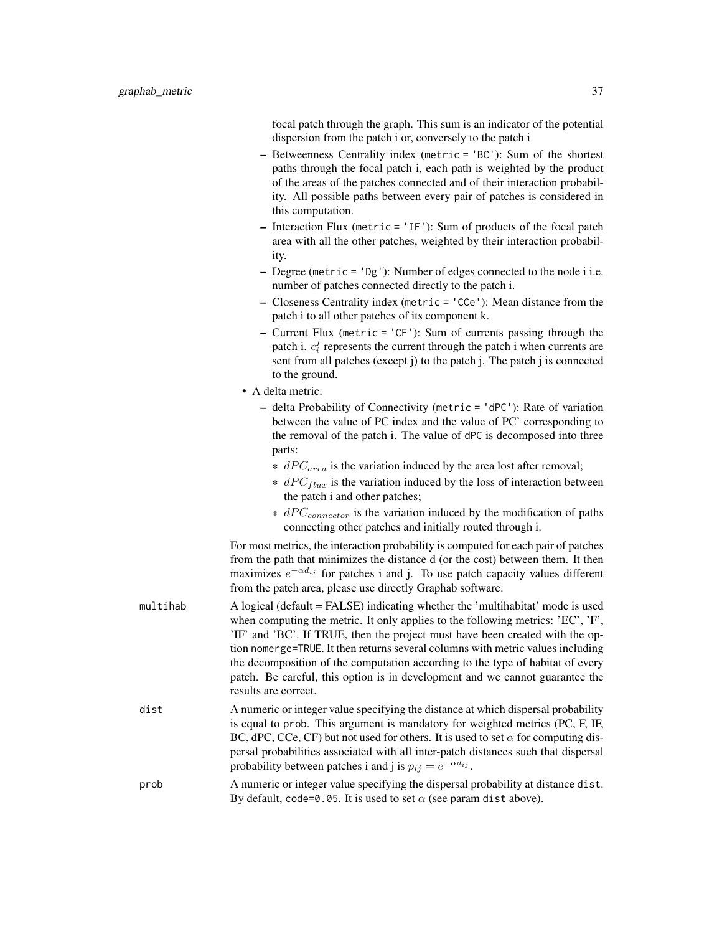focal patch through the graph. This sum is an indicator of the potential dispersion from the patch i or, conversely to the patch i

- Betweenness Centrality index (metric = 'BC'): Sum of the shortest paths through the focal patch i, each path is weighted by the product of the areas of the patches connected and of their interaction probability. All possible paths between every pair of patches is considered in this computation.
- Interaction Flux (metric = 'IF'): Sum of products of the focal patch area with all the other patches, weighted by their interaction probability.
- Degree (metric = 'Dg'): Number of edges connected to the node i i.e. number of patches connected directly to the patch i.
- Closeness Centrality index (metric = 'CCe'): Mean distance from the patch i to all other patches of its component k.
- Current Flux (metric = 'CF'): Sum of currents passing through the patch i.  $c_i^j$  represents the current through the patch i when currents are sent from all patches (except j) to the patch j. The patch j is connected to the ground.
- A delta metric:
	- delta Probability of Connectivity (metric = 'dPC'): Rate of variation between the value of PC index and the value of PC' corresponding to the removal of the patch i. The value of dPC is decomposed into three parts:
		- $*$  dPC<sub>area</sub> is the variation induced by the area lost after removal;
		- $*$  dPC<sub>flux</sub> is the variation induced by the loss of interaction between the patch i and other patches;
		- $*$  dPC<sub>connector</sub> is the variation induced by the modification of paths connecting other patches and initially routed through i.

For most metrics, the interaction probability is computed for each pair of patches from the path that minimizes the distance d (or the cost) between them. It then maximizes  $e^{-\alpha d_{ij}}$  for patches i and j. To use patch capacity values different from the patch area, please use directly Graphab software.

- multihab A logical (default = FALSE) indicating whether the 'multihabitat' mode is used when computing the metric. It only applies to the following metrics: 'EC', 'F', 'IF' and 'BC'. If TRUE, then the project must have been created with the option nomerge=TRUE. It then returns several columns with metric values including the decomposition of the computation according to the type of habitat of every patch. Be careful, this option is in development and we cannot guarantee the results are correct.
- dist A numeric or integer value specifying the distance at which dispersal probability is equal to prob. This argument is mandatory for weighted metrics (PC, F, IF, BC, dPC, CCe, CF) but not used for others. It is used to set  $\alpha$  for computing dispersal probabilities associated with all inter-patch distances such that dispersal probability between patches i and j is  $p_{ij} = e^{-\alpha d_{ij}}$ .
- prob A numeric or integer value specifying the dispersal probability at distance dist. By default, code=0.05. It is used to set  $\alpha$  (see param dist above).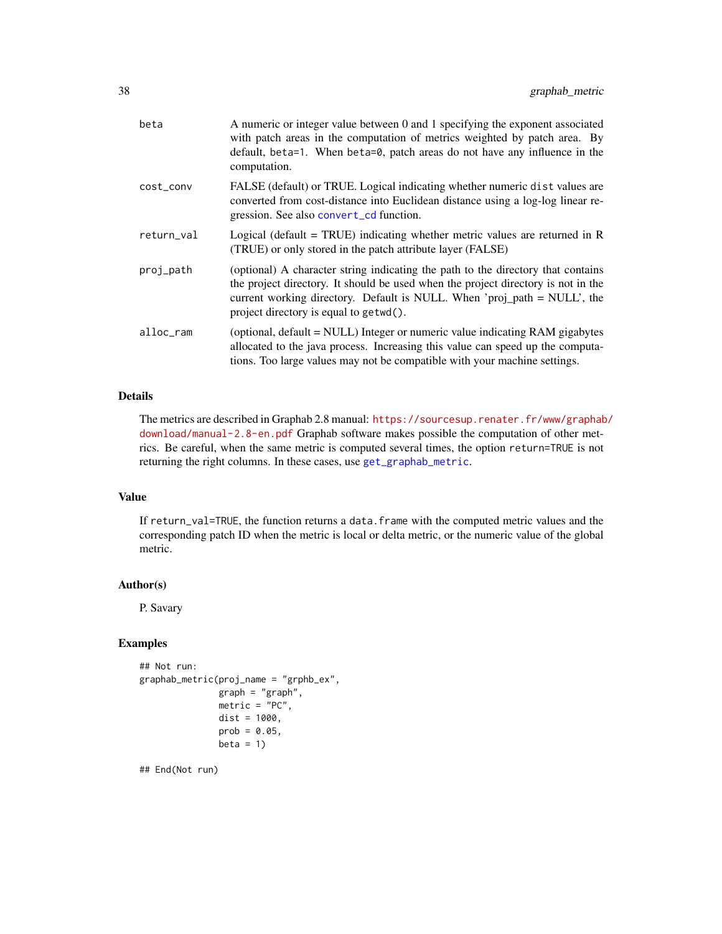| beta       | A numeric or integer value between 0 and 1 specifying the exponent associated<br>with patch areas in the computation of metrics weighted by patch area. By<br>default, beta=1. When beta=0, patch areas do not have any influence in the<br>computation.                                    |
|------------|---------------------------------------------------------------------------------------------------------------------------------------------------------------------------------------------------------------------------------------------------------------------------------------------|
| cost_conv  | FALSE (default) or TRUE. Logical indicating whether numeric dist values are<br>converted from cost-distance into Euclidean distance using a log-log linear re-<br>gression. See also convert_cd function.                                                                                   |
| return_val | Logical (default = TRUE) indicating whether metric values are returned in R<br>(TRUE) or only stored in the patch attribute layer (FALSE)                                                                                                                                                   |
| proj_path  | (optional) A character string indicating the path to the directory that contains<br>the project directory. It should be used when the project directory is not in the<br>current working directory. Default is NULL. When 'proj_path = NULL', the<br>project directory is equal to getwd(). |
| alloc_ram  | (optional, default = NULL) Integer or numeric value indicating RAM gigabytes<br>allocated to the java process. Increasing this value can speed up the computa-<br>tions. Too large values may not be compatible with your machine settings.                                                 |

The metrics are described in Graphab 2.8 manual: [https://sourcesup.renater.fr/www/graphab](https://sourcesup.renater.fr/www/graphab/download/manual-2.8-en.pdf)/ [download/manual-2.8-en.pdf](https://sourcesup.renater.fr/www/graphab/download/manual-2.8-en.pdf) Graphab software makes possible the computation of other metrics. Be careful, when the same metric is computed several times, the option return=TRUE is not returning the right columns. In these cases, use [get\\_graphab\\_metric](#page-26-0).

#### Value

If return\_val=TRUE, the function returns a data.frame with the computed metric values and the corresponding patch ID when the metric is local or delta metric, or the numeric value of the global metric.

#### Author(s)

P. Savary

### Examples

```
## Not run:
graphab_metric(proj_name = "grphb_ex",
              graph = "graph",
              metric = "PC",dist = 1000,prob = 0.05,
              beta = 1
```
## End(Not run)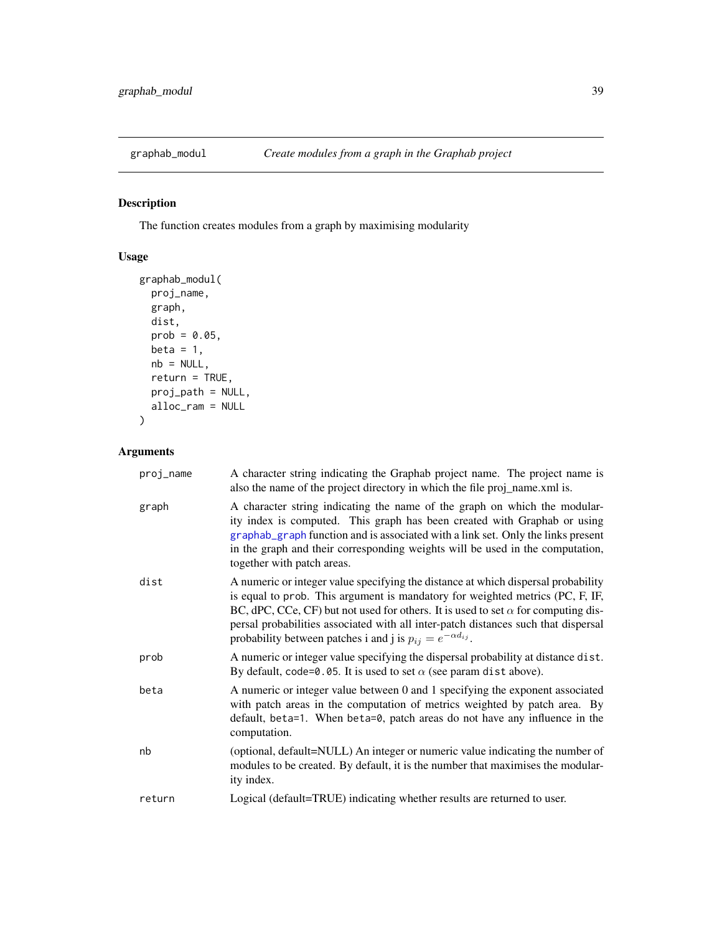## Description

The function creates modules from a graph by maximising modularity

# Usage

```
graphab_modul(
 proj_name,
 graph,
 dist,
 prob = 0.05,
 beta = 1,
 nb = NULL,return = TRUE,
 proj_path = NULL,
 alloc_ram = NULL
)
```

| proj_name | A character string indicating the Graphab project name. The project name is<br>also the name of the project directory in which the file proj_name.xml is.                                                                                                                                                                                                                                                                      |
|-----------|--------------------------------------------------------------------------------------------------------------------------------------------------------------------------------------------------------------------------------------------------------------------------------------------------------------------------------------------------------------------------------------------------------------------------------|
| graph     | A character string indicating the name of the graph on which the modular-<br>ity index is computed. This graph has been created with Graphab or using<br>graphab_graph function and is associated with a link set. Only the links present<br>in the graph and their corresponding weights will be used in the computation,<br>together with patch areas.                                                                       |
| dist      | A numeric or integer value specifying the distance at which dispersal probability<br>is equal to prob. This argument is mandatory for weighted metrics (PC, F, IF,<br>BC, dPC, CCe, CF) but not used for others. It is used to set $\alpha$ for computing dis-<br>persal probabilities associated with all inter-patch distances such that dispersal<br>probability between patches i and j is $p_{ij} = e^{-\alpha d_{ij}}$ . |
| prob      | A numeric or integer value specifying the dispersal probability at distance dist.<br>By default, code=0.05. It is used to set $\alpha$ (see param dist above).                                                                                                                                                                                                                                                                 |
| beta      | A numeric or integer value between 0 and 1 specifying the exponent associated<br>with patch areas in the computation of metrics weighted by patch area. By<br>default, beta=1. When beta=0, patch areas do not have any influence in the<br>computation.                                                                                                                                                                       |
| nb        | (optional, default=NULL) An integer or numeric value indicating the number of<br>modules to be created. By default, it is the number that maximises the modular-<br>ity index.                                                                                                                                                                                                                                                 |
| return    | Logical (default=TRUE) indicating whether results are returned to user.                                                                                                                                                                                                                                                                                                                                                        |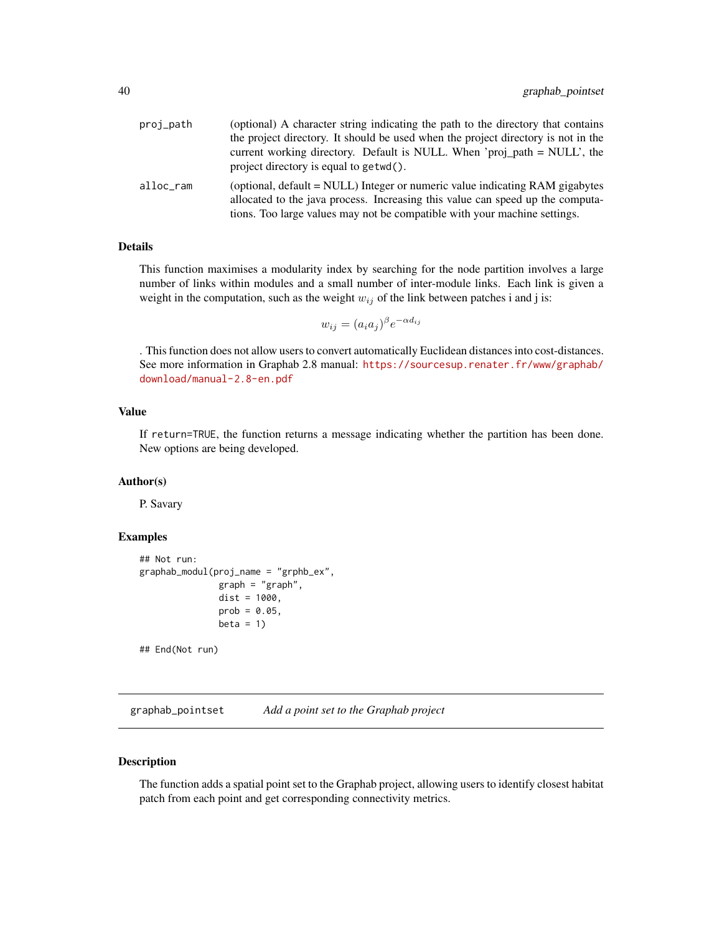| proj_path | (optional) A character string indicating the path to the directory that contains<br>the project directory. It should be used when the project directory is not in the                                                                       |
|-----------|---------------------------------------------------------------------------------------------------------------------------------------------------------------------------------------------------------------------------------------------|
|           | current working directory. Default is NULL. When 'proj_path = NULL', the<br>project directory is equal to get wd().                                                                                                                         |
| alloc_ram | (optional, default = NULL) Integer or numeric value indicating RAM gigabytes<br>allocated to the java process. Increasing this value can speed up the computa-<br>tions. Too large values may not be compatible with your machine settings. |

This function maximises a modularity index by searching for the node partition involves a large number of links within modules and a small number of inter-module links. Each link is given a weight in the computation, such as the weight  $w_{ij}$  of the link between patches i and j is:

$$
w_{ij} = (a_i a_j)^{\beta} e^{-\alpha d_{ij}}
$$

. This function does not allow users to convert automatically Euclidean distances into cost-distances. See more information in Graphab 2.8 manual: [https://sourcesup.renater.fr/www/graphab/](https://sourcesup.renater.fr/www/graphab/download/manual-2.8-en.pdf) [download/manual-2.8-en.pdf](https://sourcesup.renater.fr/www/graphab/download/manual-2.8-en.pdf)

# Value

If return=TRUE, the function returns a message indicating whether the partition has been done. New options are being developed.

#### Author(s)

P. Savary

#### Examples

```
## Not run:
graphab_modul(proj_name = "grphb_ex",
              graph = "graph",dist = 1000,prob = 0.05,
              beta = 1
```
## End(Not run)

graphab\_pointset *Add a point set to the Graphab project*

#### Description

The function adds a spatial point set to the Graphab project, allowing users to identify closest habitat patch from each point and get corresponding connectivity metrics.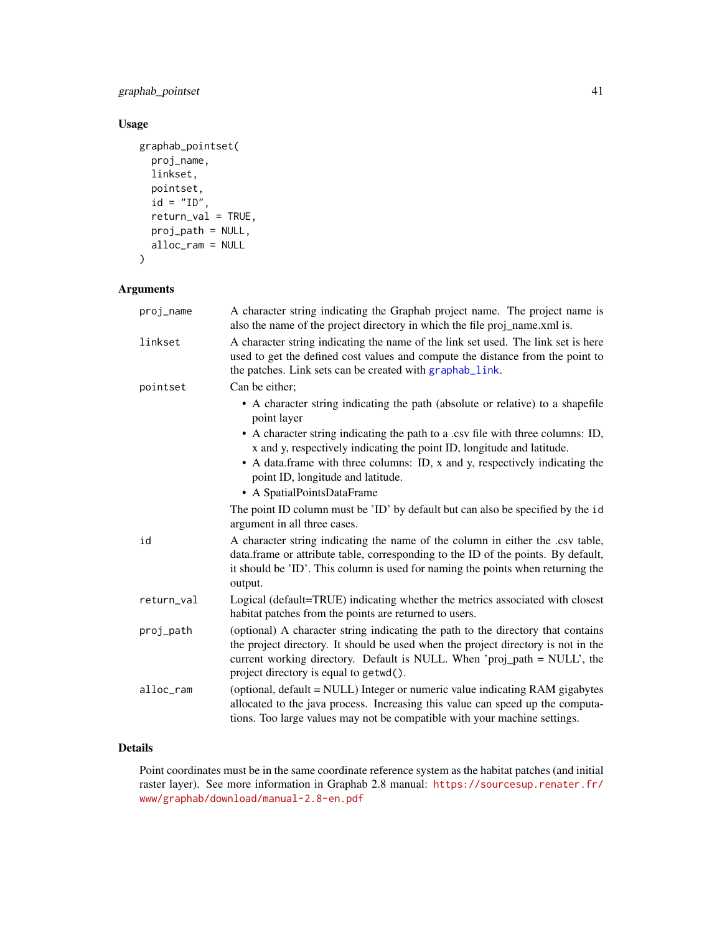### graphab\_pointset 41

# Usage

```
graphab_pointset(
  proj_name,
  linkset,
  pointset,
  id = "ID",return_val = TRUE,
  proj_path = NULL,
  alloc_ram = NULL
\mathcal{L}
```
### Arguments

| proj_name  | A character string indicating the Graphab project name. The project name is<br>also the name of the project directory in which the file proj_name.xml is.                                                                                                                                   |
|------------|---------------------------------------------------------------------------------------------------------------------------------------------------------------------------------------------------------------------------------------------------------------------------------------------|
| linkset    | A character string indicating the name of the link set used. The link set is here<br>used to get the defined cost values and compute the distance from the point to<br>the patches. Link sets can be created with graphab_link.                                                             |
| pointset   | Can be either:                                                                                                                                                                                                                                                                              |
|            | • A character string indicating the path (absolute or relative) to a shapefile<br>point layer                                                                                                                                                                                               |
|            | • A character string indicating the path to a .csv file with three columns: ID,<br>x and y, respectively indicating the point ID, longitude and latitude.                                                                                                                                   |
|            | • A data frame with three columns: ID, x and y, respectively indicating the<br>point ID, longitude and latitude.                                                                                                                                                                            |
|            | • A SpatialPointsDataFrame                                                                                                                                                                                                                                                                  |
|            | The point ID column must be 'ID' by default but can also be specified by the id<br>argument in all three cases.                                                                                                                                                                             |
| id         | A character string indicating the name of the column in either the .csv table,<br>data.frame or attribute table, corresponding to the ID of the points. By default,<br>it should be 'ID'. This column is used for naming the points when returning the<br>output.                           |
| return_val | Logical (default=TRUE) indicating whether the metrics associated with closest<br>habitat patches from the points are returned to users.                                                                                                                                                     |
| proj_path  | (optional) A character string indicating the path to the directory that contains<br>the project directory. It should be used when the project directory is not in the<br>current working directory. Default is NULL. When 'proj_path = NULL', the<br>project directory is equal to getwd(). |
| alloc_ram  | (optional, default = NULL) Integer or numeric value indicating RAM gigabytes<br>allocated to the java process. Increasing this value can speed up the computa-<br>tions. Too large values may not be compatible with your machine settings.                                                 |

# Details

Point coordinates must be in the same coordinate reference system as the habitat patches (and initial raster layer). See more information in Graphab 2.8 manual: [https://sourcesup.renater.fr/](https://sourcesup.renater.fr/www/graphab/download/manual-2.8-en.pdf) [www/graphab/download/manual-2.8-en.pdf](https://sourcesup.renater.fr/www/graphab/download/manual-2.8-en.pdf)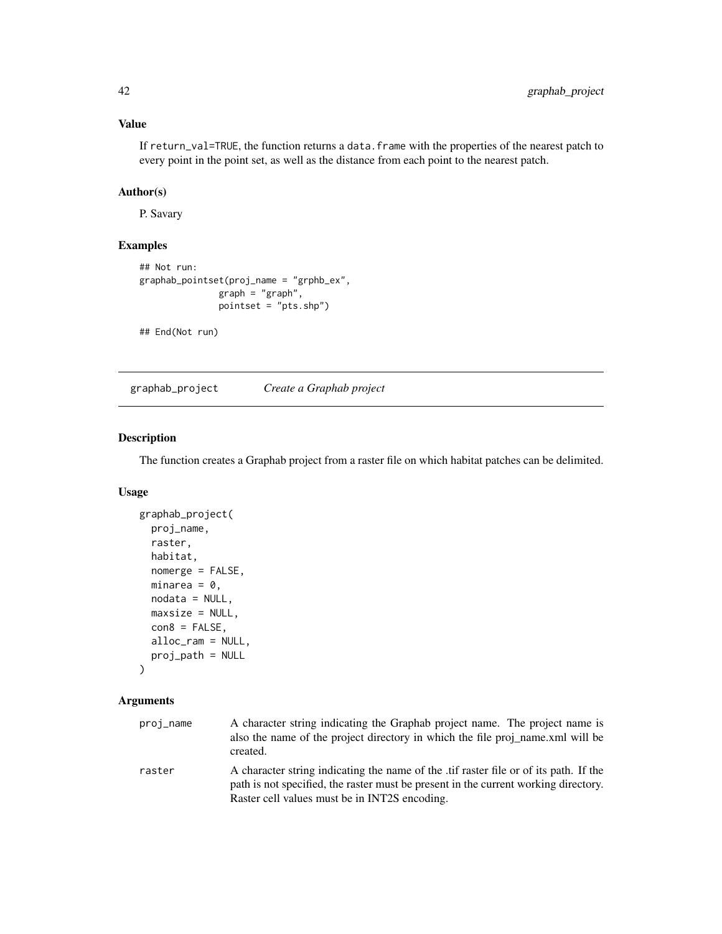# Value

If return\_val=TRUE, the function returns a data.frame with the properties of the nearest patch to every point in the point set, as well as the distance from each point to the nearest patch.

## Author(s)

P. Savary

# Examples

```
## Not run:
graphab_pointset(proj_name = "grphb_ex",
               graph = "graph",pointset = "pts.shp")
```
## End(Not run)

graphab\_project *Create a Graphab project*

#### Description

The function creates a Graphab project from a raster file on which habitat patches can be delimited.

### Usage

```
graphab_project(
 proj_name,
  raster,
 habitat,
 nomerge = FALSE,
 minarea = 0,
 nodata = NULL,
 maxsize = NULL,con8 = FALSE,alloc_ram = NULL,
 proj_path = NULL
\lambda
```

| proj_name | A character string indicating the Graphab project name. The project name is<br>also the name of the project directory in which the file proj name, xml will be<br>created.                                                   |
|-----------|------------------------------------------------------------------------------------------------------------------------------------------------------------------------------------------------------------------------------|
| raster    | A character string indicating the name of the tif raster file or of its path. If the<br>path is not specified, the raster must be present in the current working directory.<br>Raster cell values must be in INT2S encoding. |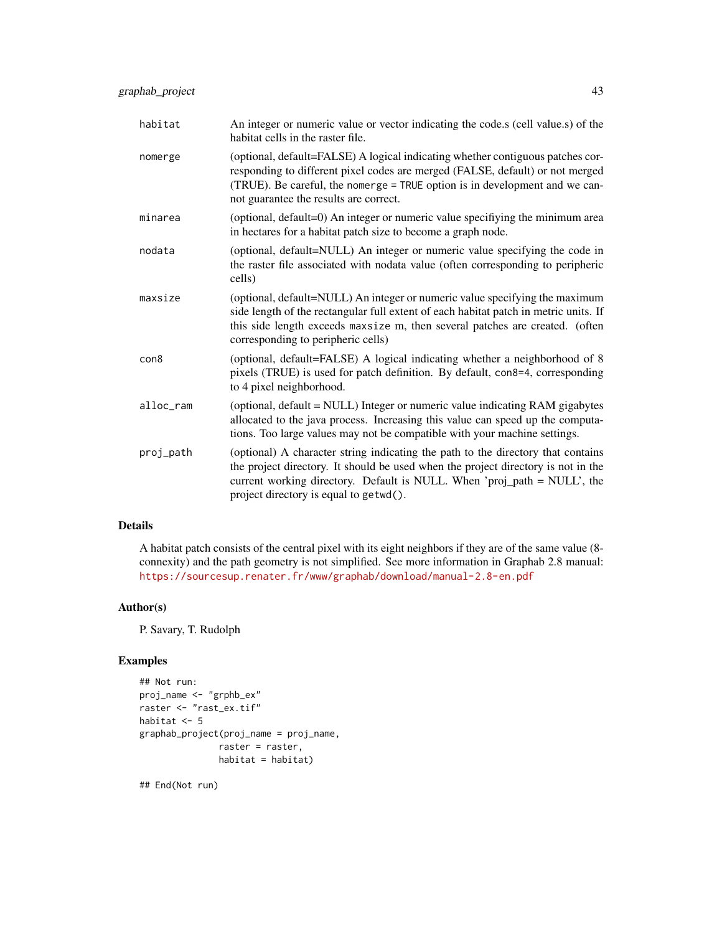| habitat   | An integer or numeric value or vector indicating the code.s (cell value.s) of the<br>habitat cells in the raster file.                                                                                                                                                                      |
|-----------|---------------------------------------------------------------------------------------------------------------------------------------------------------------------------------------------------------------------------------------------------------------------------------------------|
| nomerge   | (optional, default=FALSE) A logical indicating whether contiguous patches cor-<br>responding to different pixel codes are merged (FALSE, default) or not merged<br>(TRUE). Be careful, the nomerge = TRUE option is in development and we can-<br>not guarantee the results are correct.    |
| minarea   | (optional, default=0) An integer or numeric value specifiying the minimum area<br>in hectares for a habitat patch size to become a graph node.                                                                                                                                              |
| nodata    | (optional, default=NULL) An integer or numeric value specifying the code in<br>the raster file associated with nodata value (often corresponding to peripheric<br>cells)                                                                                                                    |
| maxsize   | (optional, default=NULL) An integer or numeric value specifying the maximum<br>side length of the rectangular full extent of each habitat patch in metric units. If<br>this side length exceeds maxsize m, then several patches are created. (often<br>corresponding to peripheric cells)   |
| con8      | (optional, default=FALSE) A logical indicating whether a neighborhood of 8<br>pixels (TRUE) is used for patch definition. By default, con8=4, corresponding<br>to 4 pixel neighborhood.                                                                                                     |
| alloc_ram | (optional, default = NULL) Integer or numeric value indicating RAM gigabytes<br>allocated to the java process. Increasing this value can speed up the computa-<br>tions. Too large values may not be compatible with your machine settings.                                                 |
| proj_path | (optional) A character string indicating the path to the directory that contains<br>the project directory. It should be used when the project directory is not in the<br>current working directory. Default is NULL. When 'proj_path = NULL', the<br>project directory is equal to getwd(). |

A habitat patch consists of the central pixel with its eight neighbors if they are of the same value (8 connexity) and the path geometry is not simplified. See more information in Graphab 2.8 manual: <https://sourcesup.renater.fr/www/graphab/download/manual-2.8-en.pdf>

## Author(s)

P. Savary, T. Rudolph

### Examples

```
## Not run:
proj_name <- "grphb_ex"
raster <- "rast_ex.tif"
habitat <- 5
graphab_project(proj_name = proj_name,
               raster = raster,
               habitat = habitat)
```
## End(Not run)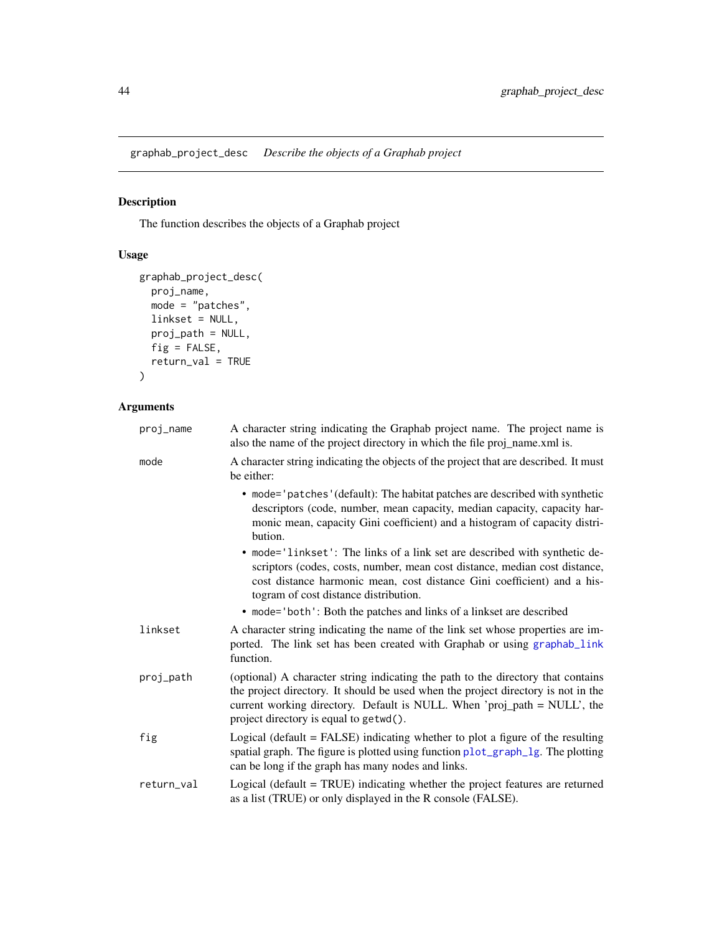graphab\_project\_desc *Describe the objects of a Graphab project*

# Description

The function describes the objects of a Graphab project

# Usage

```
graphab_project_desc(
 proj_name,
 mode = "patches",
 linkset = NULL,
 proj_path = NULL,
 fig = FALSE,return_val = TRUE
)
```

| proj_name  | A character string indicating the Graphab project name. The project name is<br>also the name of the project directory in which the file proj_name.xml is.                                                                                                                                   |
|------------|---------------------------------------------------------------------------------------------------------------------------------------------------------------------------------------------------------------------------------------------------------------------------------------------|
| mode       | A character string indicating the objects of the project that are described. It must<br>be either:                                                                                                                                                                                          |
|            | • mode='patches'(default): The habitat patches are described with synthetic<br>descriptors (code, number, mean capacity, median capacity, capacity har-<br>monic mean, capacity Gini coefficient) and a histogram of capacity distri-<br>bution.                                            |
|            | • mode='linkset': The links of a link set are described with synthetic de-<br>scriptors (codes, costs, number, mean cost distance, median cost distance,<br>cost distance harmonic mean, cost distance Gini coefficient) and a his-<br>togram of cost distance distribution.                |
|            | • mode='both': Both the patches and links of a linkset are described                                                                                                                                                                                                                        |
| linkset    | A character string indicating the name of the link set whose properties are im-<br>ported. The link set has been created with Graphab or using graphab_link<br>function.                                                                                                                    |
| proj_path  | (optional) A character string indicating the path to the directory that contains<br>the project directory. It should be used when the project directory is not in the<br>current working directory. Default is NULL. When 'proj_path = NULL', the<br>project directory is equal to getwd(). |
| fig        | Logical (default $=$ FALSE) indicating whether to plot a figure of the resulting<br>spatial graph. The figure is plotted using function plot_graph_lg. The plotting<br>can be long if the graph has many nodes and links.                                                                   |
| return_val | Logical (default $=$ TRUE) indicating whether the project features are returned<br>as a list (TRUE) or only displayed in the R console (FALSE).                                                                                                                                             |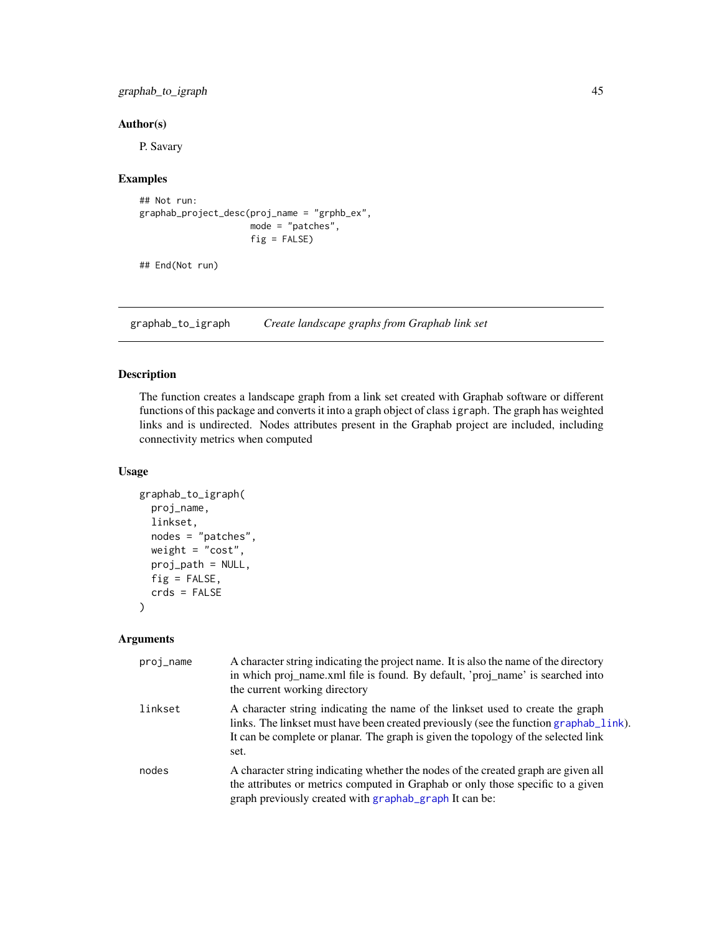### graphab\_to\_igraph 45

### Author(s)

P. Savary

# Examples

```
## Not run:
graphab_project_desc(proj_name = "grphb_ex",
                     mode = "patches",
                     fig = FALSE)
```
## End(Not run)

graphab\_to\_igraph *Create landscape graphs from Graphab link set*

### Description

The function creates a landscape graph from a link set created with Graphab software or different functions of this package and converts it into a graph object of class igraph. The graph has weighted links and is undirected. Nodes attributes present in the Graphab project are included, including connectivity metrics when computed

### Usage

```
graphab_to_igraph(
 proj_name,
  linkset,
  nodes = "patches",
 weight = "cost",proj_path = NULL,
 fig = FALSE,crds = FALSE
)
```

| proj_name | A character string indicating the project name. It is also the name of the directory<br>in which proj_name.xml file is found. By default, 'proj_name' is searched into<br>the current working directory                                                               |
|-----------|-----------------------------------------------------------------------------------------------------------------------------------------------------------------------------------------------------------------------------------------------------------------------|
| linkset   | A character string indicating the name of the linkset used to create the graph<br>links. The linkset must have been created previously (see the function graphab_link).<br>It can be complete or planar. The graph is given the topology of the selected link<br>set. |
| nodes     | A character string indicating whether the nodes of the created graph are given all<br>the attributes or metrics computed in Graphab or only those specific to a given<br>graph previously created with graphab_graph It can be:                                       |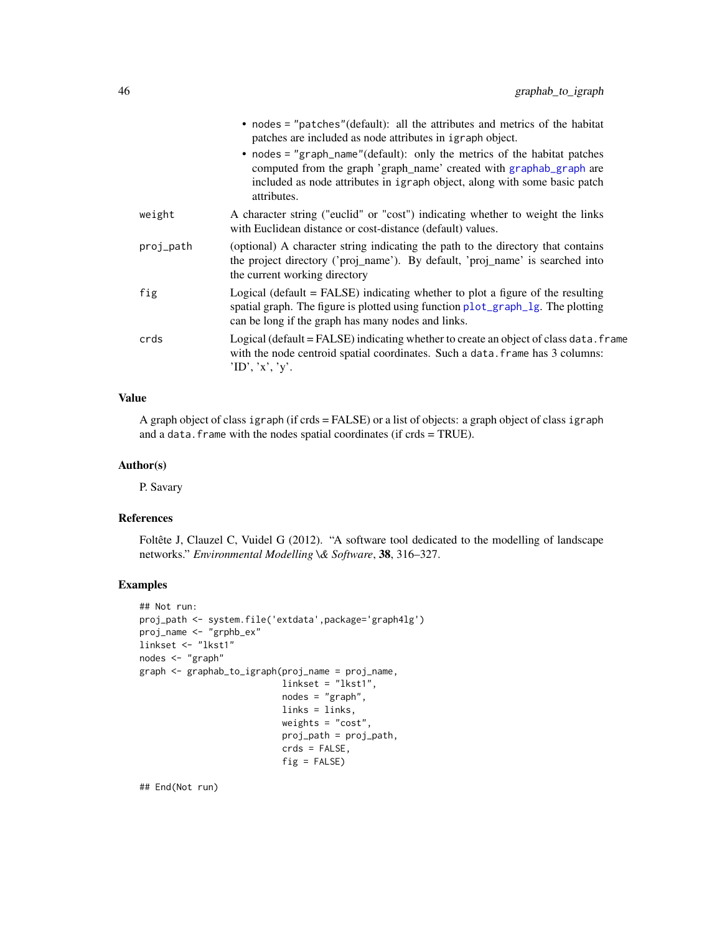|           | • nodes = "patches" (default): all the attributes and metrics of the habitat<br>patches are included as node attributes in igraph object.<br>• nodes = "graph_name"(default): only the metrics of the habitat patches<br>computed from the graph 'graph_name' created with graphab_graph are |
|-----------|----------------------------------------------------------------------------------------------------------------------------------------------------------------------------------------------------------------------------------------------------------------------------------------------|
|           | included as node attributes in igraph object, along with some basic patch<br>attributes.                                                                                                                                                                                                     |
| weight    | A character string ("euclid" or "cost") indicating whether to weight the links<br>with Euclidean distance or cost-distance (default) values.                                                                                                                                                 |
| proj_path | (optional) A character string indicating the path to the directory that contains<br>the project directory ('proj_name'). By default, 'proj_name' is searched into<br>the current working directory                                                                                           |
| fig       | Logical (default $=$ FALSE) indicating whether to plot a figure of the resulting<br>spatial graph. The figure is plotted using function plot_graph_lg. The plotting<br>can be long if the graph has many nodes and links.                                                                    |
| crds      | Logical (default = $FALSE$ ) indicating whether to create an object of class data. $frame$<br>with the node centroid spatial coordinates. Such a data, frame has 3 columns:<br>'ID', 'x', 'y'.                                                                                               |

### Value

A graph object of class igraph (if crds = FALSE) or a list of objects: a graph object of class igraph and a data. frame with the nodes spatial coordinates (if crds = TRUE).

#### Author(s)

P. Savary

### References

Foltête J, Clauzel C, Vuidel G (2012). "A software tool dedicated to the modelling of landscape networks." *Environmental Modelling \& Software*, 38, 316–327.

### Examples

```
## Not run:
proj_path <- system.file('extdata',package='graph4lg')
proj_name <- "grphb_ex"
linkset <- "lkst1"
nodes <- "graph"
graph <- graphab_to_igraph(proj_name = proj_name,
                           linkset = "lkst1",
                           nodes = "graph",
                           links = links,
                           weights = "cost",
                           proj_path = proj_path,
                           crds = FALSE,
                           fig = FALSE)
```
## End(Not run)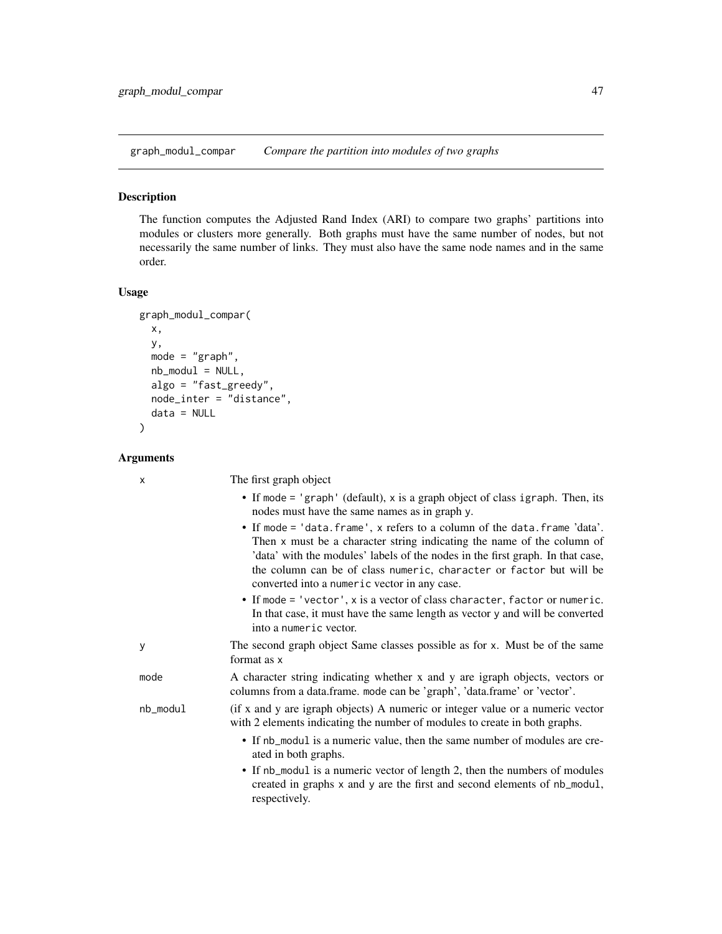graph\_modul\_compar *Compare the partition into modules of two graphs*

#### **Description**

The function computes the Adjusted Rand Index (ARI) to compare two graphs' partitions into modules or clusters more generally. Both graphs must have the same number of nodes, but not necessarily the same number of links. They must also have the same node names and in the same order.

#### Usage

```
graph_modul_compar(
  x,
 y,
  mode = "graph",
  nb_model = NULL,algo = "fast_greedy",
  node_inter = "distance",
  data = NULL
)
```
Arguments

x The first graph object

• If mode = 'graph' (default), x is a graph object of class igraph. Then, its nodes must have the same names as in graph y. • If mode = 'data.frame', x refers to a column of the data.frame 'data'. Then x must be a character string indicating the name of the column of 'data' with the modules' labels of the nodes in the first graph. In that case, the column can be of class numeric, character or factor but will be converted into a numeric vector in any case. • If mode = 'vector', x is a vector of class character, factor or numeric. In that case, it must have the same length as vector y and will be converted into a numeric vector. y The second graph object Same classes possible as for x. Must be of the same format as x mode A character string indicating whether x and y are igraph objects, vectors or columns from a data.frame. mode can be 'graph', 'data.frame' or 'vector'. nb\_modul (if x and y are igraph objects) A numeric or integer value or a numeric vector with 2 elements indicating the number of modules to create in both graphs. • If nb\_modul is a numeric value, then the same number of modules are created in both graphs. • If nb\_modul is a numeric vector of length 2, then the numbers of modules created in graphs x and y are the first and second elements of nb\_modul, respectively.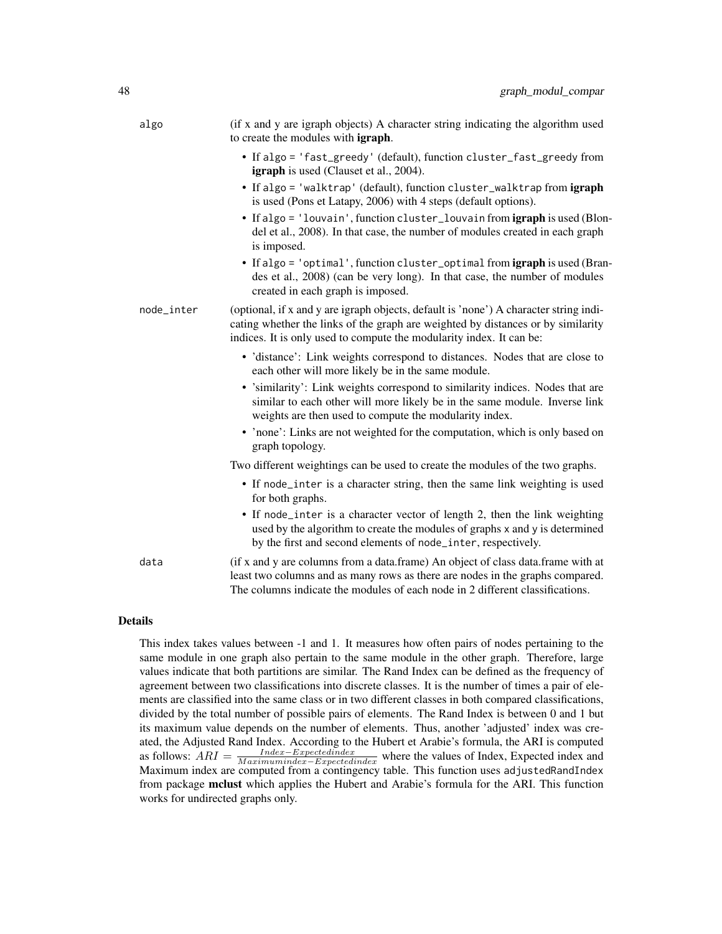| algo       | (if x and y are igraph objects) A character string indicating the algorithm used<br>to create the modules with <b>igraph</b> .                                                                                                                     |
|------------|----------------------------------------------------------------------------------------------------------------------------------------------------------------------------------------------------------------------------------------------------|
|            | • If algo = 'fast_greedy' (default), function cluster_fast_greedy from<br><b>igraph</b> is used (Clauset et al., 2004).                                                                                                                            |
|            | • If algo = 'walktrap' (default), function cluster_walktrap from igraph<br>is used (Pons et Latapy, 2006) with 4 steps (default options).                                                                                                          |
|            | • If algo = 'louvain', function cluster_louvain from igraph is used (Blon-<br>del et al., 2008). In that case, the number of modules created in each graph<br>is imposed.                                                                          |
|            | • If algo = 'optimal', function cluster_optimal from igraph is used (Bran-<br>des et al., 2008) (can be very long). In that case, the number of modules<br>created in each graph is imposed.                                                       |
| node_inter | (optional, if x and y are igraph objects, default is 'none') A character string indi-<br>cating whether the links of the graph are weighted by distances or by similarity<br>indices. It is only used to compute the modularity index. It can be:  |
|            | • 'distance': Link weights correspond to distances. Nodes that are close to<br>each other will more likely be in the same module.                                                                                                                  |
|            | • 'similarity': Link weights correspond to similarity indices. Nodes that are<br>similar to each other will more likely be in the same module. Inverse link<br>weights are then used to compute the modularity index.                              |
|            | • 'none': Links are not weighted for the computation, which is only based on<br>graph topology.                                                                                                                                                    |
|            | Two different weightings can be used to create the modules of the two graphs.                                                                                                                                                                      |
|            | • If node_inter is a character string, then the same link weighting is used<br>for both graphs.                                                                                                                                                    |
|            | • If node_inter is a character vector of length 2, then the link weighting<br>used by the algorithm to create the modules of graphs x and y is determined<br>by the first and second elements of node_inter, respectively.                         |
| data       | (if x and y are columns from a data.frame) An object of class data.frame with at<br>least two columns and as many rows as there are nodes in the graphs compared.<br>The columns indicate the modules of each node in 2 different classifications. |

This index takes values between -1 and 1. It measures how often pairs of nodes pertaining to the same module in one graph also pertain to the same module in the other graph. Therefore, large values indicate that both partitions are similar. The Rand Index can be defined as the frequency of agreement between two classifications into discrete classes. It is the number of times a pair of elements are classified into the same class or in two different classes in both compared classifications, divided by the total number of possible pairs of elements. The Rand Index is between 0 and 1 but its maximum value depends on the number of elements. Thus, another 'adjusted' index was created, the Adjusted Rand Index. According to the Hubert et Arabie's formula, the ARI is computed as follows:  $\overline{ARI} = \frac{Index - Expectedindex}{Maximumindex - Expectedindex}$  where the values of Index, Expected index and Maximum index are computed from a contingency table. This function uses adjustedRandIndex from package mclust which applies the Hubert and Arabie's formula for the ARI. This function works for undirected graphs only.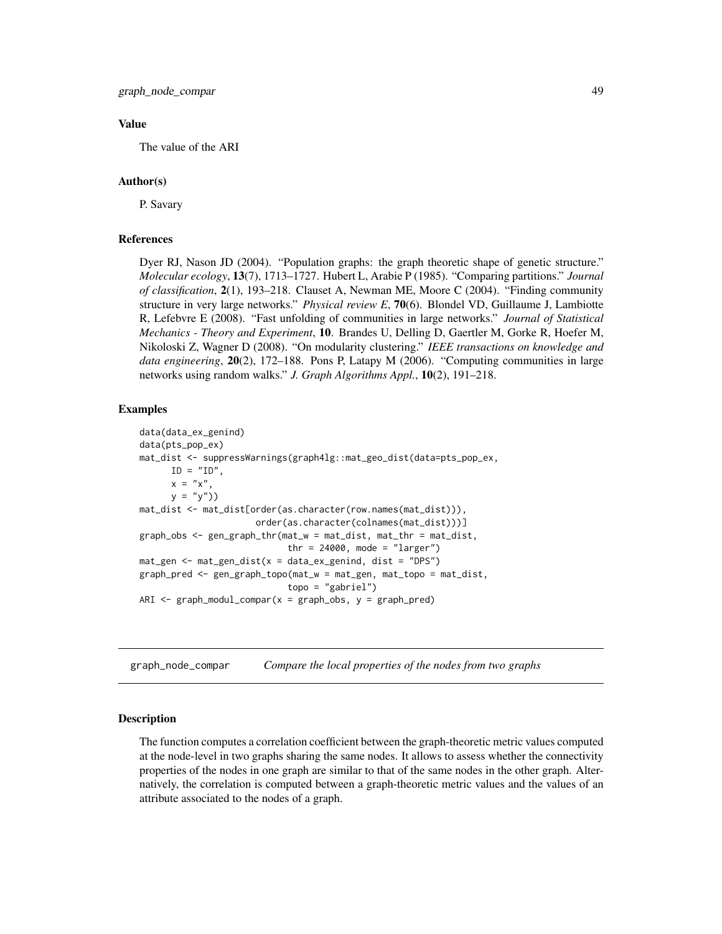#### Value

The value of the ARI

### Author(s)

P. Savary

#### References

Dyer RJ, Nason JD (2004). "Population graphs: the graph theoretic shape of genetic structure." *Molecular ecology*, 13(7), 1713–1727. Hubert L, Arabie P (1985). "Comparing partitions." *Journal of classification*, 2(1), 193–218. Clauset A, Newman ME, Moore C (2004). "Finding community structure in very large networks." *Physical review E*, 70(6). Blondel VD, Guillaume J, Lambiotte R, Lefebvre E (2008). "Fast unfolding of communities in large networks." *Journal of Statistical Mechanics - Theory and Experiment*, 10. Brandes U, Delling D, Gaertler M, Gorke R, Hoefer M, Nikoloski Z, Wagner D (2008). "On modularity clustering." *IEEE transactions on knowledge and data engineering*, 20(2), 172–188. Pons P, Latapy M (2006). "Computing communities in large networks using random walks." *J. Graph Algorithms Appl.*, 10(2), 191–218.

#### Examples

```
data(data_ex_genind)
data(pts_pop_ex)
mat_dist <- suppressWarnings(graph4lg::mat_geo_dist(data=pts_pop_ex,
     ID = "ID".x = "x",y = "y")mat_dist <- mat_dist[order(as.character(row.names(mat_dist))),
                      order(as.character(colnames(mat_dist)))]
graph_obs <- gen_graph_thr(mat_w = mat_dist, mat_thr = mat_dist,
                            thr = 24000, mode = "larger")
mat\_gen < - matgen\_dist(x = data\_ex\_genind, dist = "DPS")graph_pred <- gen_graph_topo(mat_w = mat_gen, mat_topo = mat_dist,
                            topo = "gabriel")
ARI \leq graph_modul_compar(x = graph_obs, y = graph_pred)
```
graph\_node\_compar *Compare the local properties of the nodes from two graphs*

#### Description

The function computes a correlation coefficient between the graph-theoretic metric values computed at the node-level in two graphs sharing the same nodes. It allows to assess whether the connectivity properties of the nodes in one graph are similar to that of the same nodes in the other graph. Alternatively, the correlation is computed between a graph-theoretic metric values and the values of an attribute associated to the nodes of a graph.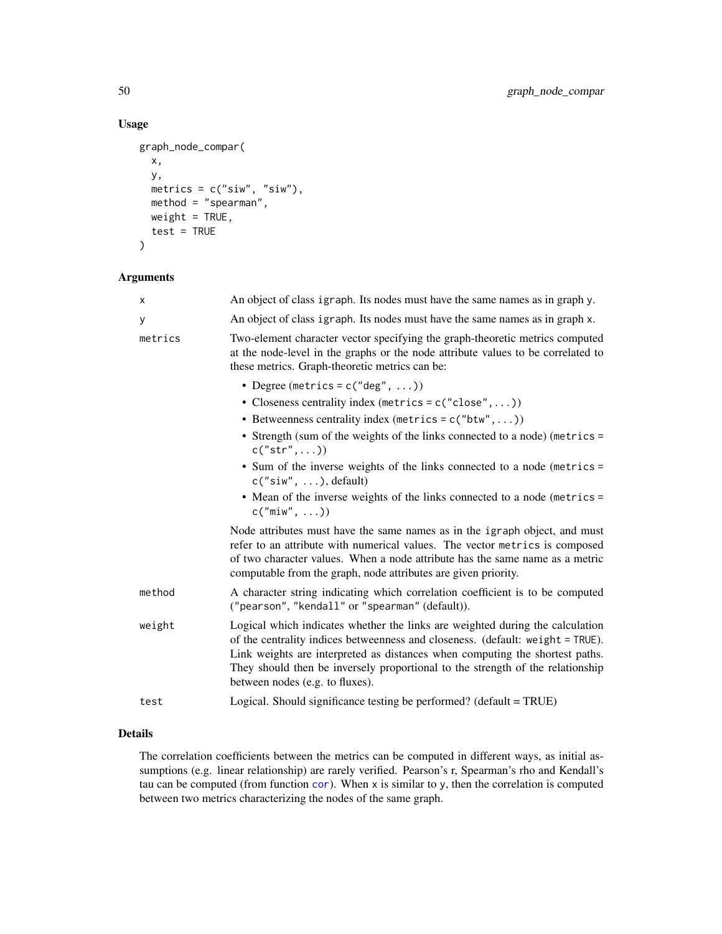# Usage

```
graph_node_compar(
 x,
 y,
 metrics = c("siw", "siw"),
 method = "spearman",
 weight = TRUE,test = TRUE\lambda
```
### Arguments

| X       | An object of class igraph. Its nodes must have the same names as in graph y.                                                                                                                                                                                                                                                                                         |
|---------|----------------------------------------------------------------------------------------------------------------------------------------------------------------------------------------------------------------------------------------------------------------------------------------------------------------------------------------------------------------------|
| У       | An object of class igraph. Its nodes must have the same names as in graph x.                                                                                                                                                                                                                                                                                         |
| metrics | Two-element character vector specifying the graph-theoretic metrics computed<br>at the node-level in the graphs or the node attribute values to be correlated to<br>these metrics. Graph-theoretic metrics can be:                                                                                                                                                   |
|         | • Degree (metrics = $c("deg", )$ )                                                                                                                                                                                                                                                                                                                                   |
|         | • Closeness centrality index (metrics = $c("close",)$ )                                                                                                                                                                                                                                                                                                              |
|         | • Betweenness centrality index (metrics = $c("btw",)$ )                                                                                                                                                                                                                                                                                                              |
|         | • Strength (sum of the weights of the links connected to a node) (metrics =<br>c("str",))                                                                                                                                                                                                                                                                            |
|         | • Sum of the inverse weights of the links connected to a node (metrics =<br>$c("siw", \ldots), default)$                                                                                                                                                                                                                                                             |
|         | • Mean of the inverse weights of the links connected to a node (metrics =<br>$c("min", \ldots))$                                                                                                                                                                                                                                                                     |
|         | Node attributes must have the same names as in the igraph object, and must<br>refer to an attribute with numerical values. The vector metrics is composed<br>of two character values. When a node attribute has the same name as a metric<br>computable from the graph, node attributes are given priority.                                                          |
| method  | A character string indicating which correlation coefficient is to be computed<br>("pearson", "kendall" or "spearman" (default)).                                                                                                                                                                                                                                     |
| weight  | Logical which indicates whether the links are weighted during the calculation<br>of the centrality indices betweenness and closeness. (default: weight = TRUE).<br>Link weights are interpreted as distances when computing the shortest paths.<br>They should then be inversely proportional to the strength of the relationship<br>between nodes (e.g. to fluxes). |
| test    | Logical. Should significance testing be performed? (default = TRUE)                                                                                                                                                                                                                                                                                                  |
|         |                                                                                                                                                                                                                                                                                                                                                                      |

# Details

The correlation coefficients between the metrics can be computed in different ways, as initial assumptions (e.g. linear relationship) are rarely verified. Pearson's r, Spearman's rho and Kendall's tau can be computed (from function [cor](#page-0-0)). When x is similar to y, then the correlation is computed between two metrics characterizing the nodes of the same graph.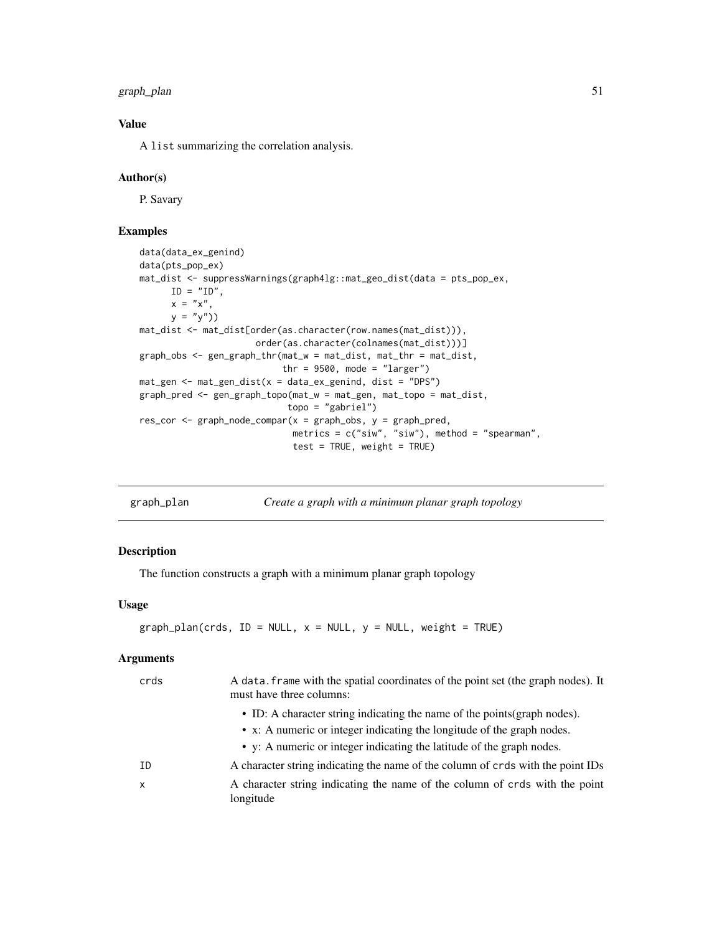graph\_plan 51

## Value

A list summarizing the correlation analysis.

#### Author(s)

P. Savary

### Examples

```
data(data_ex_genind)
data(pts_pop_ex)
mat_dist <- suppressWarnings(graph4lg::mat_geo_dist(data = pts_pop_ex,
      ID = "ID",x = "x",y = "y")mat_dist <- mat_dist[order(as.character(row.names(mat_dist))),
                      order(as.character(colnames(mat_dist)))]
graph_obs <- gen_graph_thr(mat_w = mat_dist, mat_thr = mat_dist,
                           thr = 9500, mode = "larger")
mat_gen <- mat_gen_dist(x = data_ex_genind, dist = "DPS")
graph_pred <- gen_graph_topo(mat_w = mat_gen, mat_topo = mat_dist,
                            topo = "gabriel")
res_cor <- graph_node_compar(x = graph_obs, y = graph_pred,
                             metrics = c("siw", "siw"), method = "spearman",
                             test = TRUE, weight = TRUE)
```
graph\_plan *Create a graph with a minimum planar graph topology*

## Description

The function constructs a graph with a minimum planar graph topology

# Usage

```
graph_plan(crds, ID = NULL, x = NULL, y = NULL, weight = TRUE)
```

| A data. frame with the spatial coordinates of the point set (the graph nodes). It<br>must have three columns: |
|---------------------------------------------------------------------------------------------------------------|
| • ID: A character string indicating the name of the points (graph nodes).                                     |
| • x: A numeric or integer indicating the longitude of the graph nodes.                                        |
| • y: A numeric or integer indicating the latitude of the graph nodes.                                         |
| A character string indicating the name of the column of crds with the point IDs                               |
| A character string indicating the name of the column of crds with the point<br>longitude                      |
|                                                                                                               |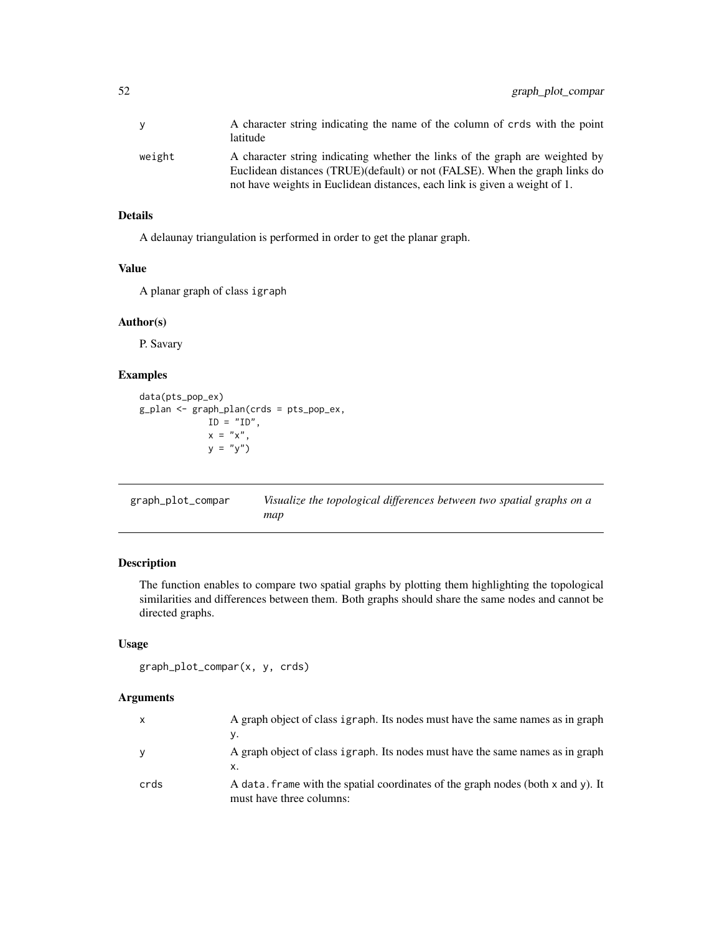|        | A character string indicating the name of the column of crds with the point<br>latitude                                                                                                                                                   |
|--------|-------------------------------------------------------------------------------------------------------------------------------------------------------------------------------------------------------------------------------------------|
| weight | A character string indicating whether the links of the graph are weighted by<br>Euclidean distances (TRUE)(default) or not (FALSE). When the graph links do<br>not have weights in Euclidean distances, each link is given a weight of 1. |

A delaunay triangulation is performed in order to get the planar graph.

#### Value

A planar graph of class igraph

#### Author(s)

P. Savary

## Examples

```
data(pts_pop_ex)
g_plan <- graph_plan(crds = pts_pop_ex,
            ID = "ID",x = "x",y = "y")
```

| graph_plot_compar | Visualize the topological differences between two spatial graphs on a |
|-------------------|-----------------------------------------------------------------------|
|                   | map                                                                   |

### Description

The function enables to compare two spatial graphs by plotting them highlighting the topological similarities and differences between them. Both graphs should share the same nodes and cannot be directed graphs.

# Usage

```
graph_plot_compar(x, y, crds)
```

| X    | A graph object of class igraph. Its nodes must have the same names as in graph                               |
|------|--------------------------------------------------------------------------------------------------------------|
|      | ν.                                                                                                           |
| V    | A graph object of class igraph. Its nodes must have the same names as in graph<br>X.                         |
| crds | A data. frame with the spatial coordinates of the graph nodes (both x and y). It<br>must have three columns: |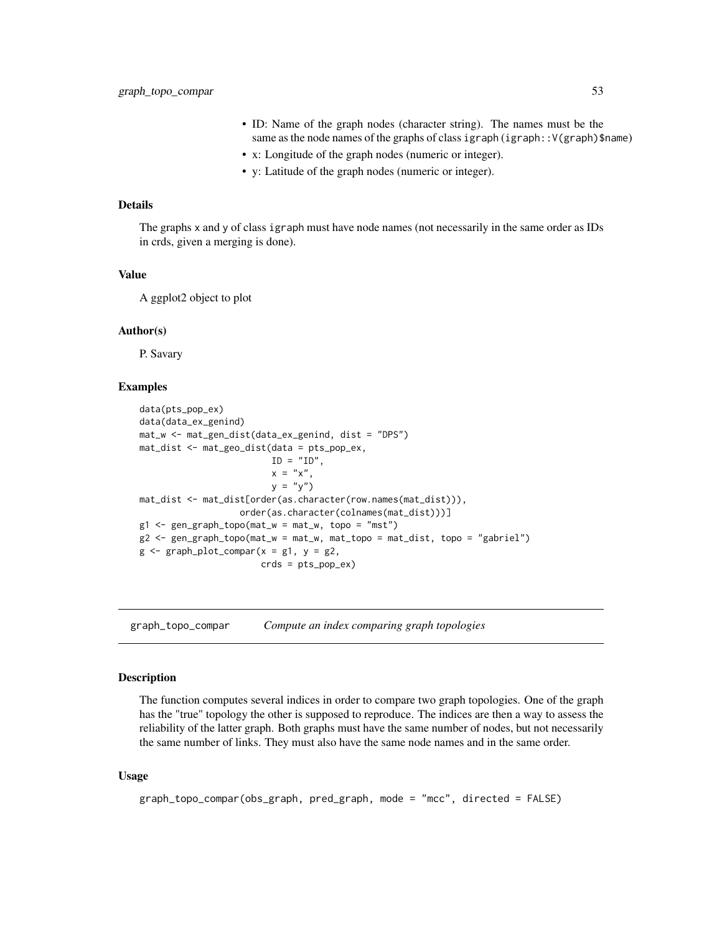- ID: Name of the graph nodes (character string). The names must be the same as the node names of the graphs of class igraph (igraph::V(graph)\$name)
- x: Longitude of the graph nodes (numeric or integer).
- y: Latitude of the graph nodes (numeric or integer).

The graphs x and y of class igraph must have node names (not necessarily in the same order as IDs in crds, given a merging is done).

### Value

A ggplot2 object to plot

### Author(s)

P. Savary

#### Examples

```
data(pts_pop_ex)
data(data_ex_genind)
mat_w <- mat_gen_dist(data_ex_genind, dist = "DPS")
mat_dist <- mat_geo_dist(data = pts_pop_ex,
                         ID = "ID",x = "x",y = "y")mat_dist <- mat_dist[order(as.character(row.names(mat_dist))),
                   order(as.character(colnames(mat_dist)))]
g1 \leq-gen\_graph\_topo(mat_w = mat_w, topo = "mst")g2 <- gen_graph_topo(mat_w = mat_w, mat_topo = mat_dist, topo = "gabriel")
g \leftarrow graph\_plot\_compar(x = g1, y = g2,crds = pts_pop_ex)
```
graph\_topo\_compar *Compute an index comparing graph topologies*

#### Description

The function computes several indices in order to compare two graph topologies. One of the graph has the "true" topology the other is supposed to reproduce. The indices are then a way to assess the reliability of the latter graph. Both graphs must have the same number of nodes, but not necessarily the same number of links. They must also have the same node names and in the same order.

#### Usage

```
graph_topo_compar(obs_graph, pred_graph, mode = "mcc", directed = FALSE)
```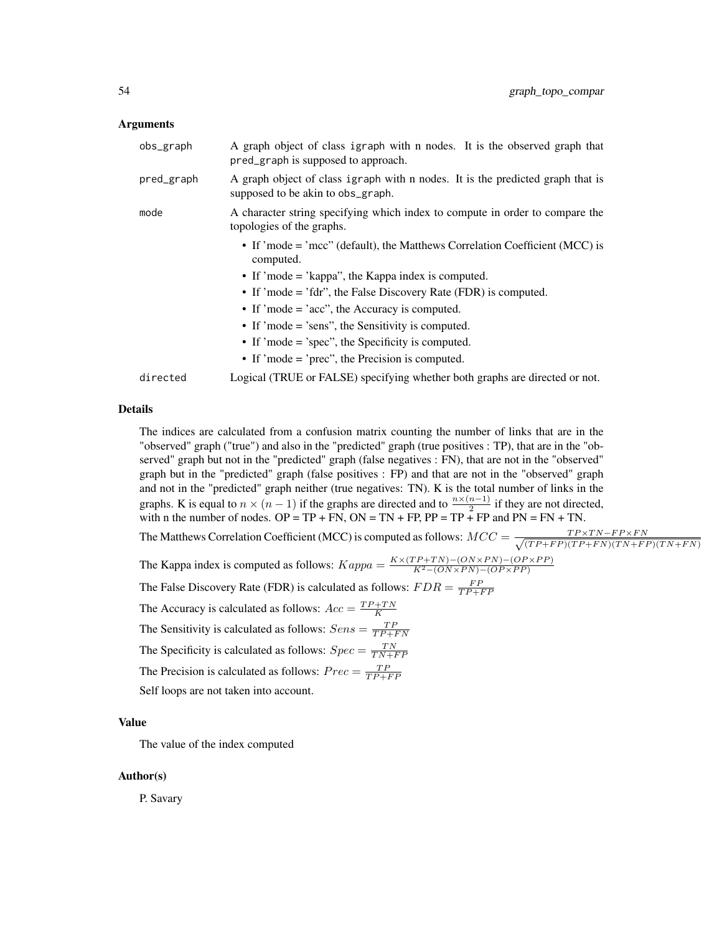#### Arguments

| obs_graph  | A graph object of class igraph with n nodes. It is the observed graph that<br>pred_graph is supposed to approach.   |
|------------|---------------------------------------------------------------------------------------------------------------------|
| pred_graph | A graph object of class igraph with n nodes. It is the predicted graph that is<br>supposed to be akin to obs_graph. |
| mode       | A character string specifying which index to compute in order to compare the<br>topologies of the graphs.           |
|            | • If 'mode = 'mcc'' (default), the Matthews Correlation Coefficient (MCC) is<br>computed.                           |
|            | • If 'mode = 'kappa'', the Kappa index is computed.                                                                 |
|            | • If 'mode = 'fdr'', the False Discovery Rate (FDR) is computed.                                                    |
|            | • If 'mode = 'acc'', the Accuracy is computed.                                                                      |
|            | • If 'mode = 'sens'', the Sensitivity is computed.                                                                  |
|            | $\bullet$ If 'mode = 'spec'', the Specificity is computed.                                                          |
|            | • If 'mode = 'prec'', the Precision is computed.                                                                    |
| directed   | Logical (TRUE or FALSE) specifying whether both graphs are directed or not.                                         |

### Details

The indices are calculated from a confusion matrix counting the number of links that are in the "observed" graph ("true") and also in the "predicted" graph (true positives : TP), that are in the "observed" graph but not in the "predicted" graph (false negatives : FN), that are not in the "observed" graph but in the "predicted" graph (false positives : FP) and that are not in the "observed" graph and not in the "predicted" graph neither (true negatives: TN). K is the total number of links in the graphs. K is equal to  $n \times (n-1)$  if the graphs are directed and to  $\frac{n \times (n-1)}{2}$  if they are not directed, with n the number of nodes.  $OP = TP + FN$ ,  $ON = TN + FP$ ,  $PP = TP + FP$  and  $PN = FN + TN$ . The Matthews Correlation Coefficient (MCC) is computed as follows:  $MCC = \frac{TP \times TN - FP \times FN}{\sqrt{(TP + FP) \times TN + TN \times TN + FN}}$  $(T P+FP)(TP+FN)(TN+FP)(TN+FN)$ The Kappa index is computed as follows:  $Kappa = \frac{K \times (TP + TN) - (ON \times PN) - (OP \times PP)}{K^2 - (ON \times PN) - (OP \times PP)}$ The False Discovery Rate (FDR) is calculated as follows:  $FDR = \frac{FP}{TP + FP}$ The Accuracy is calculated as follows:  $Acc = \frac{TP + TN}{K}$ The Sensitivity is calculated as follows:  $Sens = \frac{TP}{TP+FN}$ The Specificity is calculated as follows:  $Spec = \frac{TN}{TN+FP}$ The Precision is calculated as follows:  $Prec = \frac{TP}{TP + FP}$ Self loops are not taken into account.

#### Value

The value of the index computed

#### Author(s)

P. Savary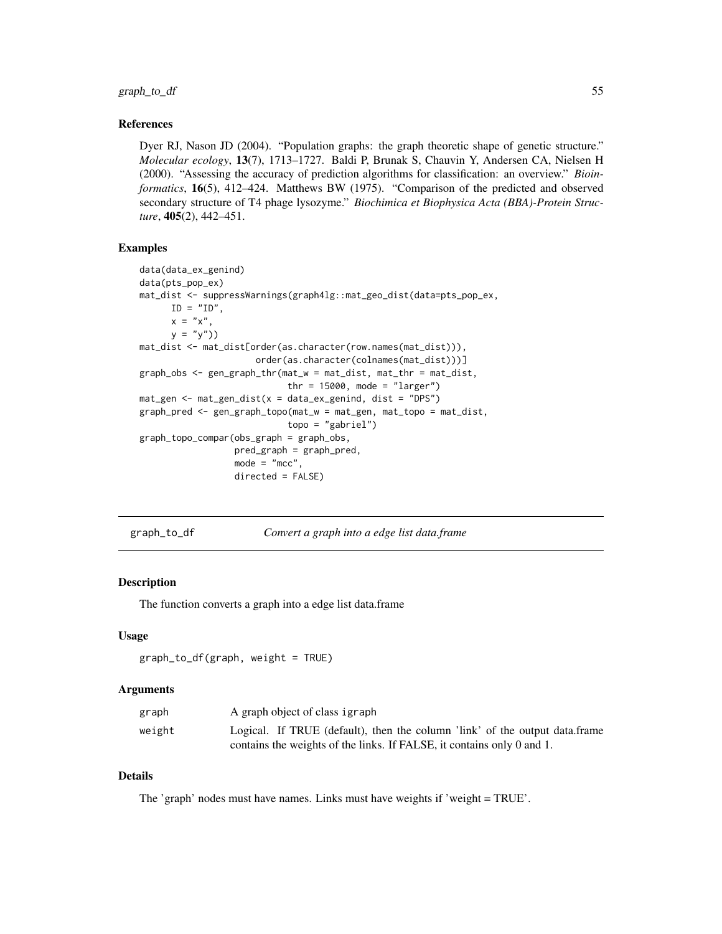graph\_to\_df 55

#### References

Dyer RJ, Nason JD (2004). "Population graphs: the graph theoretic shape of genetic structure." *Molecular ecology*, 13(7), 1713–1727. Baldi P, Brunak S, Chauvin Y, Andersen CA, Nielsen H (2000). "Assessing the accuracy of prediction algorithms for classification: an overview." *Bioinformatics*, 16(5), 412–424. Matthews BW (1975). "Comparison of the predicted and observed secondary structure of T4 phage lysozyme." *Biochimica et Biophysica Acta (BBA)-Protein Structure*, 405(2), 442–451.

#### Examples

```
data(data_ex_genind)
data(pts_pop_ex)
mat_dist <- suppressWarnings(graph4lg::mat_geo_dist(data=pts_pop_ex,
     ID = "ID".x = "x",y = "y")mat_dist <- mat_dist[order(as.character(row.names(mat_dist))),
                     order(as.character(colnames(mat_dist)))]
graph_obs <- gen_graph_thr(mat_w = mat_dist, mat_thr = mat_dist,
                           thr = 15000, mode = "larger")
mat_gen <- mat_gen_dist(x = data_ex_genind, dist = "DPS")
graph_pred <- gen_graph_topo(mat_w = mat_gen, mat_topo = mat_dist,
                           topo = "gabriel")
graph_topo_compar(obs_graph = graph_obs,
                 pred_graph = graph_pred,
                 mode = "mcc",directed = FALSE)
```
graph\_to\_df *Convert a graph into a edge list data.frame*

#### Description

The function converts a graph into a edge list data.frame

#### Usage

```
graph_to_df(graph, weight = TRUE)
```
#### Arguments

| graph  | A graph object of class igraph                                              |
|--------|-----------------------------------------------------------------------------|
| weight | Logical. If TRUE (default), then the column 'link' of the output data.frame |
|        | contains the weights of the links. If FALSE, it contains only 0 and 1.      |

### Details

The 'graph' nodes must have names. Links must have weights if 'weight = TRUE'.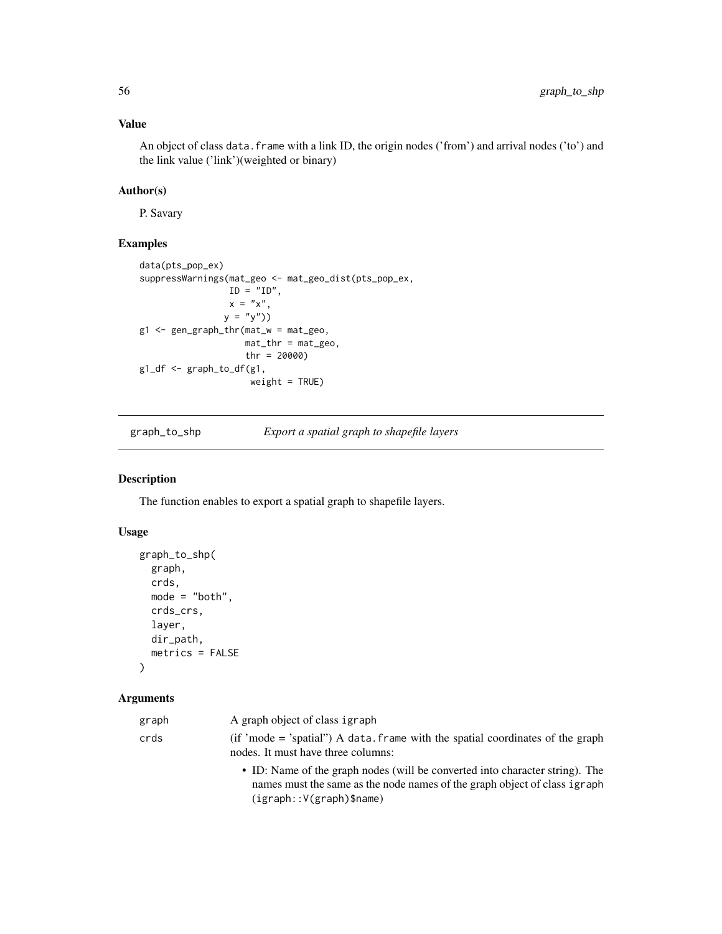# Value

An object of class data. frame with a link ID, the origin nodes ('from') and arrival nodes ('to') and the link value ('link')(weighted or binary)

# Author(s)

P. Savary

# Examples

```
data(pts_pop_ex)
suppressWarnings(mat_geo <- mat_geo_dist(pts_pop_ex,
                 ID = "ID",x = "x",y = "y")g1 <- gen_graph_thr(mat_w = mat_geo,
                    mat_thr = mat_geo,
                    thr = 20000)
g1_df <- graph_to_df(g1,
                     weight = TRUE)
```
graph\_to\_shp *Export a spatial graph to shapefile layers*

#### Description

The function enables to export a spatial graph to shapefile layers.

### Usage

```
graph_to_shp(
  graph,
 crds,
 mode = "both",
 crds_crs,
  layer,
 dir_path,
 metrics = FALSE
)
```

| graph | A graph object of class igraph                                                                                                                                                           |
|-------|------------------------------------------------------------------------------------------------------------------------------------------------------------------------------------------|
| crds  | $(if' mode = 'spatial'')$ A data. frame with the spatial coordinates of the graph<br>nodes. It must have three columns:                                                                  |
|       | • ID: Name of the graph nodes (will be converted into character string). The<br>names must the same as the node names of the graph object of class igraph<br>$(igraph::V(graph)$ \$name) |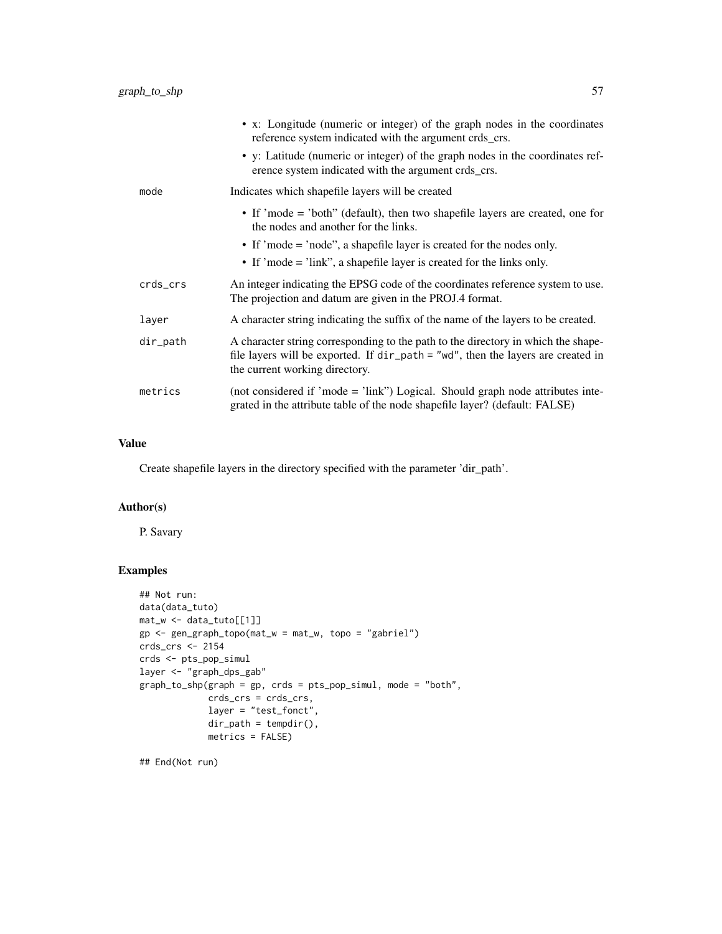|          | • x: Longitude (numeric or integer) of the graph nodes in the coordinates<br>reference system indicated with the argument crds_crs.                                                                     |
|----------|---------------------------------------------------------------------------------------------------------------------------------------------------------------------------------------------------------|
|          | • y: Latitude (numeric or integer) of the graph nodes in the coordinates ref-<br>erence system indicated with the argument crds_crs.                                                                    |
| mode     | Indicates which shapefile layers will be created                                                                                                                                                        |
|          | • If 'mode = 'both'' (default), then two shapefile layers are created, one for<br>the nodes and another for the links.                                                                                  |
|          | • If 'mode = 'node'', a shapefile layer is created for the nodes only.                                                                                                                                  |
|          | • If 'mode = 'link'', a shapefile layer is created for the links only.                                                                                                                                  |
| crds_crs | An integer indicating the EPSG code of the coordinates reference system to use.<br>The projection and datum are given in the PROJ.4 format.                                                             |
| layer    | A character string indicating the suffix of the name of the layers to be created.                                                                                                                       |
| dir_path | A character string corresponding to the path to the directory in which the shape-<br>file layers will be exported. If dir_path = "wd", then the layers are created in<br>the current working directory. |
| metrics  | (not considered if 'mode = 'link'') Logical. Should graph node attributes inte-<br>grated in the attribute table of the node shapefile layer? (default: FALSE)                                          |

## Value

Create shapefile layers in the directory specified with the parameter 'dir\_path'.

### Author(s)

P. Savary

### Examples

```
## Not run:
data(data_tuto)
mat_w <- data_tuto[[1]]
gp <- gen_graph_topo(mat_w = mat_w, topo = "gabriel")
crds_crs <- 2154
crds <- pts_pop_simul
layer <- "graph_dps_gab"
graph_to_shp(graph = gp, crds = pts_pop_simul, mode = "both",
            crds_crs = crds_crs,
             layer = "test_fonct",
             dir_path = tempdir(),
            metrics = FALSE)
```
## End(Not run)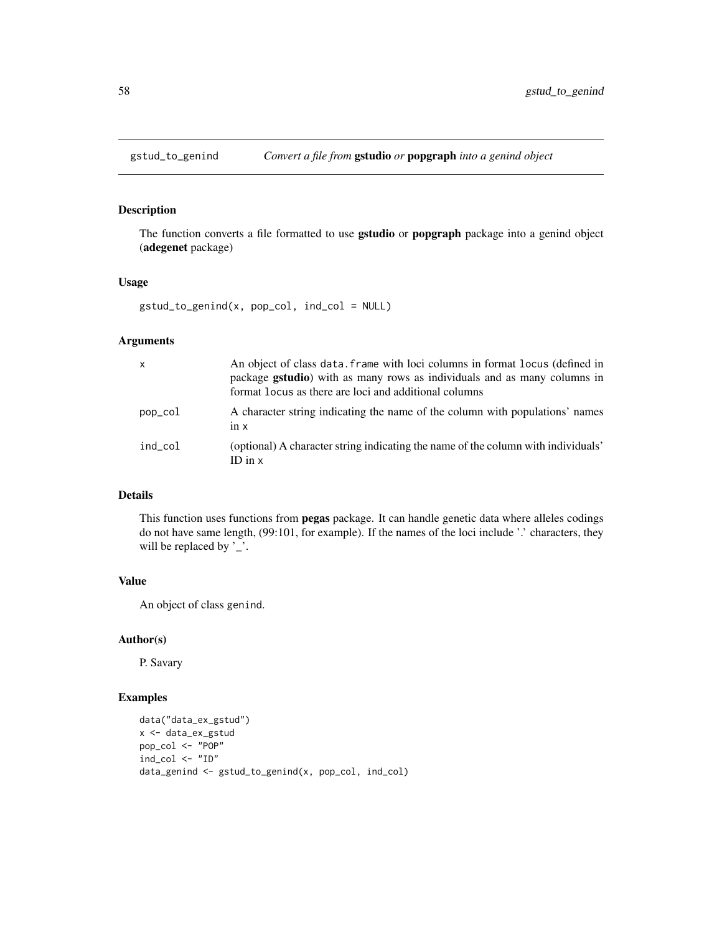# Description

The function converts a file formatted to use **gstudio** or **popgraph** package into a genind object (adegenet package)

#### Usage

```
gstud_to_genind(x, pop_col, ind_col = NULL)
```
### Arguments

| $\mathsf{x}$ | An object of class data. frame with loci columns in format locus (defined in<br>package <b>gstudio</b> ) with as many rows as individuals and as many columns in<br>format locus as there are loci and additional columns |
|--------------|---------------------------------------------------------------------------------------------------------------------------------------------------------------------------------------------------------------------------|
| pop_col      | A character string indicating the name of the column with populations' names<br>$1n \times$                                                                                                                               |
| ind col      | (optional) A character string indicating the name of the column with individuals'<br>ID in $x$                                                                                                                            |

## Details

This function uses functions from pegas package. It can handle genetic data where alleles codings do not have same length, (99:101, for example). If the names of the loci include '.' characters, they will be replaced by '\_'.

#### Value

An object of class genind.

#### Author(s)

P. Savary

#### Examples

```
data("data_ex_gstud")
x <- data_ex_gstud
pop_col <- "POP"
ind_col <- "ID"
data_genind <- gstud_to_genind(x, pop_col, ind_col)
```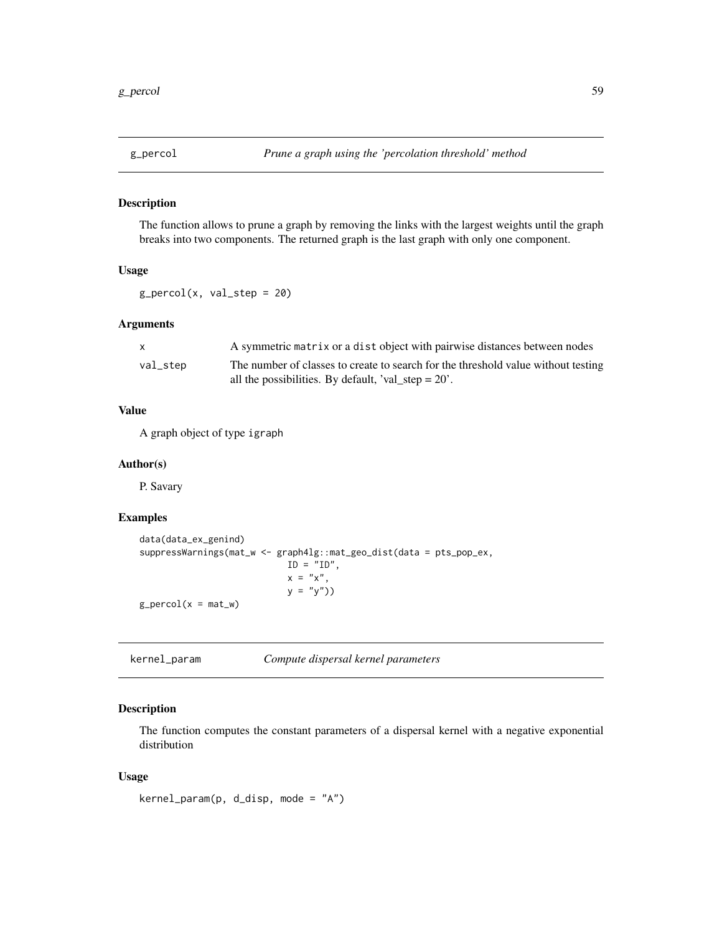### Description

The function allows to prune a graph by removing the links with the largest weights until the graph breaks into two components. The returned graph is the last graph with only one component.

#### Usage

 $g_{p}$ ercol(x, val\_step = 20)

### Arguments

| $\mathsf{X}$ | A symmetric matrix or a dist object with pairwise distances between nodes         |
|--------------|-----------------------------------------------------------------------------------|
| val_step     | The number of classes to create to search for the threshold value without testing |
|              | all the possibilities. By default, 'val_step = $20'$ .                            |

### Value

A graph object of type igraph

#### Author(s)

P. Savary

### Examples

```
data(data_ex_genind)
suppressWarnings(mat_w <- graph4lg::mat_geo_dist(data = pts_pop_ex,
                            ID = "ID",x = "x",y = "y")g_{p}ercol(x = mat_w)
```
kernel\_param *Compute dispersal kernel parameters*

### Description

The function computes the constant parameters of a dispersal kernel with a negative exponential distribution

#### Usage

```
kernel_param(p, d_disp, mode = "A")
```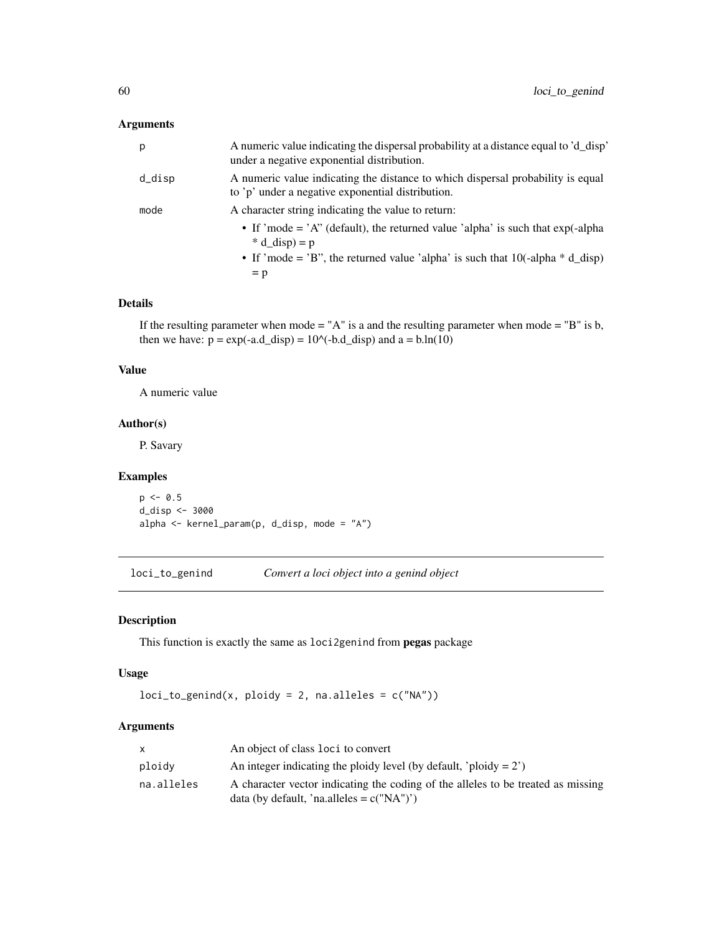### Arguments

| p      | A numeric value indicating the dispersal probability at a distance equal to 'd_disp'<br>under a negative exponential distribution.    |
|--------|---------------------------------------------------------------------------------------------------------------------------------------|
| d_disp | A numeric value indicating the distance to which dispersal probability is equal<br>to 'p' under a negative exponential distribution.  |
| mode   | A character string indicating the value to return:                                                                                    |
|        | • If 'mode = 'A" (default), the returned value 'alpha' is such that $exp(-\alpha t)$ is such that $exp(-\alpha t)$<br>$* d$ disp) = p |
|        | • If 'mode = 'B", the returned value 'alpha' is such that $10(-\alpha)$ <sup>*</sup> d_disp)                                          |
|        | $= p$                                                                                                                                 |

#### Details

If the resulting parameter when mode = "A" is a and the resulting parameter when mode = "B" is  $b$ , then we have:  $p = exp(-a.d_disp) = 10^(-b.d_disp)$  and  $a = b.h(10)$ 

#### Value

A numeric value

### Author(s)

P. Savary

### Examples

 $p \le -0.5$ d\_disp <- 3000 alpha <- kernel\_param(p, d\_disp, mode = "A")

loci\_to\_genind *Convert a loci object into a genind object*

### Description

This function is exactly the same as loci2genind from pegas package

### Usage

```
loci_to_genind(x, ploidy = 2, na.alleles = c("NA"))
```

| X          | An object of class loci to convert                                               |
|------------|----------------------------------------------------------------------------------|
| ploidy     | An integer indicating the ploidy level (by default, 'ploidy $= 2$ ')             |
| na.alleles | A character vector indicating the coding of the alleles to be treated as missing |
|            | data (by default, 'na.alleles = $c("NA")$ ')                                     |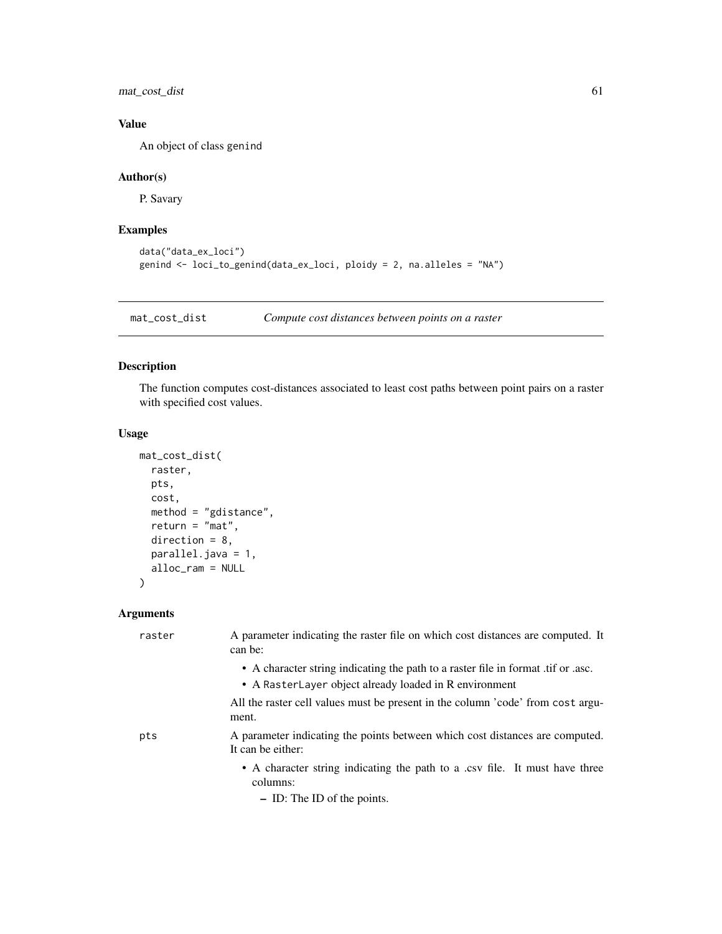mat\_cost\_dist 61

# Value

An object of class genind

### Author(s)

P. Savary

# Examples

```
data("data_ex_loci")
genind <- loci_to_genind(data_ex_loci, ploidy = 2, na.alleles = "NA")
```
mat\_cost\_dist *Compute cost distances between points on a raster*

### Description

The function computes cost-distances associated to least cost paths between point pairs on a raster with specified cost values.

#### Usage

```
mat_cost_dist(
 raster,
 pts,
 cost,
 method = "gdistance",
 return = "mat",direction = 8,
 parallel.java = 1,
 alloc_ram = NULL
)
```

| raster | A parameter indicating the raster file on which cost distances are computed. It<br>can be:                                                  |
|--------|---------------------------------------------------------------------------------------------------------------------------------------------|
|        | • A character string indicating the path to a raster file in format .tif or .asc.<br>• A RasterLayer object already loaded in R environment |
|        | All the raster cell values must be present in the column 'code' from cost argu-<br>ment.                                                    |
| pts    | A parameter indicating the points between which cost distances are computed.<br>It can be either:                                           |
|        | • A character string indicating the path to a .csv file. It must have three<br>columns:                                                     |
|        | $-$ ID: The ID of the points.                                                                                                               |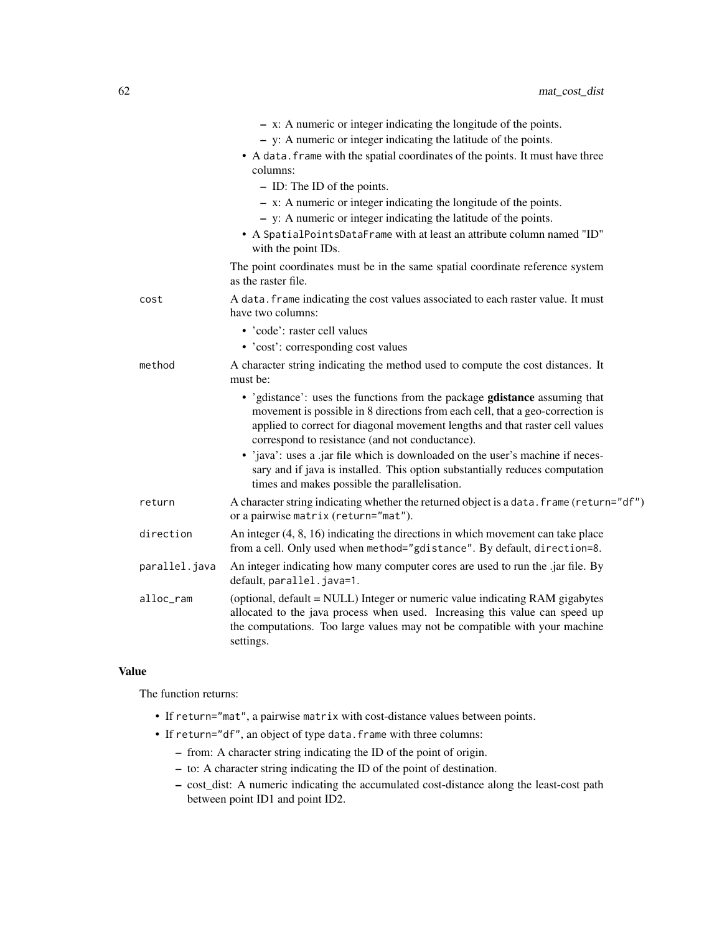|               | $- x$ : A numeric or integer indicating the longitude of the points.                                                                                                                                                                                                                           |
|---------------|------------------------------------------------------------------------------------------------------------------------------------------------------------------------------------------------------------------------------------------------------------------------------------------------|
|               | - y: A numeric or integer indicating the latitude of the points.                                                                                                                                                                                                                               |
|               | • A data. frame with the spatial coordinates of the points. It must have three<br>columns:                                                                                                                                                                                                     |
|               | - ID: The ID of the points.                                                                                                                                                                                                                                                                    |
|               | $- x$ : A numeric or integer indicating the longitude of the points.                                                                                                                                                                                                                           |
|               | $-$ y: A numeric or integer indicating the latitude of the points.                                                                                                                                                                                                                             |
|               | • A SpatialPointsDataFrame with at least an attribute column named "ID"<br>with the point IDs.                                                                                                                                                                                                 |
|               | The point coordinates must be in the same spatial coordinate reference system<br>as the raster file.                                                                                                                                                                                           |
| cost          | A data. frame indicating the cost values associated to each raster value. It must<br>have two columns:                                                                                                                                                                                         |
|               | • 'code': raster cell values                                                                                                                                                                                                                                                                   |
|               | • 'cost': corresponding cost values                                                                                                                                                                                                                                                            |
| method        | A character string indicating the method used to compute the cost distances. It<br>must be:                                                                                                                                                                                                    |
|               | • 'gdistance': uses the functions from the package gdistance assuming that<br>movement is possible in 8 directions from each cell, that a geo-correction is<br>applied to correct for diagonal movement lengths and that raster cell values<br>correspond to resistance (and not conductance). |
|               | • 'java': uses a .jar file which is downloaded on the user's machine if neces-<br>sary and if java is installed. This option substantially reduces computation<br>times and makes possible the parallelisation.                                                                                |
| return        | A character string indicating whether the returned object is a data. frame (return="df")<br>or a pairwise matrix (return="mat").                                                                                                                                                               |
| direction     | An integer $(4, 8, 16)$ indicating the directions in which movement can take place<br>from a cell. Only used when method="gdistance". By default, direction=8.                                                                                                                                 |
| parallel.java | An integer indicating how many computer cores are used to run the .jar file. By<br>default, parallel.java=1.                                                                                                                                                                                   |
| alloc_ram     | (optional, default = NULL) Integer or numeric value indicating RAM gigabytes<br>allocated to the java process when used. Increasing this value can speed up<br>the computations. Too large values may not be compatible with your machine<br>settings.                                         |

### Value

The function returns:

- If return="mat", a pairwise matrix with cost-distance values between points.
- If return="df", an object of type data.frame with three columns:
	- from: A character string indicating the ID of the point of origin.
	- to: A character string indicating the ID of the point of destination.
	- cost\_dist: A numeric indicating the accumulated cost-distance along the least-cost path between point ID1 and point ID2.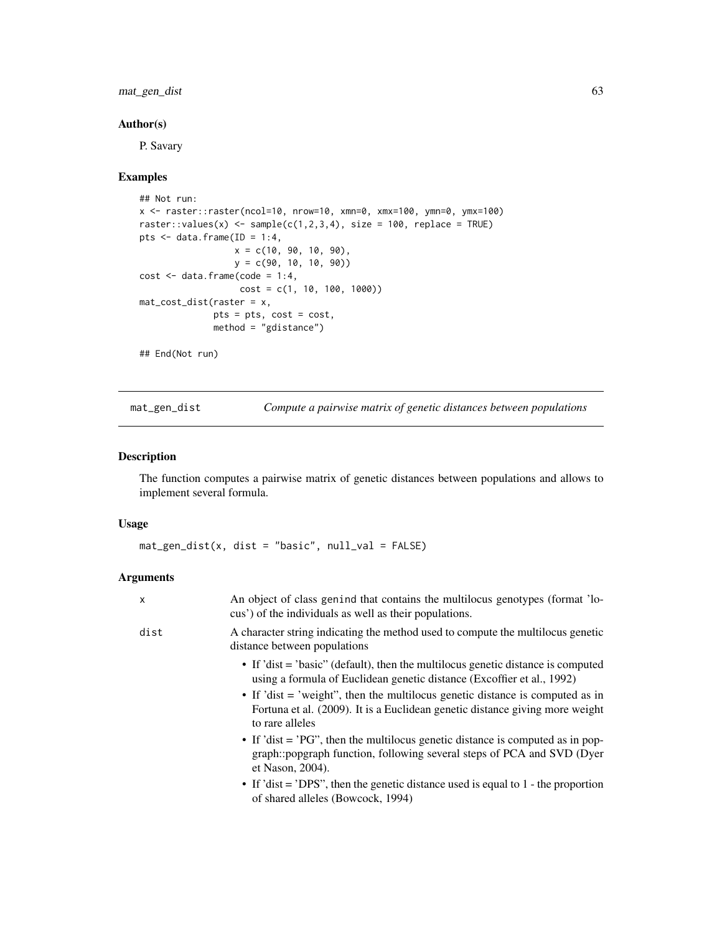### mat\_gen\_dist 63

### Author(s)

P. Savary

### Examples

```
## Not run:
x <- raster::raster(ncol=10, nrow=10, xmn=0, xmx=100, ymn=0, ymx=100)
raster::values(x) <- sample(c(1,2,3,4), size = 100, replace = TRUE)
pts \leq data.frame(ID = 1:4,
                  x = c(10, 90, 10, 90),
                  y = c(90, 10, 10, 90))
cost \leftarrow data frame(code = 1:4,cost = c(1, 10, 100, 1000)mat_cost_dist(raster = x,
              pts = pts, cost = cost,
              method = "gdistance")
## End(Not run)
```
mat\_gen\_dist *Compute a pairwise matrix of genetic distances between populations*

### Description

The function computes a pairwise matrix of genetic distances between populations and allows to implement several formula.

#### Usage

mat\_gen\_dist(x, dist = "basic", null\_val = FALSE)

| X    | An object of class genind that contains the multilocus genotypes (format 'lo-<br>cus') of the individuals as well as their populations.                                             |
|------|-------------------------------------------------------------------------------------------------------------------------------------------------------------------------------------|
| dist | A character string indicating the method used to compute the multilocus genetic<br>distance between populations                                                                     |
|      | • If 'dist = 'basic'' (default), then the multilocus genetic distance is computed<br>using a formula of Euclidean genetic distance (Excoffier et al., 1992)                         |
|      | • If 'dist $=$ 'weight'', then the multilocus genetic distance is computed as in<br>Fortuna et al. (2009). It is a Euclidean genetic distance giving more weight<br>to rare alleles |
|      | • If 'dist = 'PG'', then the multilocus genetic distance is computed as in pop-<br>graph::popgraph function, following several steps of PCA and SVD (Dyer<br>et Nason, 2004).       |
|      | • If 'dist = 'DPS'', then the genetic distance used is equal to 1 - the proportion<br>of shared alleles (Bowcock, 1994)                                                             |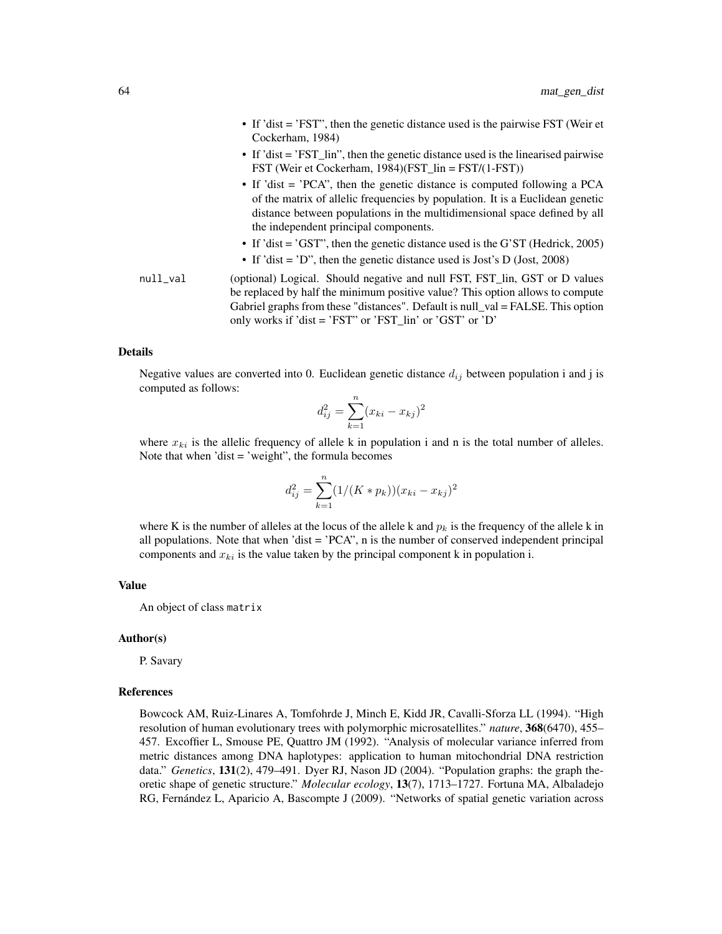- If 'dist = 'FST", then the genetic distance used is the pairwise FST (Weir et Cockerham, 1984)
- If 'dist = 'FST\_lin", then the genetic distance used is the linearised pairwise FST (Weir et Cockerham, 1984)(FST\_lin = FST/(1-FST))
- If 'dist = 'PCA'', then the genetic distance is computed following a PCA of the matrix of allelic frequencies by population. It is a Euclidean genetic distance between populations in the multidimensional space defined by all the independent principal components.
- If 'dist = 'GST", then the genetic distance used is the G'ST (Hedrick, 2005)
- If 'dist = 'D'', then the genetic distance used is Jost's D (Jost, 2008)
- null\_val (optional) Logical. Should negative and null FST, FST\_lin, GST or D values be replaced by half the minimum positive value? This option allows to compute Gabriel graphs from these "distances". Default is null\_val = FALSE. This option only works if 'dist = 'FST" or 'FST\_lin' or 'GST' or 'D'

Negative values are converted into 0. Euclidean genetic distance  $d_{ij}$  between population i and j is computed as follows:

$$
d_{ij}^2 = \sum_{k=1}^n (x_{ki} - x_{kj})^2
$$

where  $x_{ki}$  is the allelic frequency of allele k in population i and n is the total number of alleles. Note that when 'dist = 'weight", the formula becomes

$$
d_{ij}^2 = \sum_{k=1}^n (1/(K * p_k))(x_{ki} - x_{kj})^2
$$

where K is the number of alleles at the locus of the allele k and  $p_k$  is the frequency of the allele k in all populations. Note that when 'dist  $=$  'PCA", n is the number of conserved independent principal components and  $x_{ki}$  is the value taken by the principal component k in population i.

#### Value

An object of class matrix

#### Author(s)

P. Savary

#### References

Bowcock AM, Ruiz-Linares A, Tomfohrde J, Minch E, Kidd JR, Cavalli-Sforza LL (1994). "High resolution of human evolutionary trees with polymorphic microsatellites." *nature*, 368(6470), 455– 457. Excoffier L, Smouse PE, Quattro JM (1992). "Analysis of molecular variance inferred from metric distances among DNA haplotypes: application to human mitochondrial DNA restriction data." *Genetics*, 131(2), 479–491. Dyer RJ, Nason JD (2004). "Population graphs: the graph theoretic shape of genetic structure." *Molecular ecology*, 13(7), 1713–1727. Fortuna MA, Albaladejo RG, Fernández L, Aparicio A, Bascompte J (2009). "Networks of spatial genetic variation across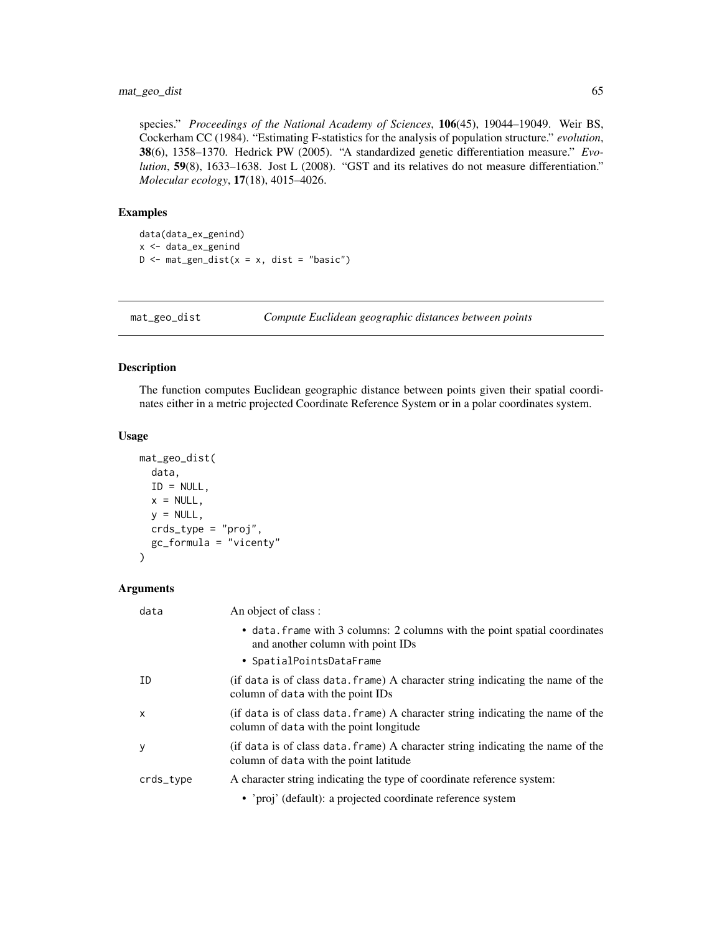species." *Proceedings of the National Academy of Sciences*, 106(45), 19044–19049. Weir BS, Cockerham CC (1984). "Estimating F-statistics for the analysis of population structure." *evolution*, 38(6), 1358–1370. Hedrick PW (2005). "A standardized genetic differentiation measure." *Evolution*, **59**(8), 1633–1638. Jost L (2008). "GST and its relatives do not measure differentiation." *Molecular ecology*, 17(18), 4015–4026.

#### Examples

```
data(data_ex_genind)
x <- data_ex_genind
D \le - mat_gen_dist(x = x, dist = "basic")
```
mat\_geo\_dist *Compute Euclidean geographic distances between points*

#### Description

The function computes Euclidean geographic distance between points given their spatial coordinates either in a metric projected Coordinate Reference System or in a polar coordinates system.

### Usage

```
mat_geo_dist(
  data,
  ID = NULL,x = NULL,y = NULL,crds_type = "proj",
  gc_formula = "vicenty"
)
```

| data         | An object of class :                                                                                                       |
|--------------|----------------------------------------------------------------------------------------------------------------------------|
|              | • data. frame with 3 columns: 2 columns with the point spatial coordinates<br>and another column with point IDs            |
|              | • SpatialPointsDataFrame                                                                                                   |
| ID           | (if data is of class data. frame) A character string indicating the name of the<br>column of data with the point IDs       |
| $\mathsf{x}$ | (if data is of class data, frame) A character string indicating the name of the<br>column of data with the point longitude |
| y            | (if data is of class data. frame) A character string indicating the name of the<br>column of data with the point latitude  |
| crds_type    | A character string indicating the type of coordinate reference system:                                                     |
|              | • 'proj' (default): a projected coordinate reference system                                                                |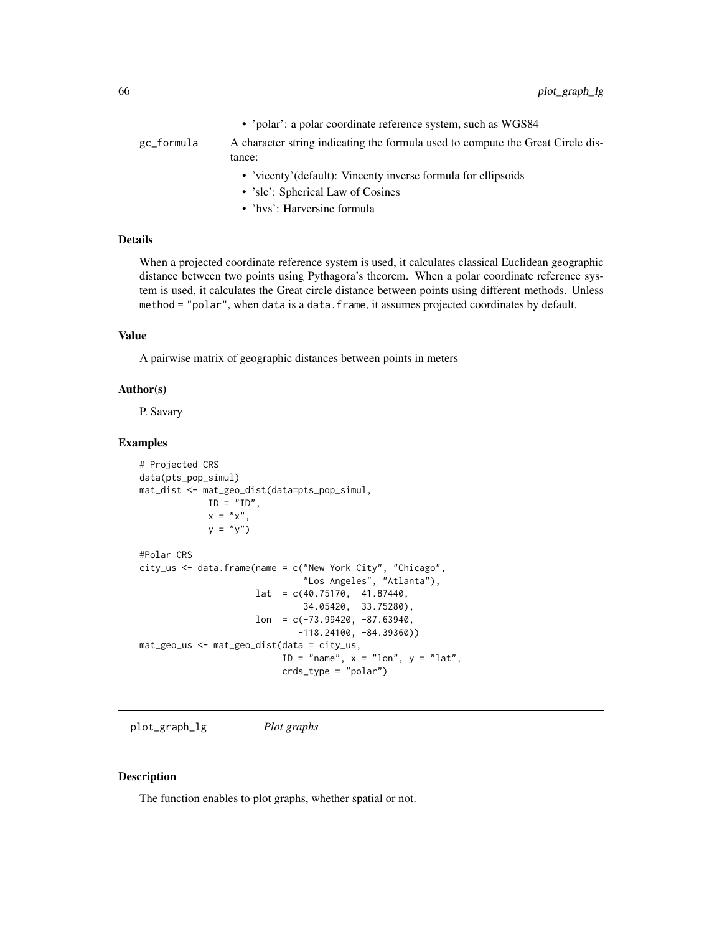• 'polar': a polar coordinate reference system, such as WGS84

# gc\_formula A character string indicating the formula used to compute the Great Circle distance:

- 'vicenty'(default): Vincenty inverse formula for ellipsoids
- 'slc': Spherical Law of Cosines
- 'hvs': Harversine formula

### Details

When a projected coordinate reference system is used, it calculates classical Euclidean geographic distance between two points using Pythagora's theorem. When a polar coordinate reference system is used, it calculates the Great circle distance between points using different methods. Unless method = "polar", when data is a data.frame, it assumes projected coordinates by default.

#### Value

A pairwise matrix of geographic distances between points in meters

#### Author(s)

P. Savary

### Examples

```
# Projected CRS
data(pts_pop_simul)
mat_dist <- mat_geo_dist(data=pts_pop_simul,
            ID = "ID",x = "x",y = "y")#Polar CRS
city_us <- data.frame(name = c("New York City", "Chicago",
                               "Los Angeles", "Atlanta"),
                     lat = c(40.75170, 41.87440,34.05420, 33.75280),
                     lon = c(-73.99420, -87.63940,-118.24100, -84.39360))
mat_geo_us <- mat_geo_dist(data = city_us,
                          ID = "name", x = "lon", y = "lat",
                           crds_type = "polar")
```
<span id="page-65-0"></span>plot\_graph\_lg *Plot graphs*

#### Description

The function enables to plot graphs, whether spatial or not.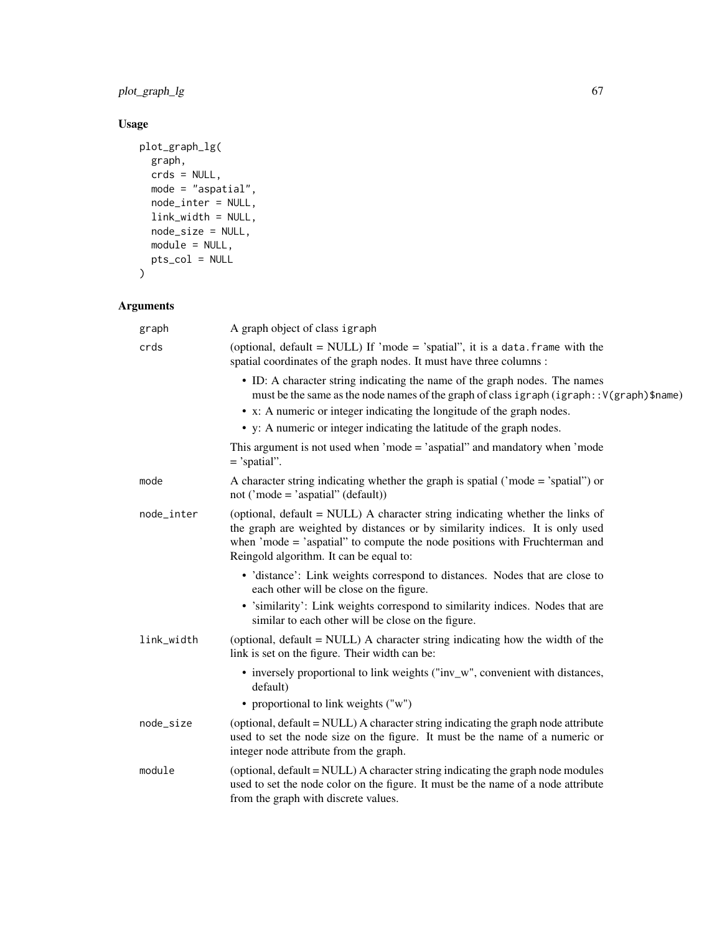plot\_graph\_lg 67

# Usage

```
plot_graph_lg(
  graph,
  crds = NULL,
 mode = "aspatial",
  node_inter = NULL,
  link_width = NULL,
  node_size = NULL,
  module = NULL,
  pts_col = NULL
\mathcal{L}
```

| graph      | A graph object of class igraph                                                                                                                                                                                                                                                          |
|------------|-----------------------------------------------------------------------------------------------------------------------------------------------------------------------------------------------------------------------------------------------------------------------------------------|
| crds       | (optional, default = NULL) If 'mode = 'spatial'', it is a data. frame with the<br>spatial coordinates of the graph nodes. It must have three columns :                                                                                                                                  |
|            | • ID: A character string indicating the name of the graph nodes. The names<br>must be the same as the node names of the graph of class igraph (igraph:: V(graph)\$name)                                                                                                                 |
|            | • x: A numeric or integer indicating the longitude of the graph nodes.                                                                                                                                                                                                                  |
|            | • y: A numeric or integer indicating the latitude of the graph nodes.                                                                                                                                                                                                                   |
|            | This argument is not used when 'mode $=$ 'aspatial" and mandatory when 'mode<br>$=$ 'spatial''.                                                                                                                                                                                         |
| mode       | A character string indicating whether the graph is spatial ('mode = 'spatial'') or<br>not ('mode = 'aspatial'' (default))                                                                                                                                                               |
| node_inter | (optional, default = NULL) A character string indicating whether the links of<br>the graph are weighted by distances or by similarity indices. It is only used<br>when 'mode = 'aspatial" to compute the node positions with Fruchterman and<br>Reingold algorithm. It can be equal to: |
|            | • 'distance': Link weights correspond to distances. Nodes that are close to<br>each other will be close on the figure.                                                                                                                                                                  |
|            | • 'similarity': Link weights correspond to similarity indices. Nodes that are<br>similar to each other will be close on the figure.                                                                                                                                                     |
| link_width | (optional, default = NULL) A character string indicating how the width of the<br>link is set on the figure. Their width can be:                                                                                                                                                         |
|            | • inversely proportional to link weights ("inv_w", convenient with distances,<br>default)                                                                                                                                                                                               |
|            | • proportional to link weights ("w")                                                                                                                                                                                                                                                    |
| node_size  | (optional, default = NULL) A character string indicating the graph node attribute<br>used to set the node size on the figure. It must be the name of a numeric or<br>integer node attribute from the graph.                                                                             |
| module     | (optional, default = NULL) A character string indicating the graph node modules<br>used to set the node color on the figure. It must be the name of a node attribute<br>from the graph with discrete values.                                                                            |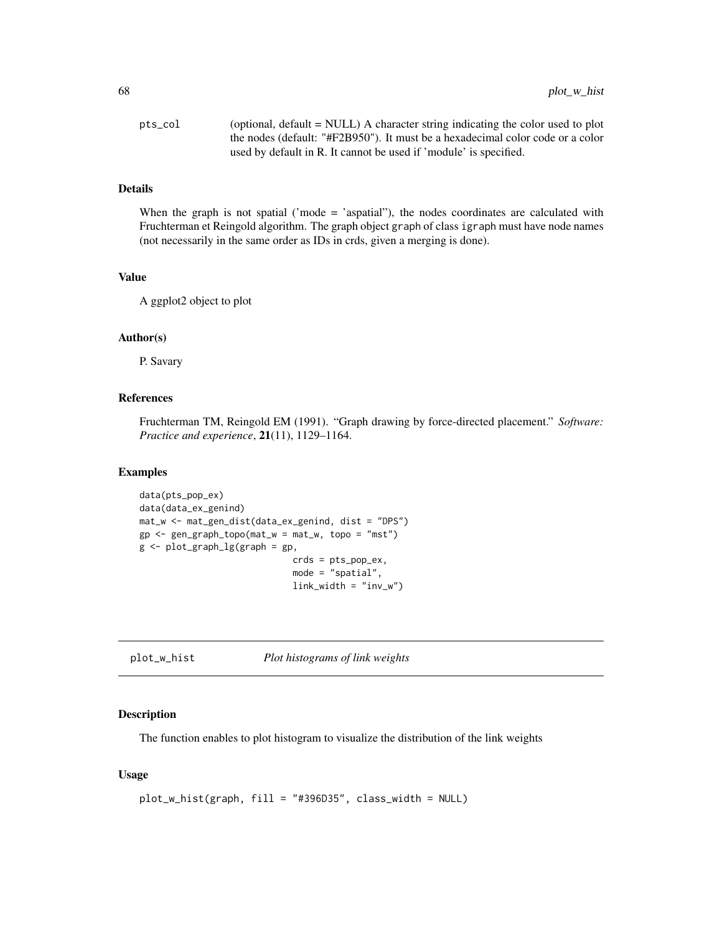| pts_col | (optional, $default = NULL$ ) A character string indicating the color used to plot |
|---------|------------------------------------------------------------------------------------|
|         | the nodes (default: "#F2B950"). It must be a hexadecimal color code or a color     |
|         | used by default in R. It cannot be used if 'module' is specified.                  |

When the graph is not spatial ('mode = 'aspatial"), the nodes coordinates are calculated with Fruchterman et Reingold algorithm. The graph object graph of class igraph must have node names (not necessarily in the same order as IDs in crds, given a merging is done).

#### Value

A ggplot2 object to plot

### Author(s)

P. Savary

#### References

Fruchterman TM, Reingold EM (1991). "Graph drawing by force-directed placement." *Software: Practice and experience*, 21(11), 1129–1164.

#### Examples

```
data(pts_pop_ex)
data(data_ex_genind)
mat_w <- mat_gen_dist(data_ex_genind, dist = "DPS")
gp \leq gen\_graph\_topo(mat_w = mat_w, topo = "mst")g \leftarrow plot\_graph\_lg(graph = gp)crds = pts_pop_ex,
                               mode = "spatial",
                               link\_width = "inv_w")
```
plot\_w\_hist *Plot histograms of link weights*

#### Description

The function enables to plot histogram to visualize the distribution of the link weights

#### Usage

```
plot_w_hist(graph, fill = "#396D35", class_width = NULL)
```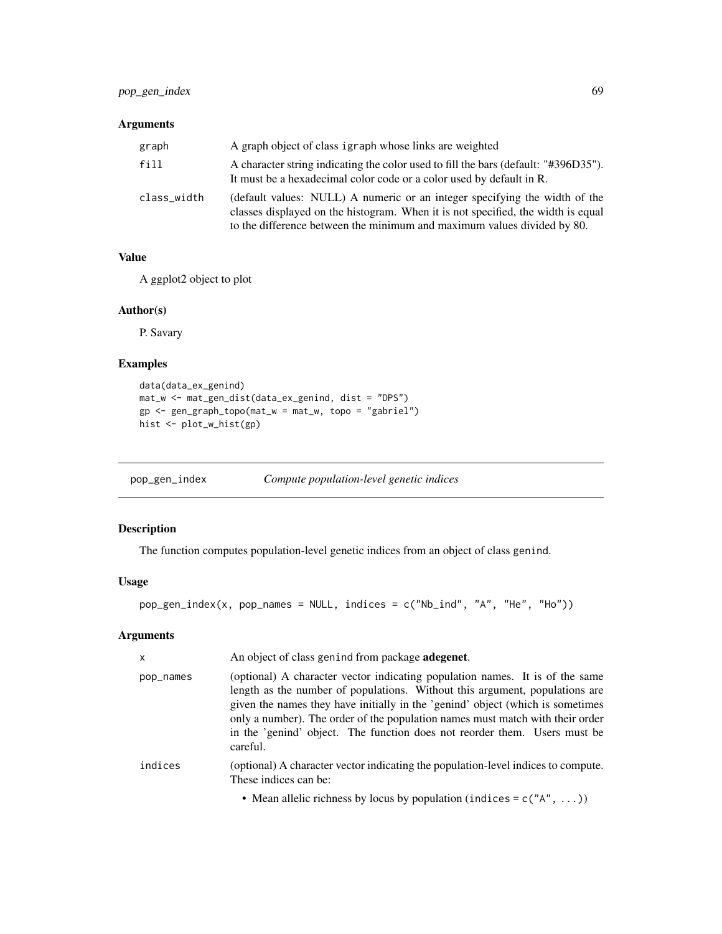### Arguments

| graph       | A graph object of class igraph whose links are weighted                                                                                                                                                                                   |
|-------------|-------------------------------------------------------------------------------------------------------------------------------------------------------------------------------------------------------------------------------------------|
| fill        | A character string indicating the color used to fill the bars (default: "#396D35").<br>It must be a hexadecimal color code or a color used by default in R.                                                                               |
| class_width | (default values: NULL) A numeric or an integer specifying the width of the<br>classes displayed on the histogram. When it is not specified, the width is equal<br>to the difference between the minimum and maximum values divided by 80. |

# Value

A ggplot2 object to plot

### Author(s)

P. Savary

# Examples

```
data(data_ex_genind)
mat_w <- mat_gen_dist(data_ex_genind, dist = "DPS")
gp <- gen_graph_topo(mat_w = mat_w, topo = "gabriel")
hist <- plot_w_hist(gp)
```
pop\_gen\_index *Compute population-level genetic indices*

# Description

The function computes population-level genetic indices from an object of class genind.

### Usage

pop\_gen\_index(x, pop\_names = NULL, indices = c("Nb\_ind", "A", "He", "Ho"))

| X         | An object of class genind from package adegenet.                                                                                                                                                                                                                                                                                                                                                                        |
|-----------|-------------------------------------------------------------------------------------------------------------------------------------------------------------------------------------------------------------------------------------------------------------------------------------------------------------------------------------------------------------------------------------------------------------------------|
| pop_names | (optional) A character vector indicating population names. It is of the same<br>length as the number of populations. Without this argument, populations are<br>given the names they have initially in the 'genind' object (which is sometimes<br>only a number). The order of the population names must match with their order<br>in the 'genind' object. The function does not reorder them. Users must be<br>careful. |
| indices   | (optional) A character vector indicating the population-level indices to compute.<br>These indices can be:                                                                                                                                                                                                                                                                                                              |
|           | • Mean allelic richness by locus by population (indices = $c("A", )$ )                                                                                                                                                                                                                                                                                                                                                  |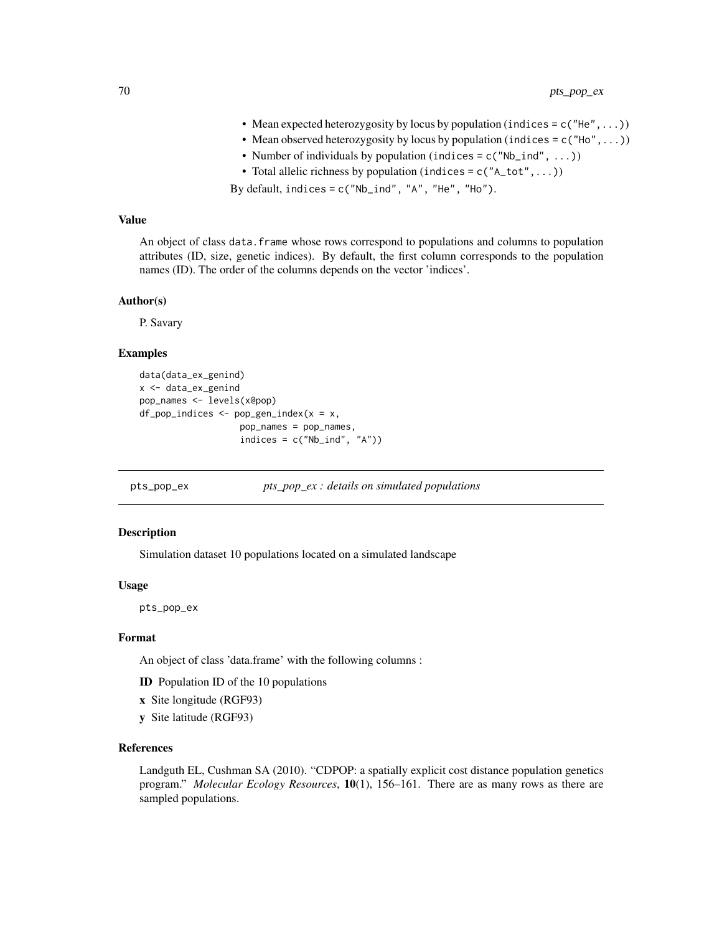- Mean expected heterozygosity by locus by population (indices =  $c("He",...)$ )
- Mean observed heterozygosity by locus by population (indices =  $c("Ho", \ldots)$ )
- Number of individuals by population (indices =  $c("Nb\_ind", ...)$ )
- Total allelic richness by population (indices =  $c("A\_tot",...)$ )

By default, indices =  $c("Nb\_ind", "A", "He", "Ho")$ .

### Value

An object of class data.frame whose rows correspond to populations and columns to population attributes (ID, size, genetic indices). By default, the first column corresponds to the population names (ID). The order of the columns depends on the vector 'indices'.

#### Author(s)

P. Savary

#### Examples

```
data(data_ex_genind)
x <- data_ex_genind
pop_names <- levels(x@pop)
df\_pop\_indices \leq pop\_gen\_index(x = x,pop_names = pop_names,
                   indices = c("Nb\_ind", "A")
```
pts\_pop\_ex *pts\_pop\_ex : details on simulated populations*

#### Description

Simulation dataset 10 populations located on a simulated landscape

#### Usage

pts\_pop\_ex

#### Format

An object of class 'data.frame' with the following columns :

- ID Population ID of the 10 populations
- x Site longitude (RGF93)
- y Site latitude (RGF93)

### References

Landguth EL, Cushman SA (2010). "CDPOP: a spatially explicit cost distance population genetics program." *Molecular Ecology Resources*, 10(1), 156–161. There are as many rows as there are sampled populations.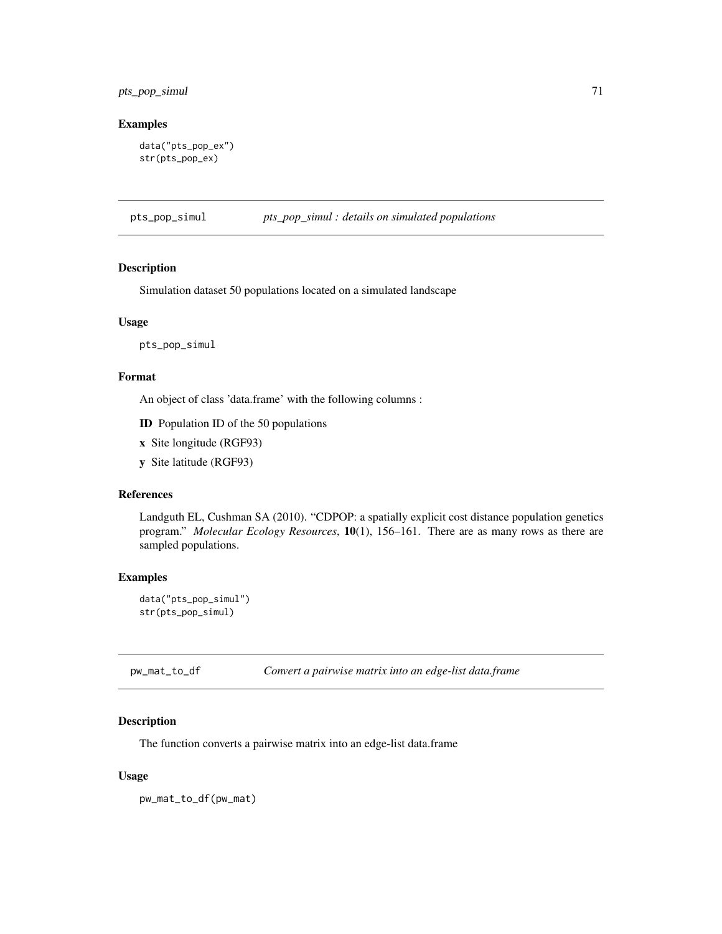# pts\_pop\_simul 71

### Examples

```
data("pts_pop_ex")
str(pts_pop_ex)
```
pts\_pop\_simul *pts\_pop\_simul : details on simulated populations*

#### Description

Simulation dataset 50 populations located on a simulated landscape

#### Usage

pts\_pop\_simul

### Format

An object of class 'data.frame' with the following columns :

ID Population ID of the 50 populations

- x Site longitude (RGF93)
- y Site latitude (RGF93)

## References

Landguth EL, Cushman SA (2010). "CDPOP: a spatially explicit cost distance population genetics program." *Molecular Ecology Resources*, 10(1), 156–161. There are as many rows as there are sampled populations.

### Examples

```
data("pts_pop_simul")
str(pts_pop_simul)
```
pw\_mat\_to\_df *Convert a pairwise matrix into an edge-list data.frame*

#### Description

The function converts a pairwise matrix into an edge-list data.frame

#### Usage

pw\_mat\_to\_df(pw\_mat)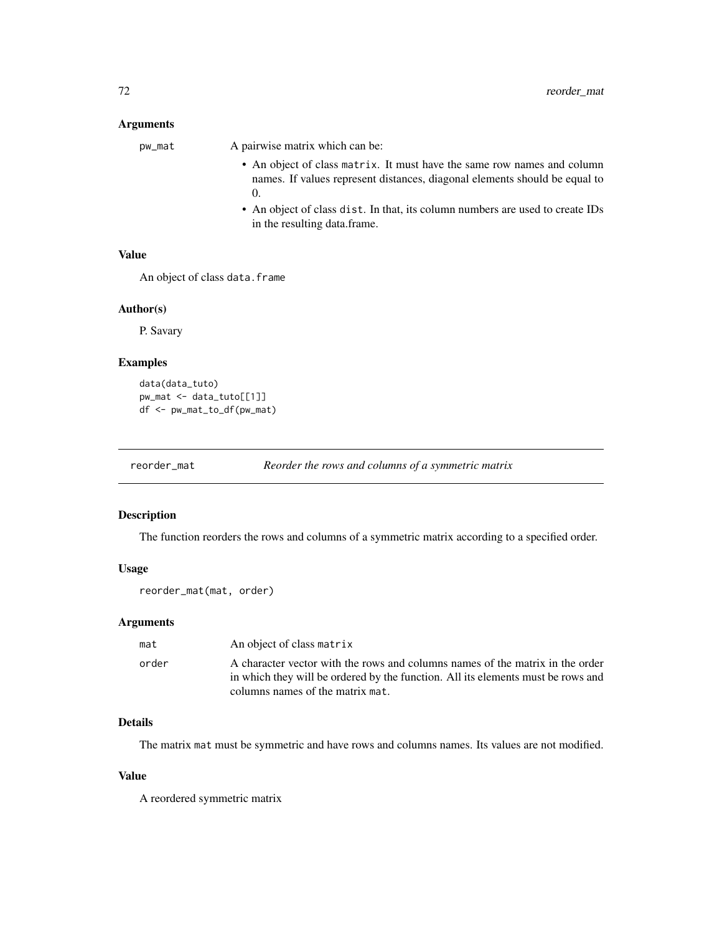### Arguments

| pw_mat | A pairwise matrix which can be:                                                                                                                       |
|--------|-------------------------------------------------------------------------------------------------------------------------------------------------------|
|        | • An object of class matrix. It must have the same row names and column<br>names. If values represent distances, diagonal elements should be equal to |
|        | • An object of class dist. In that, its column numbers are used to create IDs<br>in the resulting data frame.                                         |

#### Value

An object of class data.frame

#### Author(s)

P. Savary

### Examples

```
data(data_tuto)
pw_mat <- data_tuto[[1]]
df <- pw_mat_to_df(pw_mat)
```
reorder\_mat *Reorder the rows and columns of a symmetric matrix*

### Description

The function reorders the rows and columns of a symmetric matrix according to a specified order.

#### Usage

```
reorder_mat(mat, order)
```
### Arguments

|                                                                                                                                                                                                                | An object of class matrix |  |
|----------------------------------------------------------------------------------------------------------------------------------------------------------------------------------------------------------------|---------------------------|--|
| A character vector with the rows and columns names of the matrix in the order<br>order<br>in which they will be ordered by the function. All its elements must be rows and<br>columns names of the matrix mat. |                           |  |

### Details

The matrix mat must be symmetric and have rows and columns names. Its values are not modified.

#### Value

A reordered symmetric matrix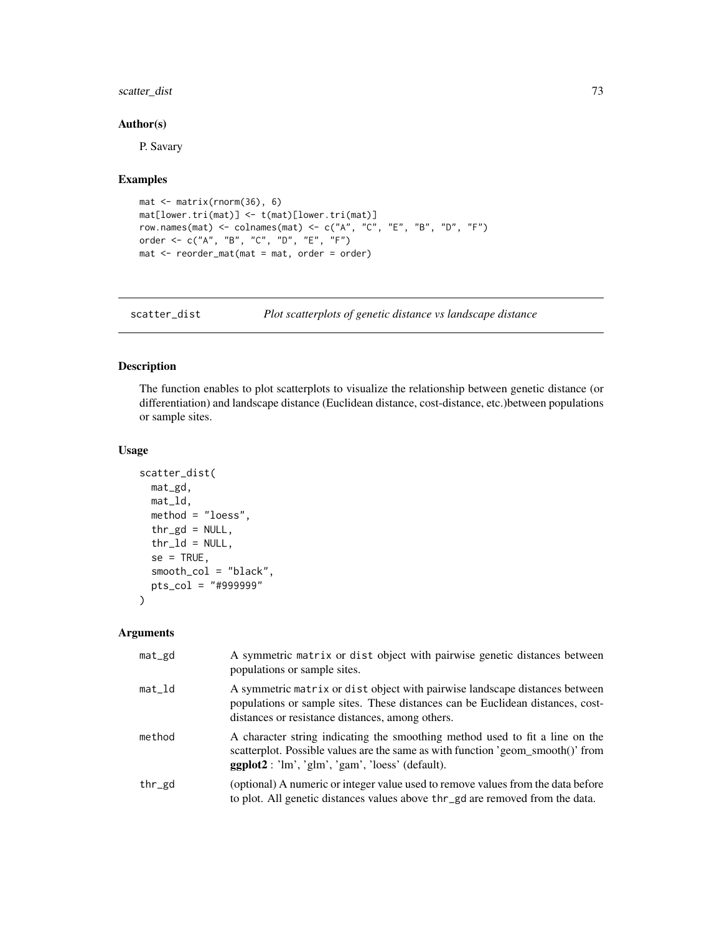# <span id="page-72-1"></span>scatter\_dist 73

## Author(s)

P. Savary

#### Examples

```
mat <- matrix(rnorm(36), 6)
mat[lower.tri(mat)] <- t(mat)[lower.tri(mat)]
row.names(mat) <- colnames(mat) <- c("A", "C", "E", "B", "D", "F")
order <- c("A", "B", "C", "D", "E", "F")
mat <- reorder_mat(mat = mat, order = order)
```
<span id="page-72-0"></span>scatter\_dist *Plot scatterplots of genetic distance vs landscape distance*

## Description

The function enables to plot scatterplots to visualize the relationship between genetic distance (or differentiation) and landscape distance (Euclidean distance, cost-distance, etc.)between populations or sample sites.

# Usage

```
scatter_dist(
 mat_gd,
 mat_ld,
 method = "loess",
  thr_gd = NULL,thr\_ld = NULL,se = TRUE,smooth_col = "black",
 pts_col = "#999999"
)
```
# Arguments

| mat_gd    | A symmetric matrix or dist object with pairwise genetic distances between<br>populations or sample sites.                                                                                                             |
|-----------|-----------------------------------------------------------------------------------------------------------------------------------------------------------------------------------------------------------------------|
| $mat\_Id$ | A symmetric matrix or dist object with pairwise landscape distances between<br>populations or sample sites. These distances can be Euclidean distances, cost-<br>distances or resistance distances, among others.     |
| method    | A character string indicating the smoothing method used to fit a line on the<br>scatterplot. Possible values are the same as with function 'geom_smooth()' from<br>$ggplot2$ : 'lm', 'glm', 'gam', 'loess' (default). |
| thr_gd    | (optional) A numeric or integer value used to remove values from the data before<br>to plot. All genetic distances values above thr_gd are removed from the data.                                                     |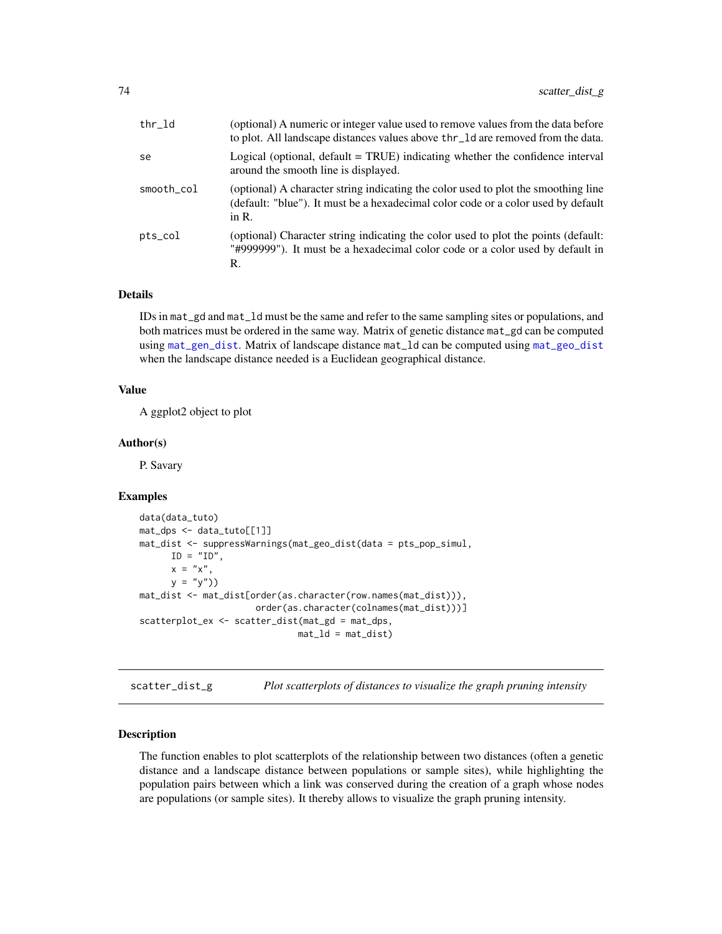<span id="page-73-0"></span>

| thr_ld     | (optional) A numeric or integer value used to remove values from the data before<br>to plot. All landscape distances values above thr_ld are removed from the data.                 |
|------------|-------------------------------------------------------------------------------------------------------------------------------------------------------------------------------------|
| se         | Logical (optional, $default = TRUE$ ) indicating whether the confidence interval<br>around the smooth line is displayed.                                                            |
| smooth col | (optional) A character string indicating the color used to plot the smoothing line<br>(default: "blue"). It must be a hexadecimal color code or a color used by default<br>in $R$ . |
| pts_col    | (optional) Character string indicating the color used to plot the points (default:<br>"#999999"). It must be a hexadecimal color code or a color used by default in<br>R.           |

## Details

IDs in mat\_gd and mat\_ld must be the same and refer to the same sampling sites or populations, and both matrices must be ordered in the same way. Matrix of genetic distance mat\_gd can be computed using [mat\\_gen\\_dist](#page-62-0). Matrix of landscape distance mat\_ld can be computed using [mat\\_geo\\_dist](#page-64-0) when the landscape distance needed is a Euclidean geographical distance.

# Value

A ggplot2 object to plot

#### Author(s)

P. Savary

#### Examples

```
data(data_tuto)
mat_dps <- data_tuto[[1]]
mat_dist <- suppressWarnings(mat_geo_dist(data = pts_pop_simul,
     ID = "ID",x = "x",y = "y")mat_dist <- mat_dist[order(as.character(row.names(mat_dist))),
                     order(as.character(colnames(mat_dist)))]
scatterplot_ex <- scatter_dist(mat_gd = mat_dps,
                             mat_l = mat_ldist)
```
scatter\_dist\_g *Plot scatterplots of distances to visualize the graph pruning intensity*

## Description

The function enables to plot scatterplots of the relationship between two distances (often a genetic distance and a landscape distance between populations or sample sites), while highlighting the population pairs between which a link was conserved during the creation of a graph whose nodes are populations (or sample sites). It thereby allows to visualize the graph pruning intensity.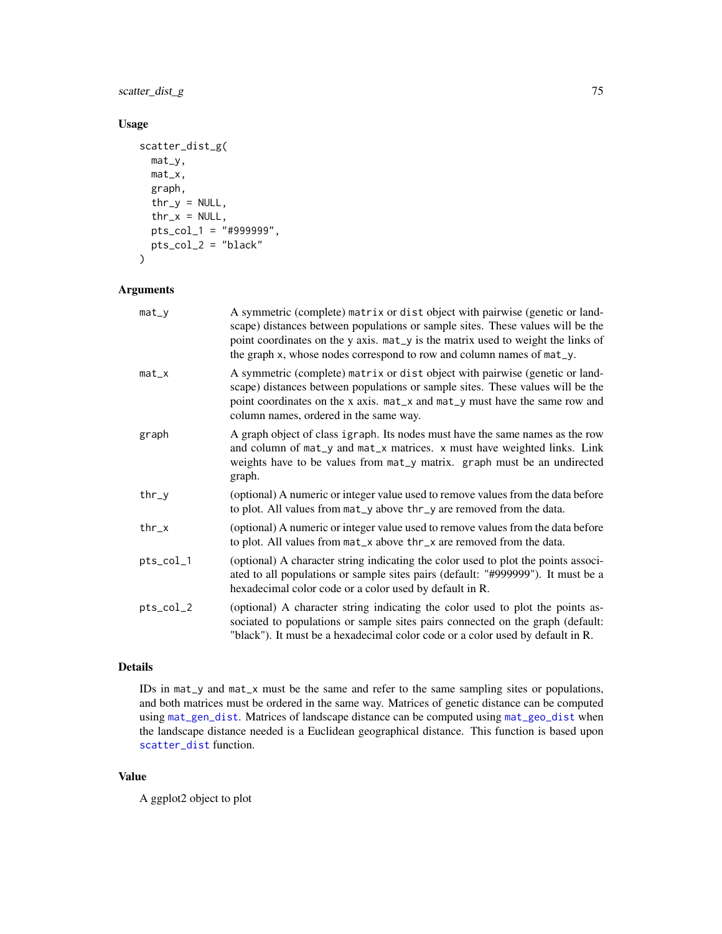# <span id="page-74-0"></span>scatter\_dist\_g 75

# Usage

```
scatter_dist_g(
  mat_y,
  mat_x,
  graph,
  thr_y = NULL,thr_x = NULL,pts_col_1 = "#999999",
  pts_col_2 = "black"
\mathcal{L}
```
## Arguments

| $mat_y$   | A symmetric (complete) matrix or dist object with pairwise (genetic or land-<br>scape) distances between populations or sample sites. These values will be the<br>point coordinates on the y axis. mat_y is the matrix used to weight the links of<br>the graph x, whose nodes correspond to row and column names of mat_y. |
|-----------|-----------------------------------------------------------------------------------------------------------------------------------------------------------------------------------------------------------------------------------------------------------------------------------------------------------------------------|
| $mat_x$   | A symmetric (complete) matrix or dist object with pairwise (genetic or land-<br>scape) distances between populations or sample sites. These values will be the<br>point coordinates on the x axis. mat_x and mat_y must have the same row and<br>column names, ordered in the same way.                                     |
| graph     | A graph object of class igraph. Its nodes must have the same names as the row<br>and column of mat_y and mat_x matrices. x must have weighted links. Link<br>weights have to be values from mat_y matrix. graph must be an undirected<br>graph.                                                                             |
| $thr_y$   | (optional) A numeric or integer value used to remove values from the data before<br>to plot. All values from mat_y above thr_y are removed from the data.                                                                                                                                                                   |
| thr_x     | (optional) A numeric or integer value used to remove values from the data before<br>to plot. All values from mat_x above thr_x are removed from the data.                                                                                                                                                                   |
| pts_col_1 | (optional) A character string indicating the color used to plot the points associ-<br>ated to all populations or sample sites pairs (default: "#999999"). It must be a<br>hexadecimal color code or a color used by default in R.                                                                                           |
| pts_col_2 | (optional) A character string indicating the color used to plot the points as-<br>sociated to populations or sample sites pairs connected on the graph (default:<br>"black"). It must be a hexadecimal color code or a color used by default in R.                                                                          |

#### Details

IDs in mat\_y and mat\_x must be the same and refer to the same sampling sites or populations, and both matrices must be ordered in the same way. Matrices of genetic distance can be computed using [mat\\_gen\\_dist](#page-62-0). Matrices of landscape distance can be computed using [mat\\_geo\\_dist](#page-64-0) when the landscape distance needed is a Euclidean geographical distance. This function is based upon [scatter\\_dist](#page-72-0) function.

# Value

A ggplot2 object to plot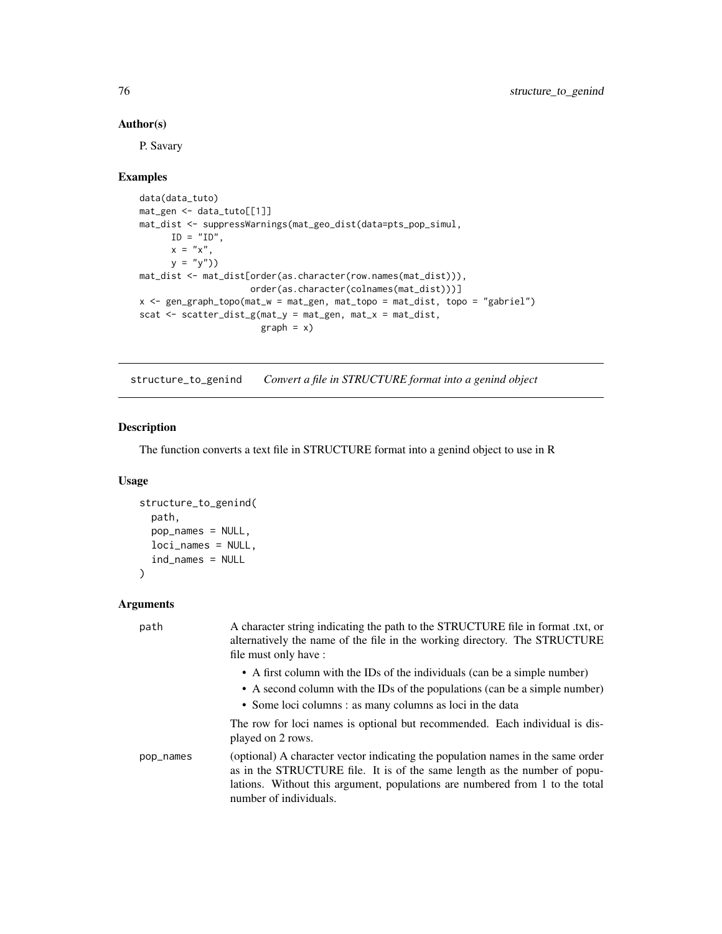#### Author(s)

P. Savary

## Examples

```
data(data_tuto)
mat_gen <- data_tuto[[1]]
mat_dist <- suppressWarnings(mat_geo_dist(data=pts_pop_simul,
     ID = "ID",x = "x",y = "y")mat_dist <- mat_dist[order(as.character(row.names(mat_dist))),
                    order(as.character(colnames(mat_dist)))]
x <- gen_graph_topo(mat_w = mat_gen, mat_topo = mat_dist, topo = "gabriel")
scat <- scatter_dist_g(mat_y = mat_gen, mat_x = mat_dist,
                       graph = x)
```
structure\_to\_genind *Convert a file in STRUCTURE format into a genind object*

## **Description**

The function converts a text file in STRUCTURE format into a genind object to use in R

#### Usage

```
structure_to_genind(
  path,
  pop_names = NULL,
 loci_names = NULL,
  ind_names = NULL
)
```
## Arguments

```
path A character string indicating the path to the STRUCTURE file in format .txt, or
                  alternatively the name of the file in the working directory. The STRUCTURE
                  file must only have :
                    • A first column with the IDs of the individuals (can be a simple number)
                    • A second column with the IDs of the populations (can be a simple number)
                    • Some loci columns : as many columns as loci in the data
                  The row for loci names is optional but recommended. Each individual is dis-
                  played on 2 rows.
pop_names (optional) A character vector indicating the population names in the same order
                  as in the STRUCTURE file. It is of the same length as the number of popu-
                  lations. Without this argument, populations are numbered from 1 to the total
                  number of individuals.
```
<span id="page-75-0"></span>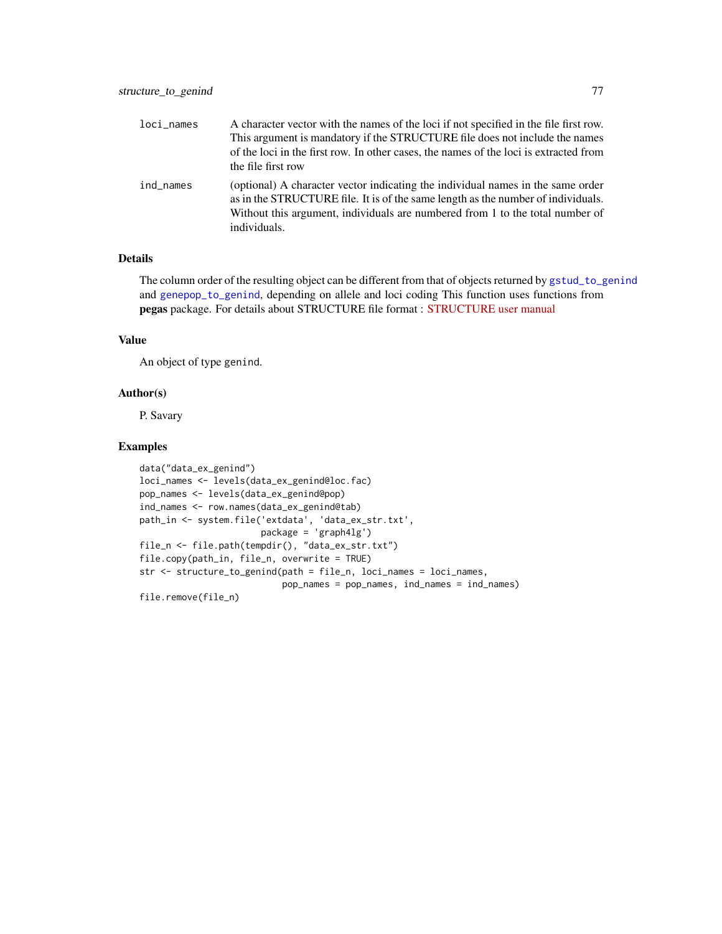<span id="page-76-0"></span>

| loci_names | A character vector with the names of the loci if not specified in the file first row.<br>This argument is mandatory if the STRUCTURE file does not include the names<br>of the loci in the first row. In other cases, the names of the loci is extracted from<br>the file first row |
|------------|-------------------------------------------------------------------------------------------------------------------------------------------------------------------------------------------------------------------------------------------------------------------------------------|
| ind names  | (optional) A character vector indicating the individual names in the same order<br>as in the STRUCTURE file. It is of the same length as the number of individuals.<br>Without this argument, individuals are numbered from 1 to the total number of<br>individuals.                |

# Details

The column order of the resulting object can be different from that of objects returned by [gstud\\_to\\_genind](#page-57-0) and [genepop\\_to\\_genind](#page-14-0), depending on allele and loci coding This function uses functions from pegas package. For details about STRUCTURE file format : [STRUCTURE user manual](http://www.ccg.unam.mx/~vinuesa/tlem09/docs/structure_doc.pdf)

## Value

An object of type genind.

#### Author(s)

P. Savary

# Examples

```
data("data_ex_genind")
loci_names <- levels(data_ex_genind@loc.fac)
pop_names <- levels(data_ex_genind@pop)
ind_names <- row.names(data_ex_genind@tab)
path_in <- system.file('extdata', 'data_ex_str.txt',
                      package = 'graph4lg')
file_n <- file.path(tempdir(), "data_ex_str.txt")
file.copy(path_in, file_n, overwrite = TRUE)
str <- structure_to_genind(path = file_n, loci_names = loci_names,
                          pop_names = pop_names, ind_names = ind_names)
file.remove(file_n)
```